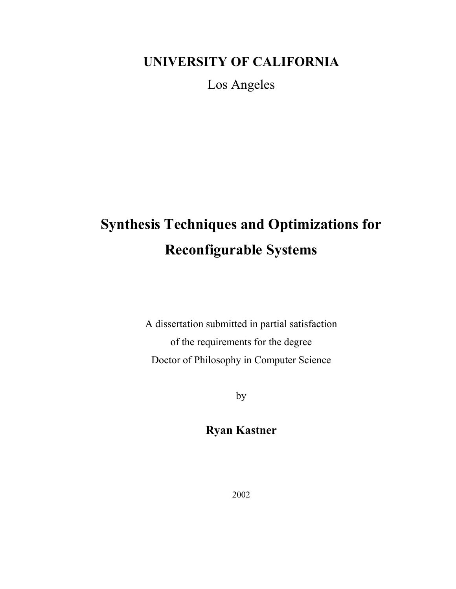# **UNIVERSITY OF CALIFORNIA**

Los Angeles

# **Synthesis Techniques and Optimizations for Reconfigurable Systems**

A dissertation submitted in partial satisfaction of the requirements for the degree Doctor of Philosophy in Computer Science

by

## **Ryan Kastner**

2002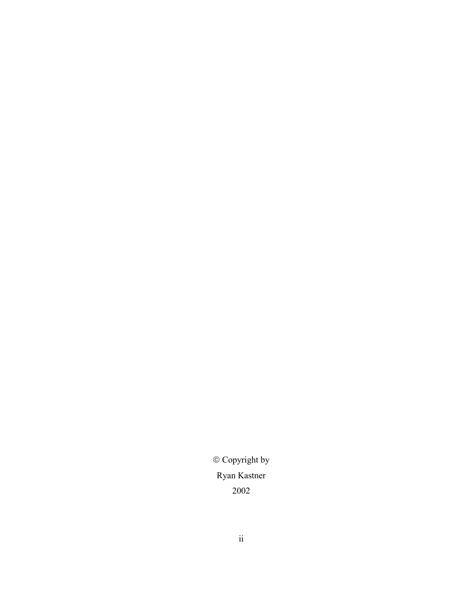$\odot$  Copyright by Ryan Kastner 2002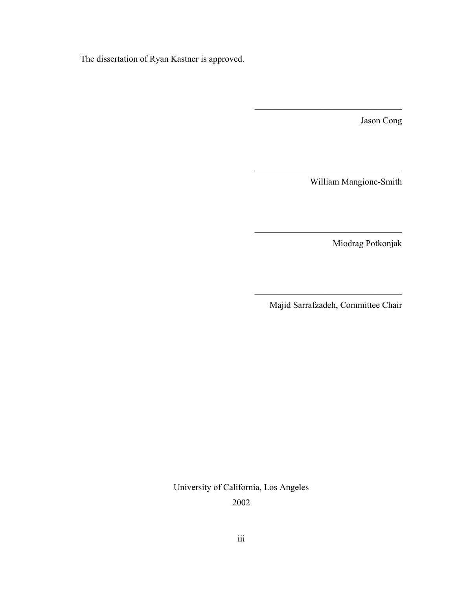The dissertation of Ryan Kastner is approved.

Jason Cong

William Mangione-Smith

 $\mathcal{L}_\text{max}$  , where  $\mathcal{L}_\text{max}$  and  $\mathcal{L}_\text{max}$  and  $\mathcal{L}_\text{max}$ 

 $\mathcal{L}_\text{max}$  , where  $\mathcal{L}_\text{max}$  and  $\mathcal{L}_\text{max}$  and  $\mathcal{L}_\text{max}$ 

 $\mathcal{L}_\text{max}$ 

Miodrag Potkonjak

Majid Sarrafzadeh, Committee Chair

 $\mathcal{L}_\text{max}$  , where  $\mathcal{L}_\text{max}$  and  $\mathcal{L}_\text{max}$  and  $\mathcal{L}_\text{max}$ 

University of California, Los Angeles 2002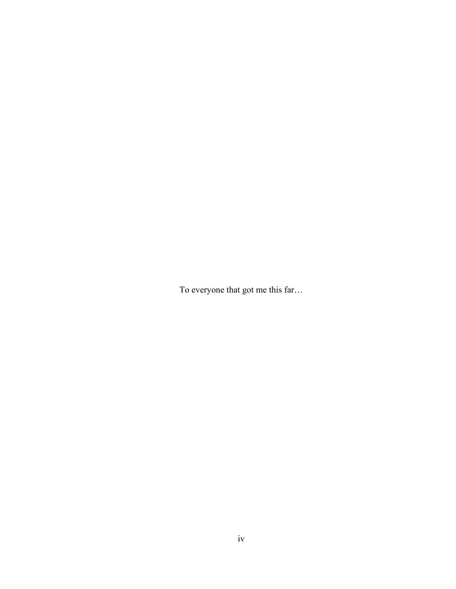To everyone that got me this far…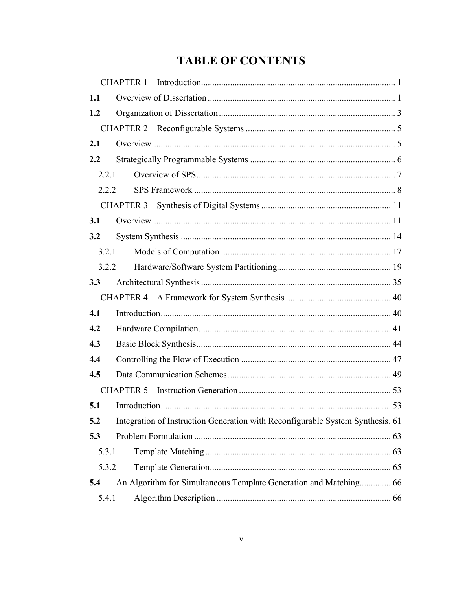# **TABLE OF CONTENTS**

| <b>CHAPTER 1</b> |                                                                                |  |  |  |
|------------------|--------------------------------------------------------------------------------|--|--|--|
| 1.1              |                                                                                |  |  |  |
| 1.2              |                                                                                |  |  |  |
|                  |                                                                                |  |  |  |
| 2.1              |                                                                                |  |  |  |
| 2.2              |                                                                                |  |  |  |
| 2.2.1            |                                                                                |  |  |  |
| 2.2.2            |                                                                                |  |  |  |
|                  |                                                                                |  |  |  |
| 3.1              |                                                                                |  |  |  |
| 3.2              |                                                                                |  |  |  |
| 3.2.1            |                                                                                |  |  |  |
| 3.2.2            |                                                                                |  |  |  |
| 3.3              |                                                                                |  |  |  |
|                  |                                                                                |  |  |  |
|                  |                                                                                |  |  |  |
| 4.1              |                                                                                |  |  |  |
| 4.2              |                                                                                |  |  |  |
| 4.3              |                                                                                |  |  |  |
| 4.4              |                                                                                |  |  |  |
| 4.5              |                                                                                |  |  |  |
|                  | <b>CHAPTER 5</b>                                                               |  |  |  |
| 5.1              |                                                                                |  |  |  |
| 5.2              | Integration of Instruction Generation with Reconfigurable System Synthesis. 61 |  |  |  |
| 5.3              |                                                                                |  |  |  |
| 5.3.1            |                                                                                |  |  |  |
| 5.3.2            |                                                                                |  |  |  |
| 5.4              | An Algorithm for Simultaneous Template Generation and Matching 66              |  |  |  |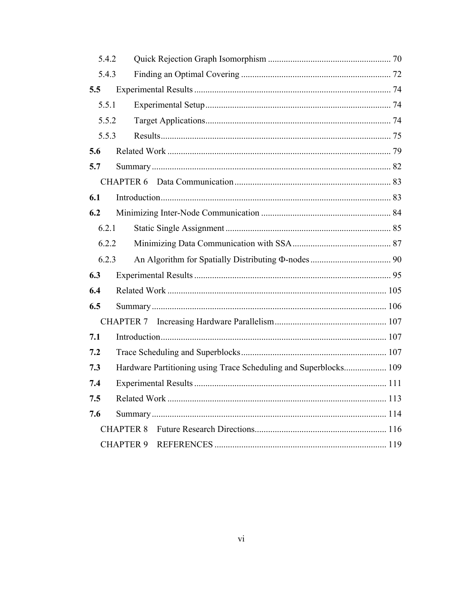|     | 5.4.2                                                            |  |
|-----|------------------------------------------------------------------|--|
|     | 5.4.3                                                            |  |
| 5.5 |                                                                  |  |
|     | 5.5.1                                                            |  |
|     | 5.5.2                                                            |  |
|     | 5.5.3                                                            |  |
| 5.6 |                                                                  |  |
| 5.7 |                                                                  |  |
|     |                                                                  |  |
| 6.1 |                                                                  |  |
| 6.2 |                                                                  |  |
|     | 6.2.1                                                            |  |
|     | 6.2.2                                                            |  |
|     | 6.2.3                                                            |  |
| 6.3 |                                                                  |  |
| 6.4 |                                                                  |  |
| 6.5 |                                                                  |  |
|     |                                                                  |  |
| 7.1 |                                                                  |  |
| 7.2 |                                                                  |  |
| 7.3 | Hardware Partitioning using Trace Scheduling and Superblocks 109 |  |
| 7.4 |                                                                  |  |
| 7.5 |                                                                  |  |
| 7.6 |                                                                  |  |
|     | <b>CHAPTER 8</b>                                                 |  |
|     |                                                                  |  |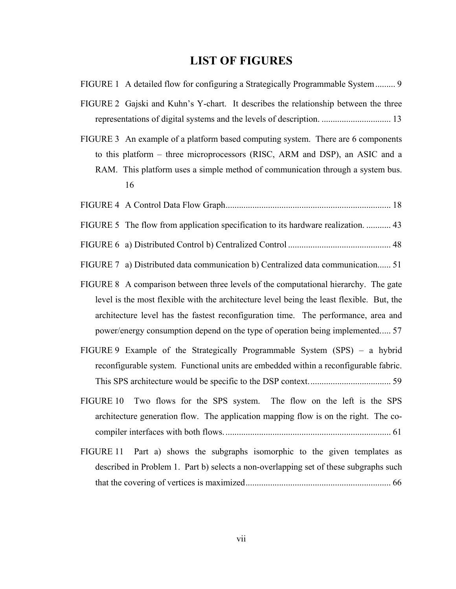# **LIST OF FIGURES**

| FIGURE 1 A detailed flow for configuring a Strategically Programmable System 9                                                                                                                                                                                                                                                                                                                                                                                                                                                                                                                                                                                                                            |  |
|-----------------------------------------------------------------------------------------------------------------------------------------------------------------------------------------------------------------------------------------------------------------------------------------------------------------------------------------------------------------------------------------------------------------------------------------------------------------------------------------------------------------------------------------------------------------------------------------------------------------------------------------------------------------------------------------------------------|--|
| FIGURE 2 Gajski and Kuhn's Y-chart. It describes the relationship between the three                                                                                                                                                                                                                                                                                                                                                                                                                                                                                                                                                                                                                       |  |
| FIGURE 3 An example of a platform based computing system. There are 6 components<br>to this platform - three microprocessors (RISC, ARM and DSP), an ASIC and a<br>RAM. This platform uses a simple method of communication through a system bus.<br>16                                                                                                                                                                                                                                                                                                                                                                                                                                                   |  |
|                                                                                                                                                                                                                                                                                                                                                                                                                                                                                                                                                                                                                                                                                                           |  |
| FIGURE 5 The flow from application specification to its hardware realization.  43                                                                                                                                                                                                                                                                                                                                                                                                                                                                                                                                                                                                                         |  |
|                                                                                                                                                                                                                                                                                                                                                                                                                                                                                                                                                                                                                                                                                                           |  |
| FIGURE 7 a) Distributed data communication b) Centralized data communication 51                                                                                                                                                                                                                                                                                                                                                                                                                                                                                                                                                                                                                           |  |
| FIGURE 8 A comparison between three levels of the computational hierarchy. The gate<br>level is the most flexible with the architecture level being the least flexible. But, the<br>architecture level has the fastest reconfiguration time. The performance, area and<br>power/energy consumption depend on the type of operation being implemented 57<br>FIGURE 9 Example of the Strategically Programmable System (SPS) – a hybrid<br>reconfigurable system. Functional units are embedded within a reconfigurable fabric.<br>Two flows for the SPS system. The flow on the left is the SPS<br><b>FIGURE 10</b><br>architecture generation flow. The application mapping flow is on the right. The co- |  |
|                                                                                                                                                                                                                                                                                                                                                                                                                                                                                                                                                                                                                                                                                                           |  |
| Part a) shows the subgraphs isomorphic to the given templates as<br>FIGURE 11<br>described in Problem 1. Part b) selects a non-overlapping set of these subgraphs such                                                                                                                                                                                                                                                                                                                                                                                                                                                                                                                                    |  |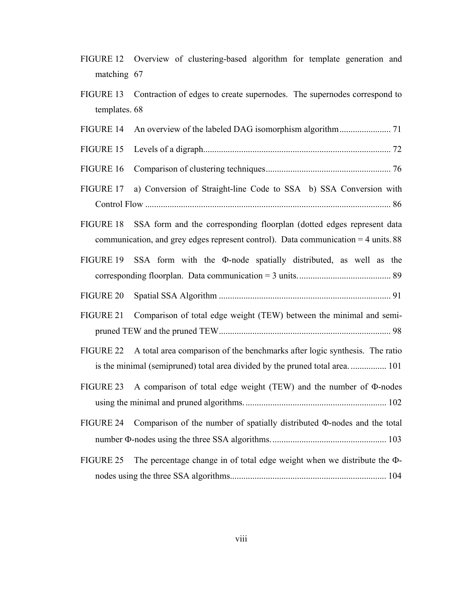| matching 67      | FIGURE 12 Overview of clustering-based algorithm for template generation and                                                                                        |
|------------------|---------------------------------------------------------------------------------------------------------------------------------------------------------------------|
| templates. 68    | FIGURE 13 Contraction of edges to create supernodes. The supernodes correspond to                                                                                   |
| FIGURE 14        |                                                                                                                                                                     |
| FIGURE 15        |                                                                                                                                                                     |
| FIGURE 16        |                                                                                                                                                                     |
| FIGURE 17        | a) Conversion of Straight-line Code to SSA b) SSA Conversion with                                                                                                   |
|                  |                                                                                                                                                                     |
| FIGURE 18        | SSA form and the corresponding floorplan (dotted edges represent data<br>communication, and grey edges represent control). Data communication $=$ 4 units. 88       |
| FIGURE 19        | SSA form with the $\Phi$ -node spatially distributed, as well as the                                                                                                |
| FIGURE 20        |                                                                                                                                                                     |
| FIGURE 21        | Comparison of total edge weight (TEW) between the minimal and semi-                                                                                                 |
|                  | FIGURE 22 A total area comparison of the benchmarks after logic synthesis. The ratio<br>is the minimal (semipruned) total area divided by the pruned total area 101 |
|                  | FIGURE 23 A comparison of total edge weight (TEW) and the number of $\Phi$ -nodes                                                                                   |
| <b>FIGURE 24</b> | Comparison of the number of spatially distributed $\Phi$ -nodes and the total                                                                                       |
| FIGURE 25        | The percentage change in of total edge weight when we distribute the $\Phi$ -                                                                                       |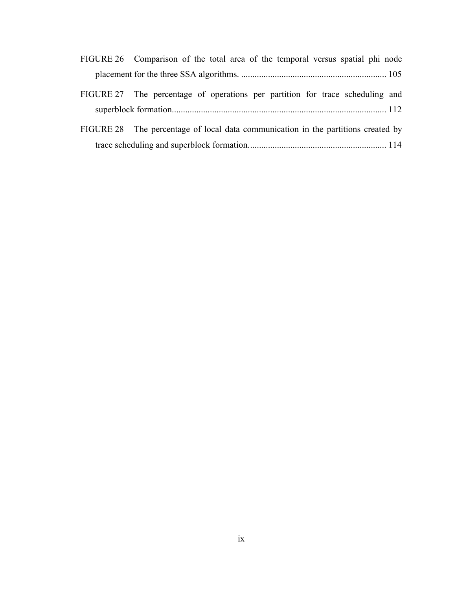| FIGURE 26 Comparison of the total area of the temporal versus spatial phi node    |  |  |
|-----------------------------------------------------------------------------------|--|--|
|                                                                                   |  |  |
| FIGURE 27 The percentage of operations per partition for trace scheduling and     |  |  |
|                                                                                   |  |  |
| FIGURE 28 The percentage of local data communication in the partitions created by |  |  |
|                                                                                   |  |  |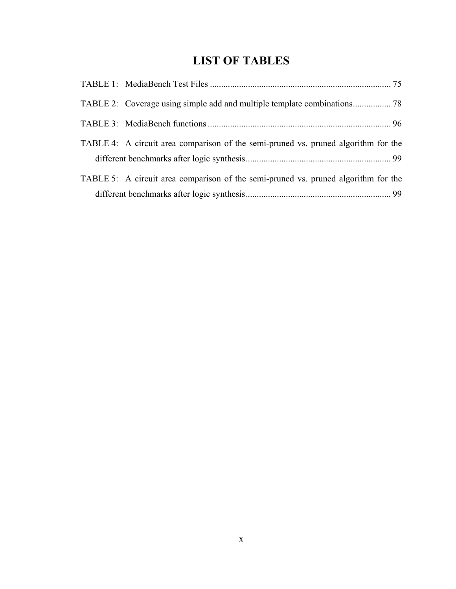# **LIST OF TABLES**

| TABLE 4: A circuit area comparison of the semi-pruned vs. pruned algorithm for the |  |
|------------------------------------------------------------------------------------|--|
|                                                                                    |  |
| TABLE 5: A circuit area comparison of the semi-pruned vs. pruned algorithm for the |  |
|                                                                                    |  |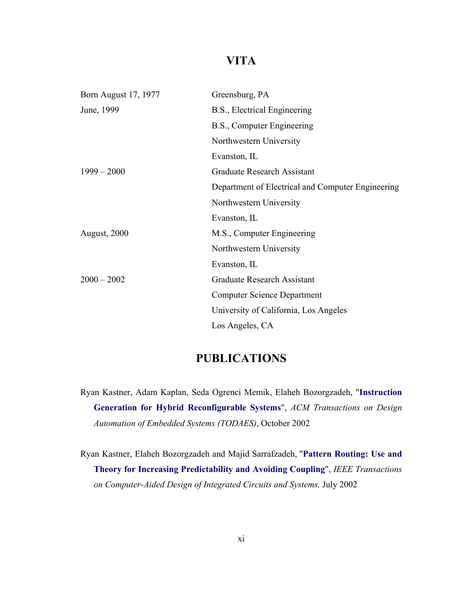### **VITA**

| Greensburg, PA                                    |
|---------------------------------------------------|
| B.S., Electrical Engineering                      |
| B.S., Computer Engineering                        |
| Northwestern University                           |
| Evanston, IL                                      |
| Graduate Research Assistant                       |
| Department of Electrical and Computer Engineering |
| Northwestern University                           |
| Evanston, IL                                      |
| M.S., Computer Engineering                        |
| Northwestern University                           |
| Evanston, IL                                      |
| <b>Graduate Research Assistant</b>                |
| <b>Computer Science Department</b>                |
| University of California, Los Angeles             |
| Los Angeles, CA                                   |
|                                                   |

## **PUBLICATIONS**

Ryan Kastner, Adam Kaplan, Seda Ogrenci Memik, Elaheh Bozorgzadeh, "**Instruction Generation for Hybrid Reconfigurable Systems**", *ACM Transactions on Design Automation of Embedded Systems (TODAES)*, October 2002

Ryan Kastner, Elaheh Bozorgzadeh and Majid Sarrafzadeh, "**Pattern Routing: Use and Theory for Increasing Predictability and Avoiding Coupling**", *IEEE Transactions on Computer-Aided Design of Integrated Circuits and Systems,* July 2002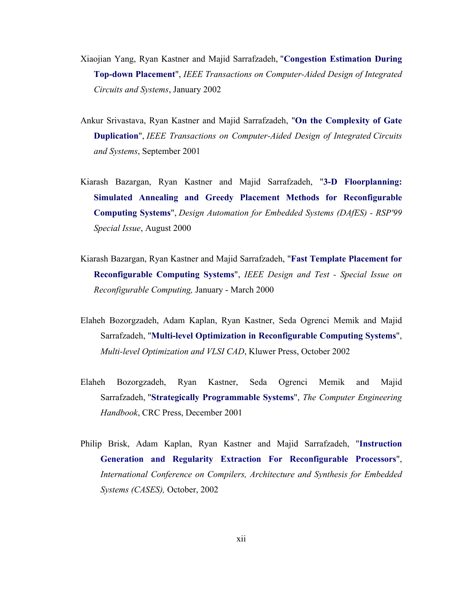- Xiaojian Yang, Ryan Kastner and Majid Sarrafzadeh, "**Congestion Estimation During Top-down Placement**", *IEEE Transactions on Computer-Aided Design of Integrated Circuits and Systems*, January 2002
- Ankur Srivastava, Ryan Kastner and Majid Sarrafzadeh, "**On the Complexity of Gate Duplication**", *IEEE Transactions on Computer-Aided Design of Integrated Circuits and Systems*, September 2001
- Kiarash Bazargan, Ryan Kastner and Majid Sarrafzadeh, "**3-D Floorplanning: Simulated Annealing and Greedy Placement Methods for Reconfigurable Computing Systems**", *Design Automation for Embedded Systems (DAfES) - RSP'99 Special Issue*, August 2000
- Kiarash Bazargan, Ryan Kastner and Majid Sarrafzadeh, "**Fast Template Placement for Reconfigurable Computing Systems**", *IEEE Design and Test - Special Issue on Reconfigurable Computing,* January - March 2000
- Elaheh Bozorgzadeh, Adam Kaplan, Ryan Kastner, Seda Ogrenci Memik and Majid Sarrafzadeh, "**Multi-level Optimization in Reconfigurable Computing Systems**", *Multi-level Optimization and VLSI CAD*, Kluwer Press, October 2002
- Elaheh Bozorgzadeh, Ryan Kastner, Seda Ogrenci Memik and Majid Sarrafzadeh, "**Strategically Programmable Systems**", *The Computer Engineering Handbook*, CRC Press, December 2001
- Philip Brisk, Adam Kaplan, Ryan Kastner and Majid Sarrafzadeh, "**Instruction Generation and Regularity Extraction For Reconfigurable Processors**", *International Conference on Compilers, Architecture and Synthesis for Embedded Systems (CASES),* October, 2002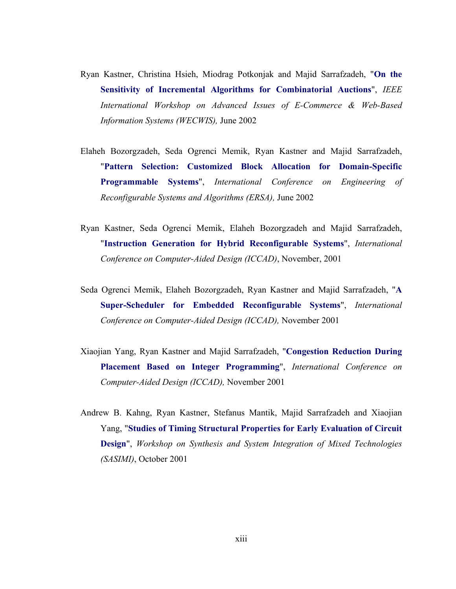- Ryan Kastner, Christina Hsieh, Miodrag Potkonjak and Majid Sarrafzadeh, "**On the Sensitivity of Incremental Algorithms for Combinatorial Auctions**", *IEEE International Workshop on Advanced Issues of E-Commerce & Web-Based Information Systems (WECWIS),* June 2002
- Elaheh Bozorgzadeh, Seda Ogrenci Memik, Ryan Kastner and Majid Sarrafzadeh, "**Pattern Selection: Customized Block Allocation for Domain-Specific Programmable Systems**", *International Conference on Engineering of Reconfigurable Systems and Algorithms (ERSA),* June 2002
- Ryan Kastner, Seda Ogrenci Memik, Elaheh Bozorgzadeh and Majid Sarrafzadeh, "**Instruction Generation for Hybrid Reconfigurable Systems**", *International Conference on Computer-Aided Design (ICCAD)*, November, 2001
- Seda Ogrenci Memik, Elaheh Bozorgzadeh, Ryan Kastner and Majid Sarrafzadeh, "**A Super-Scheduler for Embedded Reconfigurable Systems**", *International Conference on Computer-Aided Design (ICCAD),* November 2001
- Xiaojian Yang, Ryan Kastner and Majid Sarrafzadeh, "**Congestion Reduction During Placement Based on Integer Programming**", *International Conference on Computer-Aided Design (ICCAD),* November 2001
- Andrew B. Kahng, Ryan Kastner, Stefanus Mantik, Majid Sarrafzadeh and Xiaojian Yang, "**Studies of Timing Structural Properties for Early Evaluation of Circuit Design**", *Workshop on Synthesis and System Integration of Mixed Technologies (SASIMI)*, October 2001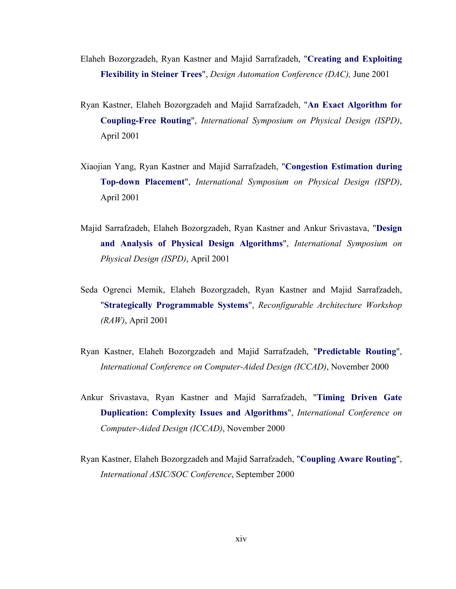- Elaheh Bozorgzadeh, Ryan Kastner and Majid Sarrafzadeh, "**Creating and Exploiting Flexibility in Steiner Trees**", *Design Automation Conference (DAC),* June 2001
- Ryan Kastner, Elaheh Bozorgzadeh and Majid Sarrafzadeh, "**An Exact Algorithm for Coupling-Free Routing**", *International Symposium on Physical Design (ISPD)*, April 2001
- Xiaojian Yang, Ryan Kastner and Majid Sarrafzadeh, "**Congestion Estimation during Top-down Placement**", *International Symposium on Physical Design (ISPD)*, April 2001
- Majid Sarrafzadeh, Elaheh Bozorgzadeh, Ryan Kastner and Ankur Srivastava, "**Design and Analysis of Physical Design Algorithms**", *International Symposium on Physical Design (ISPD)*, April 2001
- Seda Ogrenci Memik, Elaheh Bozorgzadeh, Ryan Kastner and Majid Sarrafzadeh, "**Strategically Programmable Systems**", *Reconfigurable Architecture Workshop (RAW)*, April 2001
- Ryan Kastner, Elaheh Bozorgzadeh and Majid Sarrafzadeh, "**Predictable Routing**", *International Conference on Computer-Aided Design (ICCAD)*, November 2000
- Ankur Srivastava, Ryan Kastner and Majid Sarrafzadeh, "**Timing Driven Gate Duplication: Complexity Issues and Algorithms**", *International Conference on Computer-Aided Design (ICCAD)*, November 2000
- Ryan Kastner, Elaheh Bozorgzadeh and Majid Sarrafzadeh, "**Coupling Aware Routing**", *International ASIC/SOC Conference*, September 2000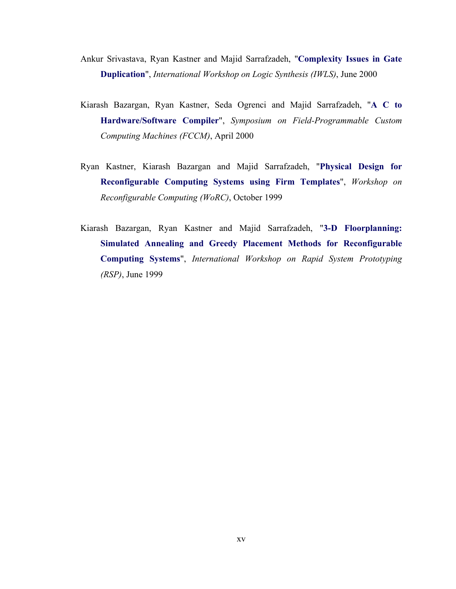- Ankur Srivastava, Ryan Kastner and Majid Sarrafzadeh, "**Complexity Issues in Gate Duplication**", *International Workshop on Logic Synthesis (IWLS)*, June 2000
- Kiarash Bazargan, Ryan Kastner, Seda Ogrenci and Majid Sarrafzadeh, "**A C to Hardware/Software Compiler**", *Symposium on Field-Programmable Custom Computing Machines (FCCM)*, April 2000
- Ryan Kastner, Kiarash Bazargan and Majid Sarrafzadeh, "**Physical Design for Reconfigurable Computing Systems using Firm Templates**", *Workshop on Reconfigurable Computing (WoRC)*, October 1999
- Kiarash Bazargan, Ryan Kastner and Majid Sarrafzadeh, "**3-D Floorplanning: Simulated Annealing and Greedy Placement Methods for Reconfigurable Computing Systems**", *International Workshop on Rapid System Prototyping (RSP)*, June 1999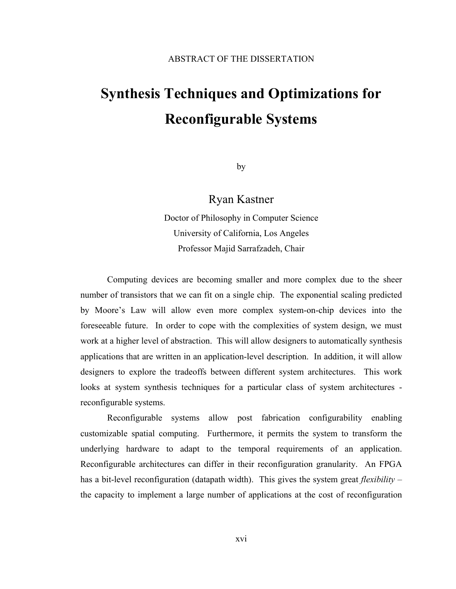# **Synthesis Techniques and Optimizations for Reconfigurable Systems**

by

Ryan Kastner

Doctor of Philosophy in Computer Science University of California, Los Angeles Professor Majid Sarrafzadeh, Chair

 Computing devices are becoming smaller and more complex due to the sheer number of transistors that we can fit on a single chip. The exponential scaling predicted by Moore's Law will allow even more complex system-on-chip devices into the foreseeable future. In order to cope with the complexities of system design, we must work at a higher level of abstraction. This will allow designers to automatically synthesis applications that are written in an application-level description. In addition, it will allow designers to explore the tradeoffs between different system architectures. This work looks at system synthesis techniques for a particular class of system architectures reconfigurable systems.

 Reconfigurable systems allow post fabrication configurability enabling customizable spatial computing. Furthermore, it permits the system to transform the underlying hardware to adapt to the temporal requirements of an application. Reconfigurable architectures can differ in their reconfiguration granularity. An FPGA has a bit-level reconfiguration (datapath width). This gives the system great *flexibility* – the capacity to implement a large number of applications at the cost of reconfiguration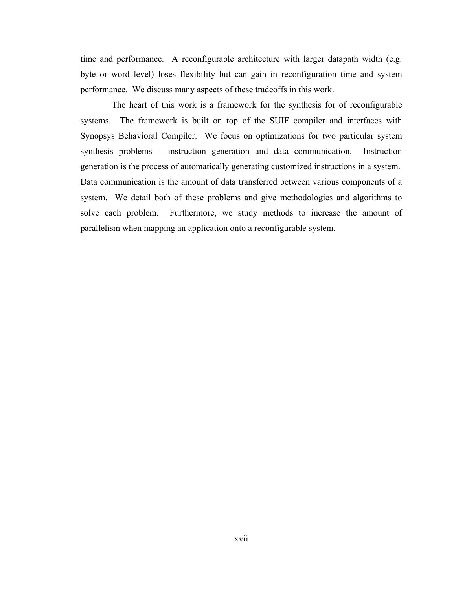time and performance. A reconfigurable architecture with larger datapath width (e.g. byte or word level) loses flexibility but can gain in reconfiguration time and system performance. We discuss many aspects of these tradeoffs in this work.

 The heart of this work is a framework for the synthesis for of reconfigurable systems. The framework is built on top of the SUIF compiler and interfaces with Synopsys Behavioral Compiler. We focus on optimizations for two particular system synthesis problems – instruction generation and data communication. Instruction generation is the process of automatically generating customized instructions in a system. Data communication is the amount of data transferred between various components of a system. We detail both of these problems and give methodologies and algorithms to solve each problem. Furthermore, we study methods to increase the amount of parallelism when mapping an application onto a reconfigurable system.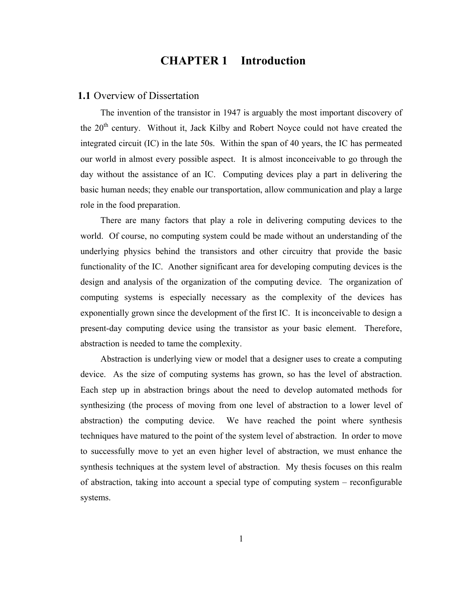### **CHAPTER 1 Introduction**

#### **1.1** Overview of Dissertation

The invention of the transistor in 1947 is arguably the most important discovery of the 20<sup>th</sup> century. Without it, Jack Kilby and Robert Noyce could not have created the integrated circuit (IC) in the late 50s. Within the span of 40 years, the IC has permeated our world in almost every possible aspect. It is almost inconceivable to go through the day without the assistance of an IC. Computing devices play a part in delivering the basic human needs; they enable our transportation, allow communication and play a large role in the food preparation.

There are many factors that play a role in delivering computing devices to the world. Of course, no computing system could be made without an understanding of the underlying physics behind the transistors and other circuitry that provide the basic functionality of the IC. Another significant area for developing computing devices is the design and analysis of the organization of the computing device. The organization of computing systems is especially necessary as the complexity of the devices has exponentially grown since the development of the first IC. It is inconceivable to design a present-day computing device using the transistor as your basic element. Therefore, abstraction is needed to tame the complexity.

Abstraction is underlying view or model that a designer uses to create a computing device. As the size of computing systems has grown, so has the level of abstraction. Each step up in abstraction brings about the need to develop automated methods for synthesizing (the process of moving from one level of abstraction to a lower level of abstraction) the computing device. We have reached the point where synthesis techniques have matured to the point of the system level of abstraction. In order to move to successfully move to yet an even higher level of abstraction, we must enhance the synthesis techniques at the system level of abstraction. My thesis focuses on this realm of abstraction, taking into account a special type of computing system – reconfigurable systems.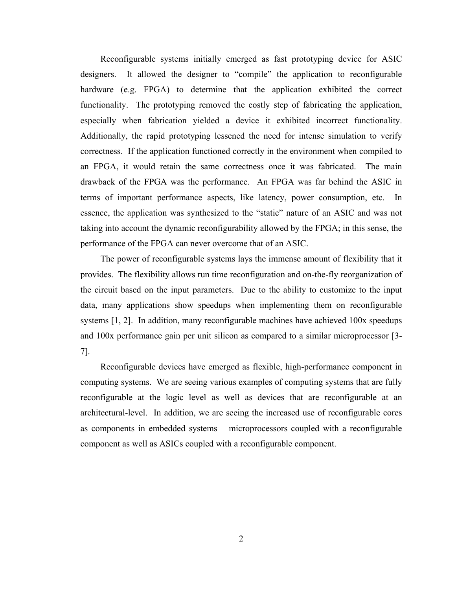Reconfigurable systems initially emerged as fast prototyping device for ASIC designers. It allowed the designer to "compile" the application to reconfigurable hardware (e.g. FPGA) to determine that the application exhibited the correct functionality. The prototyping removed the costly step of fabricating the application, especially when fabrication yielded a device it exhibited incorrect functionality. Additionally, the rapid prototyping lessened the need for intense simulation to verify correctness. If the application functioned correctly in the environment when compiled to an FPGA, it would retain the same correctness once it was fabricated. The main drawback of the FPGA was the performance. An FPGA was far behind the ASIC in terms of important performance aspects, like latency, power consumption, etc. In essence, the application was synthesized to the "static" nature of an ASIC and was not taking into account the dynamic reconfigurability allowed by the FPGA; in this sense, the performance of the FPGA can never overcome that of an ASIC.

The power of reconfigurable systems lays the immense amount of flexibility that it provides. The flexibility allows run time reconfiguration and on-the-fly reorganization of the circuit based on the input parameters. Due to the ability to customize to the input data, many applications show speedups when implementing them on reconfigurable systems [1, 2]. In addition, many reconfigurable machines have achieved 100x speedups and 100x performance gain per unit silicon as compared to a similar microprocessor [3- 7].

Reconfigurable devices have emerged as flexible, high-performance component in computing systems. We are seeing various examples of computing systems that are fully reconfigurable at the logic level as well as devices that are reconfigurable at an architectural-level. In addition, we are seeing the increased use of reconfigurable cores as components in embedded systems – microprocessors coupled with a reconfigurable component as well as ASICs coupled with a reconfigurable component.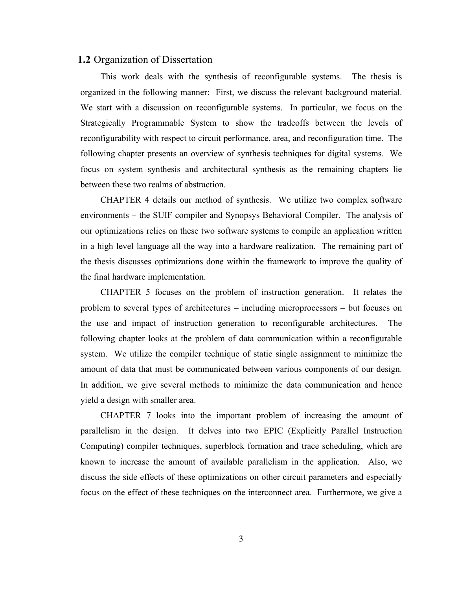#### **1.2** Organization of Dissertation

This work deals with the synthesis of reconfigurable systems. The thesis is organized in the following manner: First, we discuss the relevant background material. We start with a discussion on reconfigurable systems. In particular, we focus on the Strategically Programmable System to show the tradeoffs between the levels of reconfigurability with respect to circuit performance, area, and reconfiguration time. The following chapter presents an overview of synthesis techniques for digital systems. We focus on system synthesis and architectural synthesis as the remaining chapters lie between these two realms of abstraction.

CHAPTER 4 details our method of synthesis. We utilize two complex software environments – the SUIF compiler and Synopsys Behavioral Compiler. The analysis of our optimizations relies on these two software systems to compile an application written in a high level language all the way into a hardware realization. The remaining part of the thesis discusses optimizations done within the framework to improve the quality of the final hardware implementation.

CHAPTER 5 focuses on the problem of instruction generation. It relates the problem to several types of architectures – including microprocessors – but focuses on the use and impact of instruction generation to reconfigurable architectures. The following chapter looks at the problem of data communication within a reconfigurable system. We utilize the compiler technique of static single assignment to minimize the amount of data that must be communicated between various components of our design. In addition, we give several methods to minimize the data communication and hence yield a design with smaller area.

CHAPTER 7 looks into the important problem of increasing the amount of parallelism in the design. It delves into two EPIC (Explicitly Parallel Instruction Computing) compiler techniques, superblock formation and trace scheduling, which are known to increase the amount of available parallelism in the application. Also, we discuss the side effects of these optimizations on other circuit parameters and especially focus on the effect of these techniques on the interconnect area. Furthermore, we give a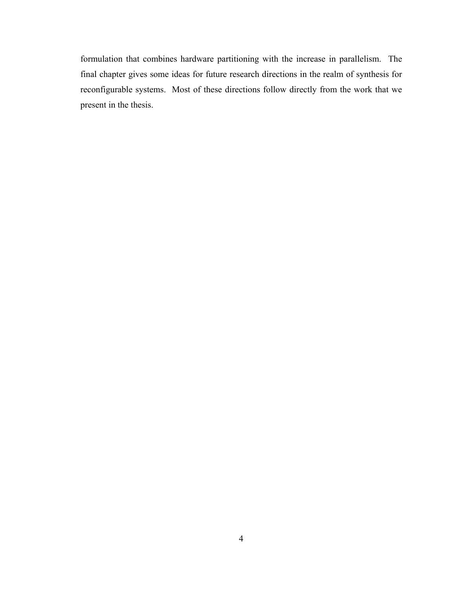formulation that combines hardware partitioning with the increase in parallelism. The final chapter gives some ideas for future research directions in the realm of synthesis for reconfigurable systems. Most of these directions follow directly from the work that we present in the thesis.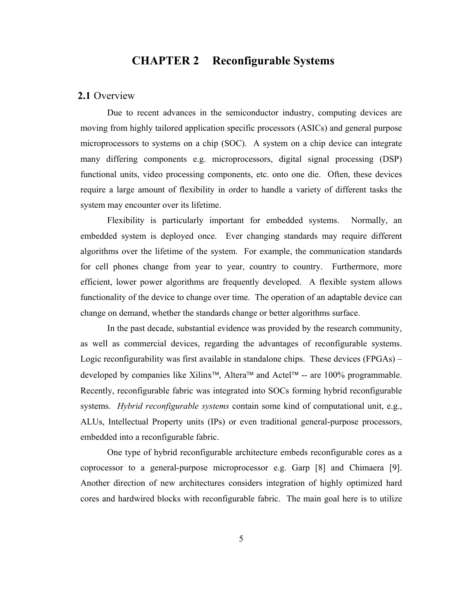### **CHAPTER 2 Reconfigurable Systems**

#### **2.1** Overview

Due to recent advances in the semiconductor industry, computing devices are moving from highly tailored application specific processors (ASICs) and general purpose microprocessors to systems on a chip (SOC). A system on a chip device can integrate many differing components e.g. microprocessors, digital signal processing (DSP) functional units, video processing components, etc. onto one die. Often, these devices require a large amount of flexibility in order to handle a variety of different tasks the system may encounter over its lifetime.

Flexibility is particularly important for embedded systems. Normally, an embedded system is deployed once. Ever changing standards may require different algorithms over the lifetime of the system. For example, the communication standards for cell phones change from year to year, country to country. Furthermore, more efficient, lower power algorithms are frequently developed. A flexible system allows functionality of the device to change over time. The operation of an adaptable device can change on demand, whether the standards change or better algorithms surface.

In the past decade, substantial evidence was provided by the research community, as well as commercial devices, regarding the advantages of reconfigurable systems. Logic reconfigurability was first available in standalone chips. These devices (FPGAs) – developed by companies like Xilinx<sup>™</sup>, Altera™ and Actel™ -- are 100% programmable. Recently, reconfigurable fabric was integrated into SOCs forming hybrid reconfigurable systems. *Hybrid reconfigurable systems* contain some kind of computational unit, e.g., ALUs, Intellectual Property units (IPs) or even traditional general-purpose processors, embedded into a reconfigurable fabric.

One type of hybrid reconfigurable architecture embeds reconfigurable cores as a coprocessor to a general-purpose microprocessor e.g. Garp [8] and Chimaera [9]. Another direction of new architectures considers integration of highly optimized hard cores and hardwired blocks with reconfigurable fabric. The main goal here is to utilize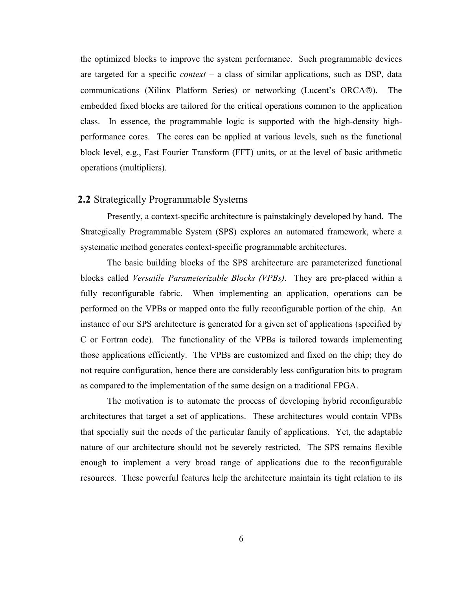the optimized blocks to improve the system performance. Such programmable devices are targeted for a specific *context* – a class of similar applications, such as DSP, data communications (Xilinx Platform Series) or networking (Lucent's ORCA®). The embedded fixed blocks are tailored for the critical operations common to the application class. In essence, the programmable logic is supported with the high-density highperformance cores. The cores can be applied at various levels, such as the functional block level, e.g., Fast Fourier Transform (FFT) units, or at the level of basic arithmetic operations (multipliers).

#### **2.2** Strategically Programmable Systems

Presently, a context-specific architecture is painstakingly developed by hand. The Strategically Programmable System (SPS) explores an automated framework, where a systematic method generates context-specific programmable architectures.

The basic building blocks of the SPS architecture are parameterized functional blocks called *Versatile Parameterizable Blocks (VPBs)*. They are pre-placed within a fully reconfigurable fabric. When implementing an application, operations can be performed on the VPBs or mapped onto the fully reconfigurable portion of the chip. An instance of our SPS architecture is generated for a given set of applications (specified by C or Fortran code). The functionality of the VPBs is tailored towards implementing those applications efficiently. The VPBs are customized and fixed on the chip; they do not require configuration, hence there are considerably less configuration bits to program as compared to the implementation of the same design on a traditional FPGA.

The motivation is to automate the process of developing hybrid reconfigurable architectures that target a set of applications. These architectures would contain VPBs that specially suit the needs of the particular family of applications. Yet, the adaptable nature of our architecture should not be severely restricted. The SPS remains flexible enough to implement a very broad range of applications due to the reconfigurable resources. These powerful features help the architecture maintain its tight relation to its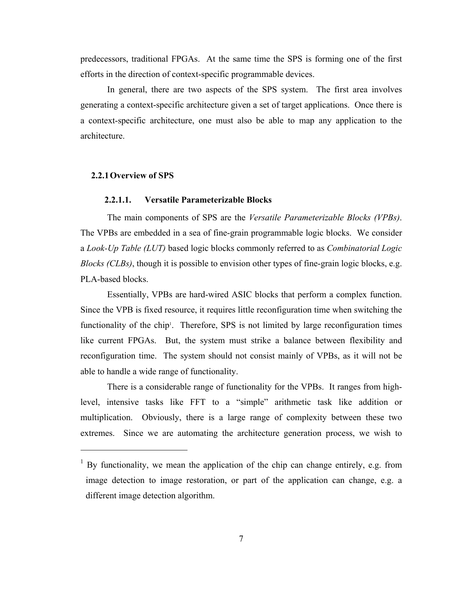predecessors, traditional FPGAs. At the same time the SPS is forming one of the first efforts in the direction of context-specific programmable devices.

In general, there are two aspects of the SPS system. The first area involves generating a context-specific architecture given a set of target applications. Once there is a context-specific architecture, one must also be able to map any application to the architecture.

#### **2.2.1Overview of SPS**

<u>.</u>

#### **2.2.1.1. Versatile Parameterizable Blocks**

The main components of SPS are the *Versatile Parameterizable Blocks (VPBs)*. The VPBs are embedded in a sea of fine-grain programmable logic blocks. We consider a *Look-Up Table (LUT)* based logic blocks commonly referred to as *Combinatorial Logic Blocks (CLBs)*, though it is possible to envision other types of fine-grain logic blocks, e.g. PLA-based blocks.

Essentially, VPBs are hard-wired ASIC blocks that perform a complex function. Since the VPB is fixed resource, it requires little reconfiguration time when switching the functionality of the chip<sup>1</sup>. Therefore, SPS is not limited by large reconfiguration times like current FPGAs. But, the system must strike a balance between flexibility and reconfiguration time. The system should not consist mainly of VPBs, as it will not be able to handle a wide range of functionality.

There is a considerable range of functionality for the VPBs. It ranges from highlevel, intensive tasks like FFT to a "simple" arithmetic task like addition or multiplication. Obviously, there is a large range of complexity between these two extremes. Since we are automating the architecture generation process, we wish to

<sup>&</sup>lt;sup>1</sup> By functionality, we mean the application of the chip can change entirely, e.g. from image detection to image restoration, or part of the application can change, e.g. a different image detection algorithm.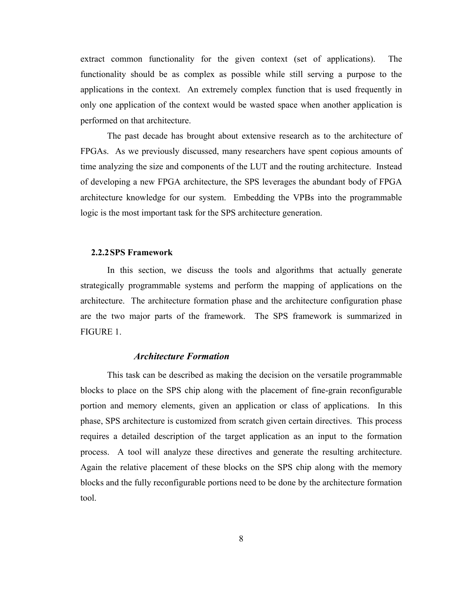extract common functionality for the given context (set of applications). The functionality should be as complex as possible while still serving a purpose to the applications in the context. An extremely complex function that is used frequently in only one application of the context would be wasted space when another application is performed on that architecture.

The past decade has brought about extensive research as to the architecture of FPGAs. As we previously discussed, many researchers have spent copious amounts of time analyzing the size and components of the LUT and the routing architecture. Instead of developing a new FPGA architecture, the SPS leverages the abundant body of FPGA architecture knowledge for our system. Embedding the VPBs into the programmable logic is the most important task for the SPS architecture generation.

#### **2.2.2SPS Framework**

In this section, we discuss the tools and algorithms that actually generate strategically programmable systems and perform the mapping of applications on the architecture. The architecture formation phase and the architecture configuration phase are the two major parts of the framework. The SPS framework is summarized in FIGURE 1.

#### *Architecture Formation*

This task can be described as making the decision on the versatile programmable blocks to place on the SPS chip along with the placement of fine-grain reconfigurable portion and memory elements, given an application or class of applications. In this phase, SPS architecture is customized from scratch given certain directives. This process requires a detailed description of the target application as an input to the formation process. A tool will analyze these directives and generate the resulting architecture. Again the relative placement of these blocks on the SPS chip along with the memory blocks and the fully reconfigurable portions need to be done by the architecture formation tool.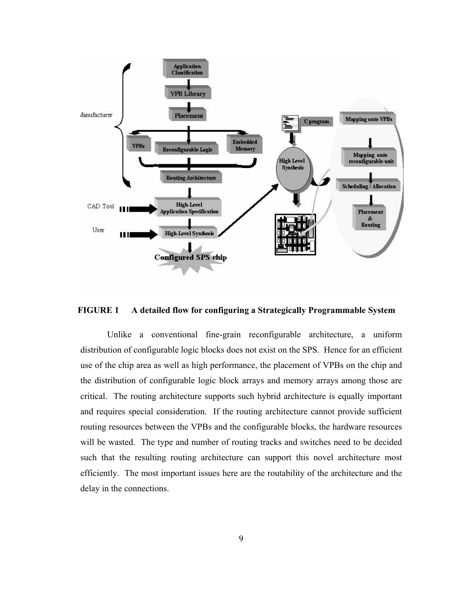

#### **FIGURE 1 A detailed flow for configuring a Strategically Programmable System**

Unlike a conventional fine-grain reconfigurable architecture, a uniform distribution of configurable logic blocks does not exist on the SPS. Hence for an efficient use of the chip area as well as high performance, the placement of VPBs on the chip and the distribution of configurable logic block arrays and memory arrays among those are critical. The routing architecture supports such hybrid architecture is equally important and requires special consideration. If the routing architecture cannot provide sufficient routing resources between the VPBs and the configurable blocks, the hardware resources will be wasted. The type and number of routing tracks and switches need to be decided such that the resulting routing architecture can support this novel architecture most efficiently. The most important issues here are the routability of the architecture and the delay in the connections.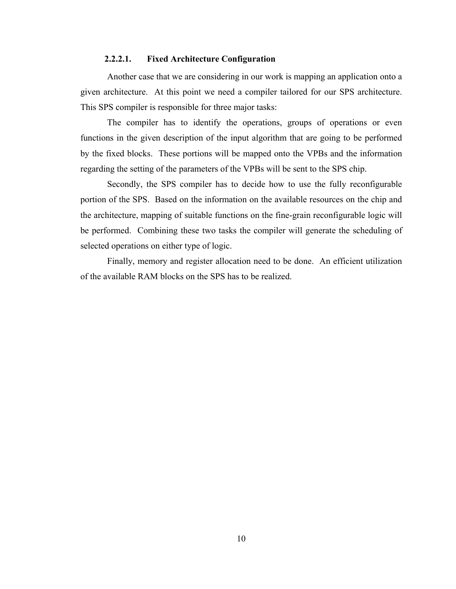#### **2.2.2.1. Fixed Architecture Configuration**

Another case that we are considering in our work is mapping an application onto a given architecture. At this point we need a compiler tailored for our SPS architecture. This SPS compiler is responsible for three major tasks:

The compiler has to identify the operations, groups of operations or even functions in the given description of the input algorithm that are going to be performed by the fixed blocks. These portions will be mapped onto the VPBs and the information regarding the setting of the parameters of the VPBs will be sent to the SPS chip.

Secondly, the SPS compiler has to decide how to use the fully reconfigurable portion of the SPS. Based on the information on the available resources on the chip and the architecture, mapping of suitable functions on the fine-grain reconfigurable logic will be performed. Combining these two tasks the compiler will generate the scheduling of selected operations on either type of logic.

Finally, memory and register allocation need to be done. An efficient utilization of the available RAM blocks on the SPS has to be realized.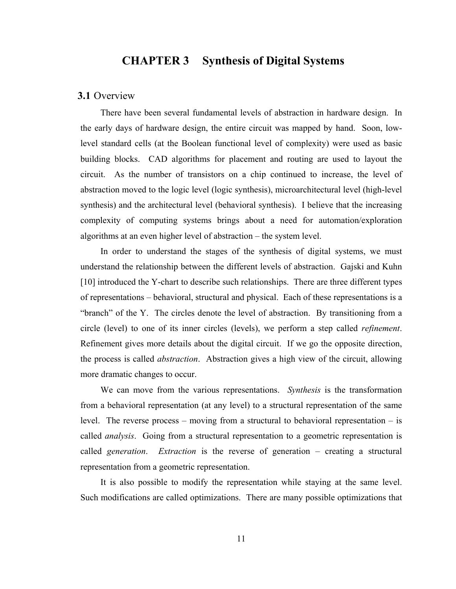### **CHAPTER 3 Synthesis of Digital Systems**

#### **3.1** Overview

There have been several fundamental levels of abstraction in hardware design. In the early days of hardware design, the entire circuit was mapped by hand. Soon, lowlevel standard cells (at the Boolean functional level of complexity) were used as basic building blocks. CAD algorithms for placement and routing are used to layout the circuit. As the number of transistors on a chip continued to increase, the level of abstraction moved to the logic level (logic synthesis), microarchitectural level (high-level synthesis) and the architectural level (behavioral synthesis). I believe that the increasing complexity of computing systems brings about a need for automation/exploration algorithms at an even higher level of abstraction – the system level.

In order to understand the stages of the synthesis of digital systems, we must understand the relationship between the different levels of abstraction. Gajski and Kuhn [10] introduced the Y-chart to describe such relationships. There are three different types of representations – behavioral, structural and physical. Each of these representations is a "branch" of the Y. The circles denote the level of abstraction. By transitioning from a circle (level) to one of its inner circles (levels), we perform a step called *refinement*. Refinement gives more details about the digital circuit. If we go the opposite direction, the process is called *abstraction*. Abstraction gives a high view of the circuit, allowing more dramatic changes to occur.

We can move from the various representations. *Synthesis* is the transformation from a behavioral representation (at any level) to a structural representation of the same level. The reverse process – moving from a structural to behavioral representation – is called *analysis*. Going from a structural representation to a geometric representation is called *generation*. *Extraction* is the reverse of generation – creating a structural representation from a geometric representation.

It is also possible to modify the representation while staying at the same level. Such modifications are called optimizations. There are many possible optimizations that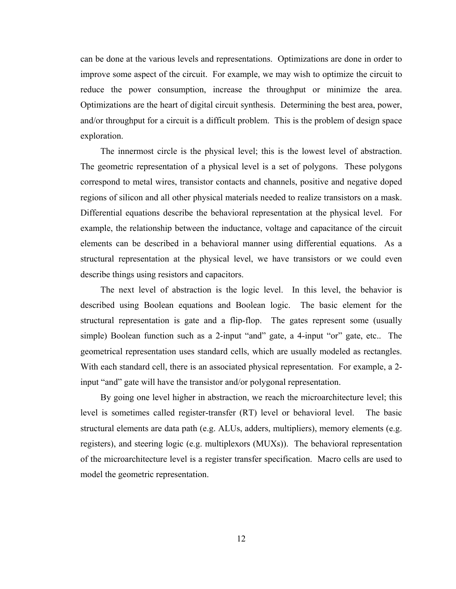can be done at the various levels and representations. Optimizations are done in order to improve some aspect of the circuit. For example, we may wish to optimize the circuit to reduce the power consumption, increase the throughput or minimize the area. Optimizations are the heart of digital circuit synthesis. Determining the best area, power, and/or throughput for a circuit is a difficult problem. This is the problem of design space exploration.

The innermost circle is the physical level; this is the lowest level of abstraction. The geometric representation of a physical level is a set of polygons. These polygons correspond to metal wires, transistor contacts and channels, positive and negative doped regions of silicon and all other physical materials needed to realize transistors on a mask. Differential equations describe the behavioral representation at the physical level. For example, the relationship between the inductance, voltage and capacitance of the circuit elements can be described in a behavioral manner using differential equations. As a structural representation at the physical level, we have transistors or we could even describe things using resistors and capacitors.

The next level of abstraction is the logic level. In this level, the behavior is described using Boolean equations and Boolean logic. The basic element for the structural representation is gate and a flip-flop. The gates represent some (usually simple) Boolean function such as a 2-input "and" gate, a 4-input "or" gate, etc.. The geometrical representation uses standard cells, which are usually modeled as rectangles. With each standard cell, there is an associated physical representation. For example, a 2input "and" gate will have the transistor and/or polygonal representation.

By going one level higher in abstraction, we reach the microarchitecture level; this level is sometimes called register-transfer (RT) level or behavioral level. The basic structural elements are data path (e.g. ALUs, adders, multipliers), memory elements (e.g. registers), and steering logic (e.g. multiplexors (MUXs)). The behavioral representation of the microarchitecture level is a register transfer specification. Macro cells are used to model the geometric representation.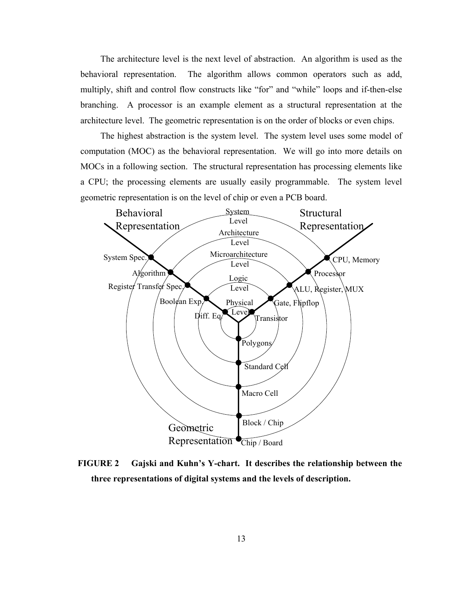The architecture level is the next level of abstraction. An algorithm is used as the behavioral representation. The algorithm allows common operators such as add, multiply, shift and control flow constructs like "for" and "while" loops and if-then-else branching. A processor is an example element as a structural representation at the architecture level. The geometric representation is on the order of blocks or even chips.

The highest abstraction is the system level. The system level uses some model of computation (MOC) as the behavioral representation. We will go into more details on MOCs in a following section. The structural representation has processing elements like a CPU; the processing elements are usually easily programmable. The system level geometric representation is on the level of chip or even a PCB board.



**FIGURE 2 Gajski and Kuhn's Y-chart. It describes the relationship between the three representations of digital systems and the levels of description.**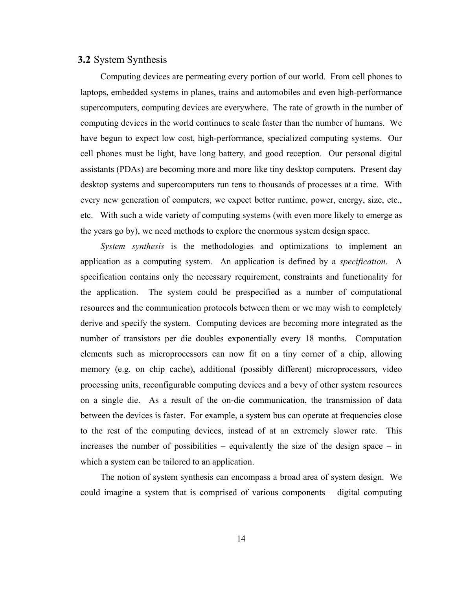#### **3.2** System Synthesis

Computing devices are permeating every portion of our world. From cell phones to laptops, embedded systems in planes, trains and automobiles and even high-performance supercomputers, computing devices are everywhere. The rate of growth in the number of computing devices in the world continues to scale faster than the number of humans. We have begun to expect low cost, high-performance, specialized computing systems. Our cell phones must be light, have long battery, and good reception. Our personal digital assistants (PDAs) are becoming more and more like tiny desktop computers. Present day desktop systems and supercomputers run tens to thousands of processes at a time. With every new generation of computers, we expect better runtime, power, energy, size, etc., etc. With such a wide variety of computing systems (with even more likely to emerge as the years go by), we need methods to explore the enormous system design space.

*System synthesis* is the methodologies and optimizations to implement an application as a computing system. An application is defined by a *specification*. A specification contains only the necessary requirement, constraints and functionality for the application. The system could be prespecified as a number of computational resources and the communication protocols between them or we may wish to completely derive and specify the system. Computing devices are becoming more integrated as the number of transistors per die doubles exponentially every 18 months. Computation elements such as microprocessors can now fit on a tiny corner of a chip, allowing memory (e.g. on chip cache), additional (possibly different) microprocessors, video processing units, reconfigurable computing devices and a bevy of other system resources on a single die. As a result of the on-die communication, the transmission of data between the devices is faster. For example, a system bus can operate at frequencies close to the rest of the computing devices, instead of at an extremely slower rate. This increases the number of possibilities – equivalently the size of the design space – in which a system can be tailored to an application.

The notion of system synthesis can encompass a broad area of system design. We could imagine a system that is comprised of various components – digital computing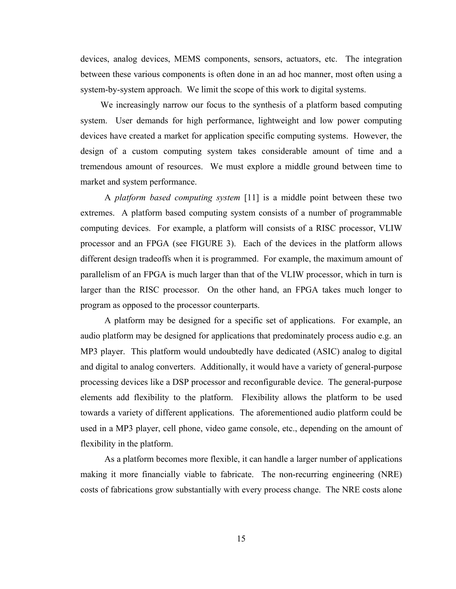devices, analog devices, MEMS components, sensors, actuators, etc. The integration between these various components is often done in an ad hoc manner, most often using a system-by-system approach. We limit the scope of this work to digital systems.

We increasingly narrow our focus to the synthesis of a platform based computing system. User demands for high performance, lightweight and low power computing devices have created a market for application specific computing systems. However, the design of a custom computing system takes considerable amount of time and a tremendous amount of resources. We must explore a middle ground between time to market and system performance.

A *platform based computing system* [11] is a middle point between these two extremes. A platform based computing system consists of a number of programmable computing devices. For example, a platform will consists of a RISC processor, VLIW processor and an FPGA (see FIGURE 3). Each of the devices in the platform allows different design tradeoffs when it is programmed. For example, the maximum amount of parallelism of an FPGA is much larger than that of the VLIW processor, which in turn is larger than the RISC processor. On the other hand, an FPGA takes much longer to program as opposed to the processor counterparts.

A platform may be designed for a specific set of applications. For example, an audio platform may be designed for applications that predominately process audio e.g. an MP3 player. This platform would undoubtedly have dedicated (ASIC) analog to digital and digital to analog converters. Additionally, it would have a variety of general-purpose processing devices like a DSP processor and reconfigurable device. The general-purpose elements add flexibility to the platform. Flexibility allows the platform to be used towards a variety of different applications. The aforementioned audio platform could be used in a MP3 player, cell phone, video game console, etc., depending on the amount of flexibility in the platform.

As a platform becomes more flexible, it can handle a larger number of applications making it more financially viable to fabricate. The non-recurring engineering (NRE) costs of fabrications grow substantially with every process change. The NRE costs alone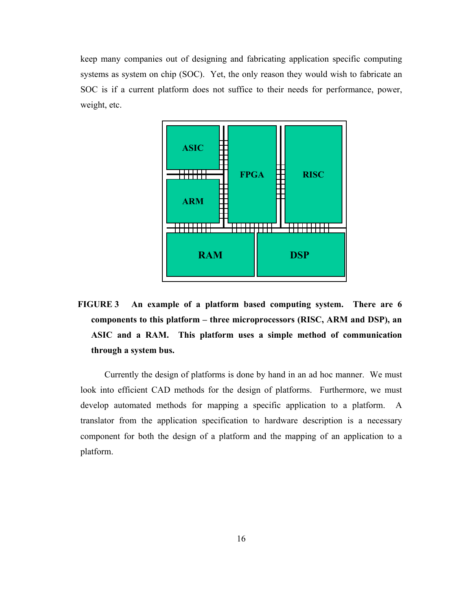keep many companies out of designing and fabricating application specific computing systems as system on chip (SOC). Yet, the only reason they would wish to fabricate an SOC is if a current platform does not suffice to their needs for performance, power, weight, etc.



**FIGURE 3 An example of a platform based computing system. There are 6 components to this platform – three microprocessors (RISC, ARM and DSP), an ASIC and a RAM. This platform uses a simple method of communication through a system bus.** 

Currently the design of platforms is done by hand in an ad hoc manner. We must look into efficient CAD methods for the design of platforms. Furthermore, we must develop automated methods for mapping a specific application to a platform. A translator from the application specification to hardware description is a necessary component for both the design of a platform and the mapping of an application to a platform.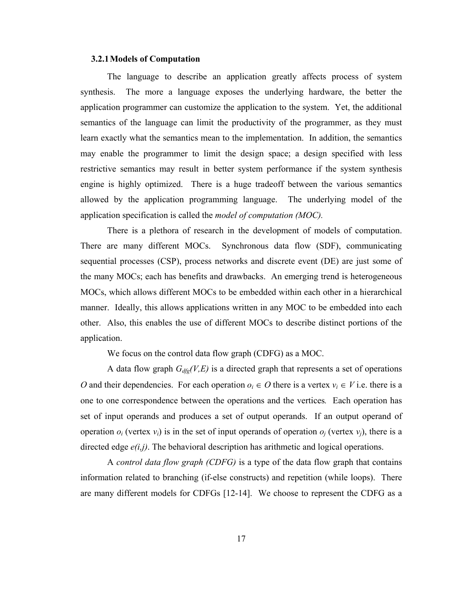#### **3.2.1Models of Computation**

The language to describe an application greatly affects process of system synthesis. The more a language exposes the underlying hardware, the better the application programmer can customize the application to the system. Yet, the additional semantics of the language can limit the productivity of the programmer, as they must learn exactly what the semantics mean to the implementation. In addition, the semantics may enable the programmer to limit the design space; a design specified with less restrictive semantics may result in better system performance if the system synthesis engine is highly optimized. There is a huge tradeoff between the various semantics allowed by the application programming language. The underlying model of the application specification is called the *model of computation (MOC).*

There is a plethora of research in the development of models of computation. There are many different MOCs. Synchronous data flow (SDF), communicating sequential processes (CSP), process networks and discrete event (DE) are just some of the many MOCs; each has benefits and drawbacks. An emerging trend is heterogeneous MOCs, which allows different MOCs to be embedded within each other in a hierarchical manner. Ideally, this allows applications written in any MOC to be embedded into each other. Also, this enables the use of different MOCs to describe distinct portions of the application.

We focus on the control data flow graph (CDFG) as a MOC.

A data flow graph  $G_{\text{dfg}}(V,E)$  is a directed graph that represents a set of operations *O* and their dependencies. For each operation  $o_i \in O$  there is a vertex  $v_i \in V$  i.e. there is a one to one correspondence between the operations and the vertices*.* Each operation has set of input operands and produces a set of output operands. If an output operand of operation  $o_i$  (vertex  $v_i$ ) is in the set of input operands of operation  $o_i$  (vertex  $v_i$ ), there is a directed edge  $e(i,j)$ . The behavioral description has arithmetic and logical operations.

A *control data flow graph (CDFG)* is a type of the data flow graph that contains information related to branching (if-else constructs) and repetition (while loops). There are many different models for CDFGs [12-14]. We choose to represent the CDFG as a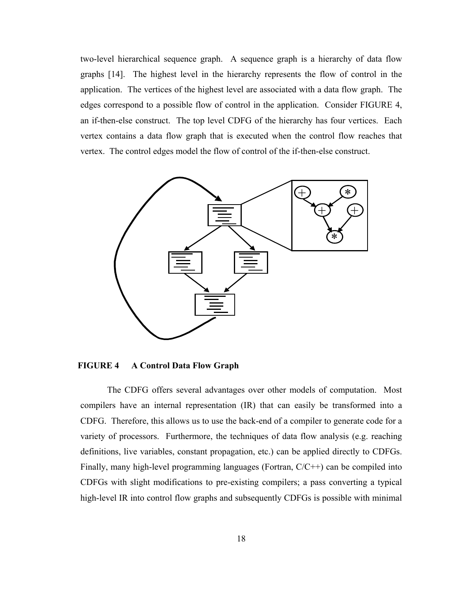two-level hierarchical sequence graph. A sequence graph is a hierarchy of data flow graphs [14]. The highest level in the hierarchy represents the flow of control in the application. The vertices of the highest level are associated with a data flow graph. The edges correspond to a possible flow of control in the application. Consider FIGURE 4, an if-then-else construct. The top level CDFG of the hierarchy has four vertices. Each vertex contains a data flow graph that is executed when the control flow reaches that vertex. The control edges model the flow of control of the if-then-else construct.



#### **FIGURE 4 A Control Data Flow Graph**

The CDFG offers several advantages over other models of computation. Most compilers have an internal representation (IR) that can easily be transformed into a CDFG. Therefore, this allows us to use the back-end of a compiler to generate code for a variety of processors. Furthermore, the techniques of data flow analysis (e.g. reaching definitions, live variables, constant propagation, etc.) can be applied directly to CDFGs. Finally, many high-level programming languages (Fortran, C/C++) can be compiled into CDFGs with slight modifications to pre-existing compilers; a pass converting a typical high-level IR into control flow graphs and subsequently CDFGs is possible with minimal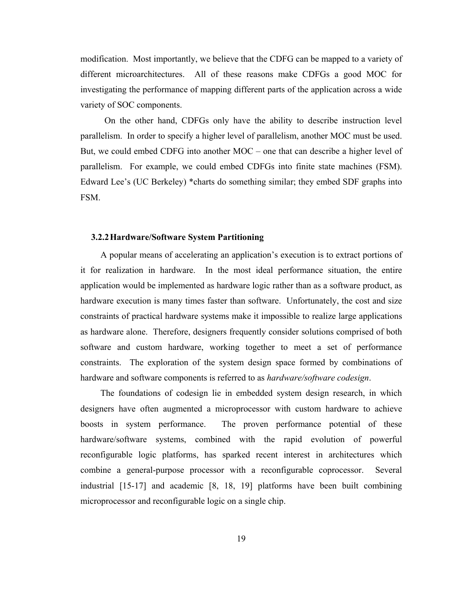modification. Most importantly, we believe that the CDFG can be mapped to a variety of different microarchitectures. All of these reasons make CDFGs a good MOC for investigating the performance of mapping different parts of the application across a wide variety of SOC components.

On the other hand, CDFGs only have the ability to describe instruction level parallelism. In order to specify a higher level of parallelism, another MOC must be used. But, we could embed CDFG into another MOC – one that can describe a higher level of parallelism. For example, we could embed CDFGs into finite state machines (FSM). Edward Lee's (UC Berkeley) \*charts do something similar; they embed SDF graphs into FSM.

#### **3.2.2Hardware/Software System Partitioning**

A popular means of accelerating an application's execution is to extract portions of it for realization in hardware. In the most ideal performance situation, the entire application would be implemented as hardware logic rather than as a software product, as hardware execution is many times faster than software. Unfortunately, the cost and size constraints of practical hardware systems make it impossible to realize large applications as hardware alone. Therefore, designers frequently consider solutions comprised of both software and custom hardware, working together to meet a set of performance constraints. The exploration of the system design space formed by combinations of hardware and software components is referred to as *hardware/software codesign*.

The foundations of codesign lie in embedded system design research, in which designers have often augmented a microprocessor with custom hardware to achieve boosts in system performance. The proven performance potential of these hardware/software systems, combined with the rapid evolution of powerful reconfigurable logic platforms, has sparked recent interest in architectures which combine a general-purpose processor with a reconfigurable coprocessor. Several industrial [15-17] and academic [8, 18, 19] platforms have been built combining microprocessor and reconfigurable logic on a single chip.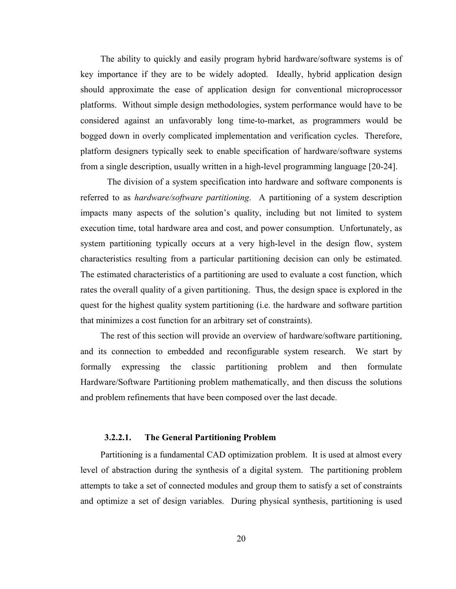The ability to quickly and easily program hybrid hardware/software systems is of key importance if they are to be widely adopted. Ideally, hybrid application design should approximate the ease of application design for conventional microprocessor platforms. Without simple design methodologies, system performance would have to be considered against an unfavorably long time-to-market, as programmers would be bogged down in overly complicated implementation and verification cycles. Therefore, platform designers typically seek to enable specification of hardware/software systems from a single description, usually written in a high-level programming language [20-24].

 The division of a system specification into hardware and software components is referred to as *hardware/software partitioning*. A partitioning of a system description impacts many aspects of the solution's quality, including but not limited to system execution time, total hardware area and cost, and power consumption. Unfortunately, as system partitioning typically occurs at a very high-level in the design flow, system characteristics resulting from a particular partitioning decision can only be estimated. The estimated characteristics of a partitioning are used to evaluate a cost function, which rates the overall quality of a given partitioning. Thus, the design space is explored in the quest for the highest quality system partitioning (i.e. the hardware and software partition that minimizes a cost function for an arbitrary set of constraints).

The rest of this section will provide an overview of hardware/software partitioning, and its connection to embedded and reconfigurable system research. We start by formally expressing the classic partitioning problem and then formulate Hardware/Software Partitioning problem mathematically, and then discuss the solutions and problem refinements that have been composed over the last decade.

## **3.2.2.1. The General Partitioning Problem**

Partitioning is a fundamental CAD optimization problem. It is used at almost every level of abstraction during the synthesis of a digital system. The partitioning problem attempts to take a set of connected modules and group them to satisfy a set of constraints and optimize a set of design variables. During physical synthesis, partitioning is used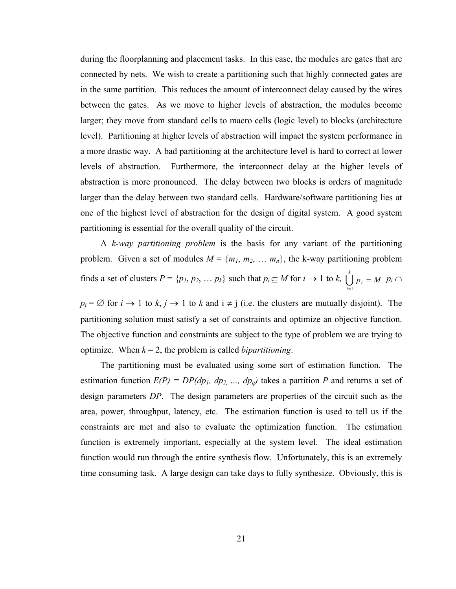during the floorplanning and placement tasks. In this case, the modules are gates that are connected by nets. We wish to create a partitioning such that highly connected gates are in the same partition. This reduces the amount of interconnect delay caused by the wires between the gates. As we move to higher levels of abstraction, the modules become larger; they move from standard cells to macro cells (logic level) to blocks (architecture level). Partitioning at higher levels of abstraction will impact the system performance in a more drastic way. A bad partitioning at the architecture level is hard to correct at lower levels of abstraction. Furthermore, the interconnect delay at the higher levels of abstraction is more pronounced. The delay between two blocks is orders of magnitude larger than the delay between two standard cells. Hardware/software partitioning lies at one of the highest level of abstraction for the design of digital system. A good system partitioning is essential for the overall quality of the circuit.

A *k-way partitioning problem* is the basis for any variant of the partitioning problem. Given a set of modules  $M = \{m_1, m_2, \ldots, m_n\}$ , the k-way partitioning problem finds a set of clusters  $P = \{p_1, p_2, ..., p_k\}$  such that  $p_i \subseteq M$  for  $i \to 1$  to  $k$ ,  $\bigcup_{i=1}^k p_i = 1$  $\bigcup_{i=1}$   $p_i = M$  $= M \; p_i \cap$ 

 $p_j = \emptyset$  for  $i \to 1$  to  $k, j \to 1$  to  $k$  and  $i \neq j$  (i.e. the clusters are mutually disjoint). The partitioning solution must satisfy a set of constraints and optimize an objective function. The objective function and constraints are subject to the type of problem we are trying to optimize. When  $k = 2$ , the problem is called *bipartitioning*.

The partitioning must be evaluated using some sort of estimation function. The estimation function  $E(P) = DP(dp_1, dp_2, ..., dp_d)$  takes a partition *P* and returns a set of design parameters *DP*. The design parameters are properties of the circuit such as the area, power, throughput, latency, etc. The estimation function is used to tell us if the constraints are met and also to evaluate the optimization function. The estimation function is extremely important, especially at the system level. The ideal estimation function would run through the entire synthesis flow. Unfortunately, this is an extremely time consuming task. A large design can take days to fully synthesize. Obviously, this is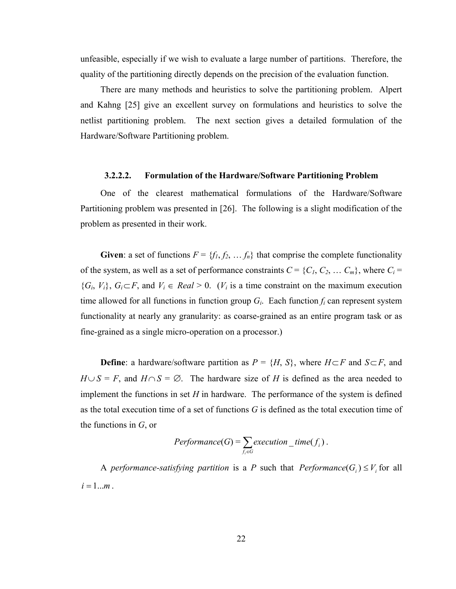unfeasible, especially if we wish to evaluate a large number of partitions. Therefore, the quality of the partitioning directly depends on the precision of the evaluation function.

There are many methods and heuristics to solve the partitioning problem. Alpert and Kahng [25] give an excellent survey on formulations and heuristics to solve the netlist partitioning problem. The next section gives a detailed formulation of the Hardware/Software Partitioning problem.

#### **3.2.2.2. Formulation of the Hardware/Software Partitioning Problem**

One of the clearest mathematical formulations of the Hardware/Software Partitioning problem was presented in [26]. The following is a slight modification of the problem as presented in their work.

**Given**: a set of functions  $F = \{f_1, f_2, \dots, f_n\}$  that comprise the complete functionality of the system, as well as a set of performance constraints  $C = \{C_1, C_2, \dots, C_m\}$ , where  $C_i$  ${G_i, V_i}, G_i \subset F$ , and  $V_i \in Real > 0$ . (*V<sub>i</sub>* is a time constraint on the maximum execution time allowed for all functions in function group  $G_i$ . Each function  $f_i$  can represent system functionality at nearly any granularity: as coarse-grained as an entire program task or as fine-grained as a single micro-operation on a processor.)

**Define**: a hardware/software partition as  $P = \{H, S\}$ , where  $H \subset F$  and  $S \subset F$ , and *H*∪ *S* = *F*, and *H*  $\cap$  *S* =  $\emptyset$ . The hardware size of *H* is defined as the area needed to implement the functions in set  $H$  in hardware. The performance of the system is defined as the total execution time of a set of functions *G* is defined as the total execution time of the functions in *G*, or

$$
Performance(G) = \sum_{f_i \in G} execution\_time(f_i).
$$

A *performance-satisfying partition* is a *P* such that *Performance*( $G_i$ )  $\leq$  *V<sub>i</sub>* for all  $i = 1...m$ .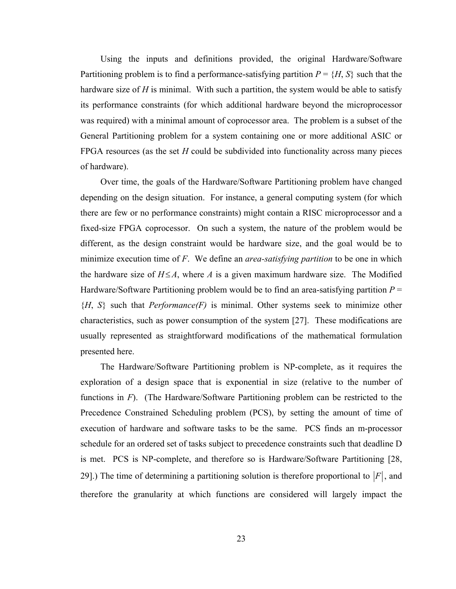Using the inputs and definitions provided, the original Hardware/Software Partitioning problem is to find a performance-satisfying partition  $P = \{H, S\}$  such that the hardware size of  $H$  is minimal. With such a partition, the system would be able to satisfy its performance constraints (for which additional hardware beyond the microprocessor was required) with a minimal amount of coprocessor area. The problem is a subset of the General Partitioning problem for a system containing one or more additional ASIC or FPGA resources (as the set *H* could be subdivided into functionality across many pieces of hardware).

Over time, the goals of the Hardware/Software Partitioning problem have changed depending on the design situation. For instance, a general computing system (for which there are few or no performance constraints) might contain a RISC microprocessor and a fixed-size FPGA coprocessor. On such a system, the nature of the problem would be different, as the design constraint would be hardware size, and the goal would be to minimize execution time of *F*. We define an *area-satisfying partition* to be one in which the hardware size of  $H \leq A$ , where A is a given maximum hardware size. The Modified Hardware/Software Partitioning problem would be to find an area-satisfying partition *P* = {*H*, *S*} such that *Performance(F)* is minimal. Other systems seek to minimize other characteristics, such as power consumption of the system [27]. These modifications are usually represented as straightforward modifications of the mathematical formulation presented here.

The Hardware/Software Partitioning problem is NP-complete, as it requires the exploration of a design space that is exponential in size (relative to the number of functions in *F*). (The Hardware/Software Partitioning problem can be restricted to the Precedence Constrained Scheduling problem (PCS), by setting the amount of time of execution of hardware and software tasks to be the same. PCS finds an m-processor schedule for an ordered set of tasks subject to precedence constraints such that deadline D is met. PCS is NP-complete, and therefore so is Hardware/Software Partitioning [28, 29].) The time of determining a partitioning solution is therefore proportional to  $|F|$ , and therefore the granularity at which functions are considered will largely impact the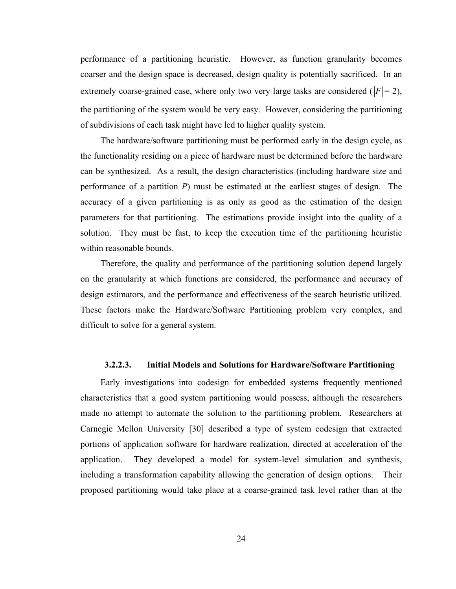performance of a partitioning heuristic. However, as function granularity becomes coarser and the design space is decreased, design quality is potentially sacrificed. In an extremely coarse-grained case, where only two very large tasks are considered ( $|F| = 2$ ), the partitioning of the system would be very easy. However, considering the partitioning of subdivisions of each task might have led to higher quality system.

The hardware/software partitioning must be performed early in the design cycle, as the functionality residing on a piece of hardware must be determined before the hardware can be synthesized. As a result, the design characteristics (including hardware size and performance of a partition *P*) must be estimated at the earliest stages of design. The accuracy of a given partitioning is as only as good as the estimation of the design parameters for that partitioning. The estimations provide insight into the quality of a solution. They must be fast, to keep the execution time of the partitioning heuristic within reasonable bounds.

Therefore, the quality and performance of the partitioning solution depend largely on the granularity at which functions are considered, the performance and accuracy of design estimators, and the performance and effectiveness of the search heuristic utilized. These factors make the Hardware/Software Partitioning problem very complex, and difficult to solve for a general system.

### **3.2.2.3. Initial Models and Solutions for Hardware/Software Partitioning**

Early investigations into codesign for embedded systems frequently mentioned characteristics that a good system partitioning would possess, although the researchers made no attempt to automate the solution to the partitioning problem. Researchers at Carnegie Mellon University [30] described a type of system codesign that extracted portions of application software for hardware realization, directed at acceleration of the application. They developed a model for system-level simulation and synthesis, including a transformation capability allowing the generation of design options. Their proposed partitioning would take place at a coarse-grained task level rather than at the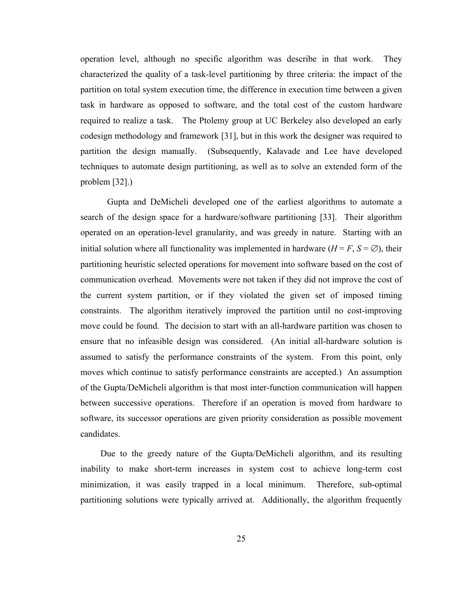operation level, although no specific algorithm was describe in that work. They characterized the quality of a task-level partitioning by three criteria: the impact of the partition on total system execution time, the difference in execution time between a given task in hardware as opposed to software, and the total cost of the custom hardware required to realize a task. The Ptolemy group at UC Berkeley also developed an early codesign methodology and framework [31], but in this work the designer was required to partition the design manually. (Subsequently, Kalavade and Lee have developed techniques to automate design partitioning, as well as to solve an extended form of the problem [32].)

 Gupta and DeMicheli developed one of the earliest algorithms to automate a search of the design space for a hardware/software partitioning [33]. Their algorithm operated on an operation-level granularity, and was greedy in nature. Starting with an initial solution where all functionality was implemented in hardware ( $H = F$ ,  $S = \emptyset$ ), their partitioning heuristic selected operations for movement into software based on the cost of communication overhead. Movements were not taken if they did not improve the cost of the current system partition, or if they violated the given set of imposed timing constraints. The algorithm iteratively improved the partition until no cost-improving move could be found. The decision to start with an all-hardware partition was chosen to ensure that no infeasible design was considered. (An initial all-hardware solution is assumed to satisfy the performance constraints of the system. From this point, only moves which continue to satisfy performance constraints are accepted.) An assumption of the Gupta/DeMicheli algorithm is that most inter-function communication will happen between successive operations. Therefore if an operation is moved from hardware to software, its successor operations are given priority consideration as possible movement candidates.

Due to the greedy nature of the Gupta/DeMicheli algorithm, and its resulting inability to make short-term increases in system cost to achieve long-term cost minimization, it was easily trapped in a local minimum. Therefore, sub-optimal partitioning solutions were typically arrived at. Additionally, the algorithm frequently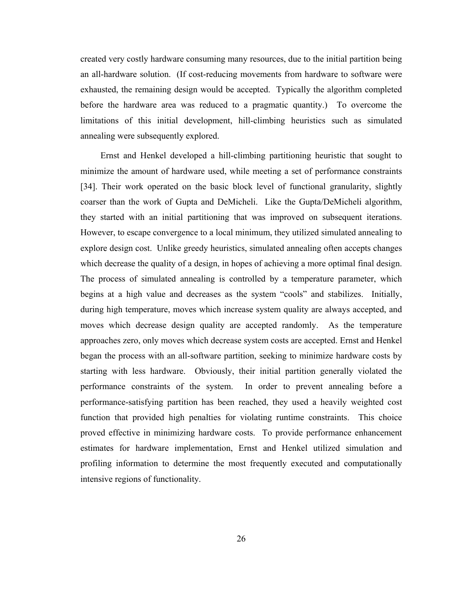created very costly hardware consuming many resources, due to the initial partition being an all-hardware solution. (If cost-reducing movements from hardware to software were exhausted, the remaining design would be accepted. Typically the algorithm completed before the hardware area was reduced to a pragmatic quantity.) To overcome the limitations of this initial development, hill-climbing heuristics such as simulated annealing were subsequently explored.

Ernst and Henkel developed a hill-climbing partitioning heuristic that sought to minimize the amount of hardware used, while meeting a set of performance constraints [34]. Their work operated on the basic block level of functional granularity, slightly coarser than the work of Gupta and DeMicheli. Like the Gupta/DeMicheli algorithm, they started with an initial partitioning that was improved on subsequent iterations. However, to escape convergence to a local minimum, they utilized simulated annealing to explore design cost. Unlike greedy heuristics, simulated annealing often accepts changes which decrease the quality of a design, in hopes of achieving a more optimal final design. The process of simulated annealing is controlled by a temperature parameter, which begins at a high value and decreases as the system "cools" and stabilizes. Initially, during high temperature, moves which increase system quality are always accepted, and moves which decrease design quality are accepted randomly. As the temperature approaches zero, only moves which decrease system costs are accepted. Ernst and Henkel began the process with an all-software partition, seeking to minimize hardware costs by starting with less hardware. Obviously, their initial partition generally violated the performance constraints of the system. In order to prevent annealing before a performance-satisfying partition has been reached, they used a heavily weighted cost function that provided high penalties for violating runtime constraints. This choice proved effective in minimizing hardware costs. To provide performance enhancement estimates for hardware implementation, Ernst and Henkel utilized simulation and profiling information to determine the most frequently executed and computationally intensive regions of functionality.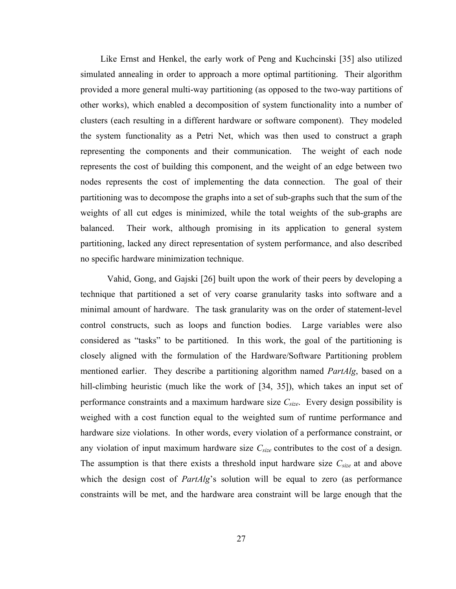Like Ernst and Henkel, the early work of Peng and Kuchcinski [35] also utilized simulated annealing in order to approach a more optimal partitioning. Their algorithm provided a more general multi-way partitioning (as opposed to the two-way partitions of other works), which enabled a decomposition of system functionality into a number of clusters (each resulting in a different hardware or software component). They modeled the system functionality as a Petri Net, which was then used to construct a graph representing the components and their communication. The weight of each node represents the cost of building this component, and the weight of an edge between two nodes represents the cost of implementing the data connection. The goal of their partitioning was to decompose the graphs into a set of sub-graphs such that the sum of the weights of all cut edges is minimized, while the total weights of the sub-graphs are balanced. Their work, although promising in its application to general system partitioning, lacked any direct representation of system performance, and also described no specific hardware minimization technique.

 Vahid, Gong, and Gajski [26] built upon the work of their peers by developing a technique that partitioned a set of very coarse granularity tasks into software and a minimal amount of hardware. The task granularity was on the order of statement-level control constructs, such as loops and function bodies. Large variables were also considered as "tasks" to be partitioned. In this work, the goal of the partitioning is closely aligned with the formulation of the Hardware/Software Partitioning problem mentioned earlier. They describe a partitioning algorithm named *PartAlg*, based on a hill-climbing heuristic (much like the work of [34, 35]), which takes an input set of performance constraints and a maximum hardware size  $C_{size}$ . Every design possibility is weighed with a cost function equal to the weighted sum of runtime performance and hardware size violations. In other words, every violation of a performance constraint, or any violation of input maximum hardware size  $C_{size}$  contributes to the cost of a design. The assumption is that there exists a threshold input hardware size  $C_{size}$  at and above which the design cost of *PartAlg*'s solution will be equal to zero (as performance constraints will be met, and the hardware area constraint will be large enough that the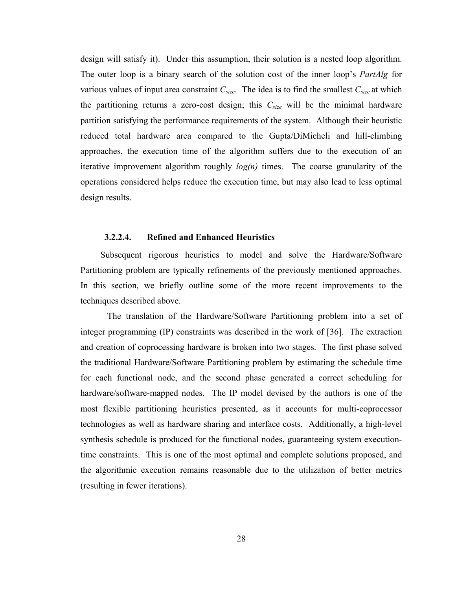design will satisfy it). Under this assumption, their solution is a nested loop algorithm. The outer loop is a binary search of the solution cost of the inner loop's *PartAlg* for various values of input area constraint  $C_{size}$ . The idea is to find the smallest  $C_{size}$  at which the partitioning returns a zero-cost design; this  $C_{size}$  will be the minimal hardware partition satisfying the performance requirements of the system. Although their heuristic reduced total hardware area compared to the Gupta/DiMicheli and hill-climbing approaches, the execution time of the algorithm suffers due to the execution of an iterative improvement algorithm roughly *log(n)* times. The coarse granularity of the operations considered helps reduce the execution time, but may also lead to less optimal design results.

### **3.2.2.4. Refined and Enhanced Heuristics**

Subsequent rigorous heuristics to model and solve the Hardware/Software Partitioning problem are typically refinements of the previously mentioned approaches. In this section, we briefly outline some of the more recent improvements to the techniques described above.

 The translation of the Hardware/Software Partitioning problem into a set of integer programming (IP) constraints was described in the work of [36]. The extraction and creation of coprocessing hardware is broken into two stages. The first phase solved the traditional Hardware/Software Partitioning problem by estimating the schedule time for each functional node, and the second phase generated a correct scheduling for hardware/software-mapped nodes. The IP model devised by the authors is one of the most flexible partitioning heuristics presented, as it accounts for multi-coprocessor technologies as well as hardware sharing and interface costs. Additionally, a high-level synthesis schedule is produced for the functional nodes, guaranteeing system executiontime constraints. This is one of the most optimal and complete solutions proposed, and the algorithmic execution remains reasonable due to the utilization of better metrics (resulting in fewer iterations).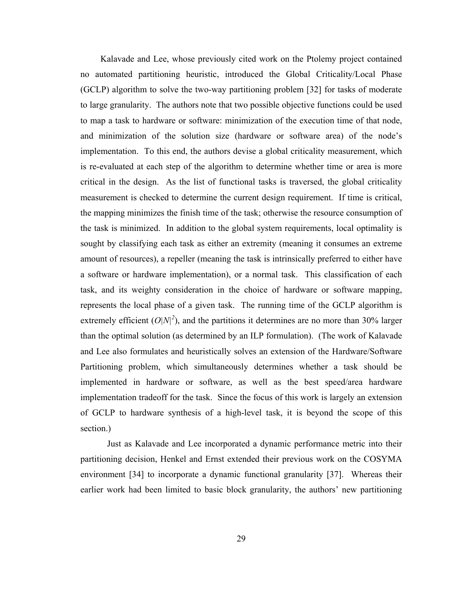Kalavade and Lee, whose previously cited work on the Ptolemy project contained no automated partitioning heuristic, introduced the Global Criticality/Local Phase (GCLP) algorithm to solve the two-way partitioning problem [32] for tasks of moderate to large granularity. The authors note that two possible objective functions could be used to map a task to hardware or software: minimization of the execution time of that node, and minimization of the solution size (hardware or software area) of the node's implementation. To this end, the authors devise a global criticality measurement, which is re-evaluated at each step of the algorithm to determine whether time or area is more critical in the design. As the list of functional tasks is traversed, the global criticality measurement is checked to determine the current design requirement. If time is critical, the mapping minimizes the finish time of the task; otherwise the resource consumption of the task is minimized. In addition to the global system requirements, local optimality is sought by classifying each task as either an extremity (meaning it consumes an extreme amount of resources), a repeller (meaning the task is intrinsically preferred to either have a software or hardware implementation), or a normal task. This classification of each task, and its weighty consideration in the choice of hardware or software mapping, represents the local phase of a given task. The running time of the GCLP algorithm is extremely efficient  $(O|M|^2)$ , and the partitions it determines are no more than 30% larger than the optimal solution (as determined by an ILP formulation). (The work of Kalavade and Lee also formulates and heuristically solves an extension of the Hardware/Software Partitioning problem, which simultaneously determines whether a task should be implemented in hardware or software, as well as the best speed/area hardware implementation tradeoff for the task. Since the focus of this work is largely an extension of GCLP to hardware synthesis of a high-level task, it is beyond the scope of this section.)

 Just as Kalavade and Lee incorporated a dynamic performance metric into their partitioning decision, Henkel and Ernst extended their previous work on the COSYMA environment [34] to incorporate a dynamic functional granularity [37]. Whereas their earlier work had been limited to basic block granularity, the authors' new partitioning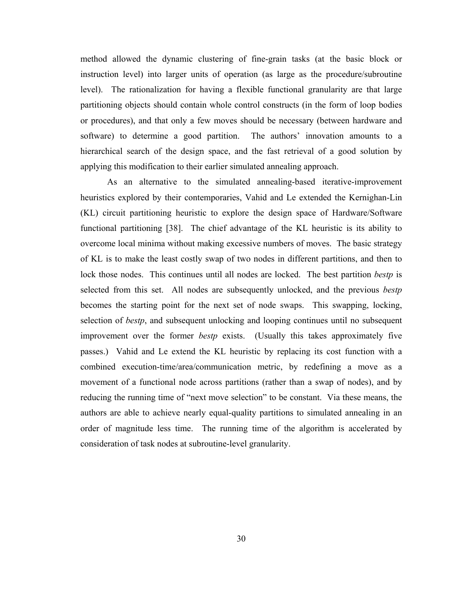method allowed the dynamic clustering of fine-grain tasks (at the basic block or instruction level) into larger units of operation (as large as the procedure/subroutine level). The rationalization for having a flexible functional granularity are that large partitioning objects should contain whole control constructs (in the form of loop bodies or procedures), and that only a few moves should be necessary (between hardware and software) to determine a good partition. The authors' innovation amounts to a hierarchical search of the design space, and the fast retrieval of a good solution by applying this modification to their earlier simulated annealing approach.

 As an alternative to the simulated annealing-based iterative-improvement heuristics explored by their contemporaries, Vahid and Le extended the Kernighan-Lin (KL) circuit partitioning heuristic to explore the design space of Hardware/Software functional partitioning [38]. The chief advantage of the KL heuristic is its ability to overcome local minima without making excessive numbers of moves. The basic strategy of KL is to make the least costly swap of two nodes in different partitions, and then to lock those nodes. This continues until all nodes are locked. The best partition *bestp* is selected from this set. All nodes are subsequently unlocked, and the previous *bestp* becomes the starting point for the next set of node swaps. This swapping, locking, selection of *bestp*, and subsequent unlocking and looping continues until no subsequent improvement over the former *bestp* exists. (Usually this takes approximately five passes.) Vahid and Le extend the KL heuristic by replacing its cost function with a combined execution-time/area/communication metric, by redefining a move as a movement of a functional node across partitions (rather than a swap of nodes), and by reducing the running time of "next move selection" to be constant. Via these means, the authors are able to achieve nearly equal-quality partitions to simulated annealing in an order of magnitude less time. The running time of the algorithm is accelerated by consideration of task nodes at subroutine-level granularity.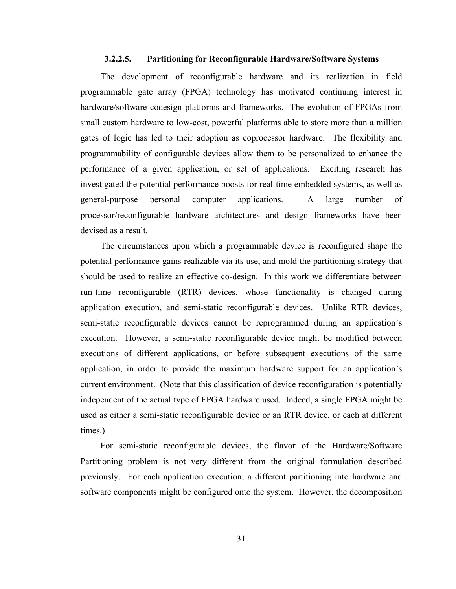#### **3.2.2.5. Partitioning for Reconfigurable Hardware/Software Systems**

The development of reconfigurable hardware and its realization in field programmable gate array (FPGA) technology has motivated continuing interest in hardware/software codesign platforms and frameworks. The evolution of FPGAs from small custom hardware to low-cost, powerful platforms able to store more than a million gates of logic has led to their adoption as coprocessor hardware. The flexibility and programmability of configurable devices allow them to be personalized to enhance the performance of a given application, or set of applications. Exciting research has investigated the potential performance boosts for real-time embedded systems, as well as general-purpose personal computer applications. A large number of processor/reconfigurable hardware architectures and design frameworks have been devised as a result.

The circumstances upon which a programmable device is reconfigured shape the potential performance gains realizable via its use, and mold the partitioning strategy that should be used to realize an effective co-design. In this work we differentiate between run-time reconfigurable (RTR) devices, whose functionality is changed during application execution, and semi-static reconfigurable devices. Unlike RTR devices, semi-static reconfigurable devices cannot be reprogrammed during an application's execution. However, a semi-static reconfigurable device might be modified between executions of different applications, or before subsequent executions of the same application, in order to provide the maximum hardware support for an application's current environment. (Note that this classification of device reconfiguration is potentially independent of the actual type of FPGA hardware used. Indeed, a single FPGA might be used as either a semi-static reconfigurable device or an RTR device, or each at different times.)

For semi-static reconfigurable devices, the flavor of the Hardware/Software Partitioning problem is not very different from the original formulation described previously. For each application execution, a different partitioning into hardware and software components might be configured onto the system. However, the decomposition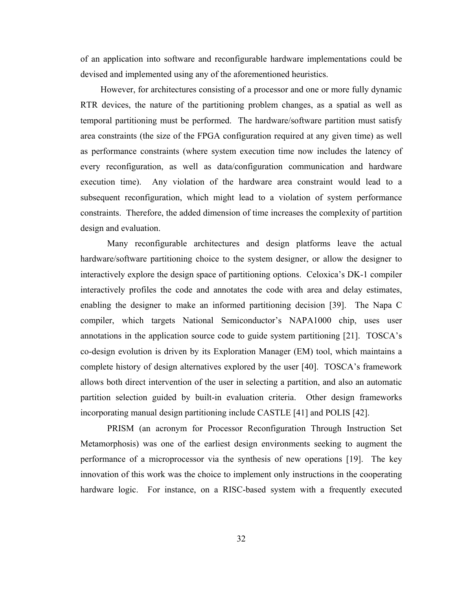of an application into software and reconfigurable hardware implementations could be devised and implemented using any of the aforementioned heuristics.

However, for architectures consisting of a processor and one or more fully dynamic RTR devices, the nature of the partitioning problem changes, as a spatial as well as temporal partitioning must be performed. The hardware/software partition must satisfy area constraints (the size of the FPGA configuration required at any given time) as well as performance constraints (where system execution time now includes the latency of every reconfiguration, as well as data/configuration communication and hardware execution time). Any violation of the hardware area constraint would lead to a subsequent reconfiguration, which might lead to a violation of system performance constraints. Therefore, the added dimension of time increases the complexity of partition design and evaluation.

 Many reconfigurable architectures and design platforms leave the actual hardware/software partitioning choice to the system designer, or allow the designer to interactively explore the design space of partitioning options. Celoxica's DK-1 compiler interactively profiles the code and annotates the code with area and delay estimates, enabling the designer to make an informed partitioning decision [39]. The Napa C compiler, which targets National Semiconductor's NAPA1000 chip, uses user annotations in the application source code to guide system partitioning [21]. TOSCA's co-design evolution is driven by its Exploration Manager (EM) tool, which maintains a complete history of design alternatives explored by the user [40]. TOSCA's framework allows both direct intervention of the user in selecting a partition, and also an automatic partition selection guided by built-in evaluation criteria. Other design frameworks incorporating manual design partitioning include CASTLE [41] and POLIS [42].

 PRISM (an acronym for Processor Reconfiguration Through Instruction Set Metamorphosis) was one of the earliest design environments seeking to augment the performance of a microprocessor via the synthesis of new operations [19]. The key innovation of this work was the choice to implement only instructions in the cooperating hardware logic. For instance, on a RISC-based system with a frequently executed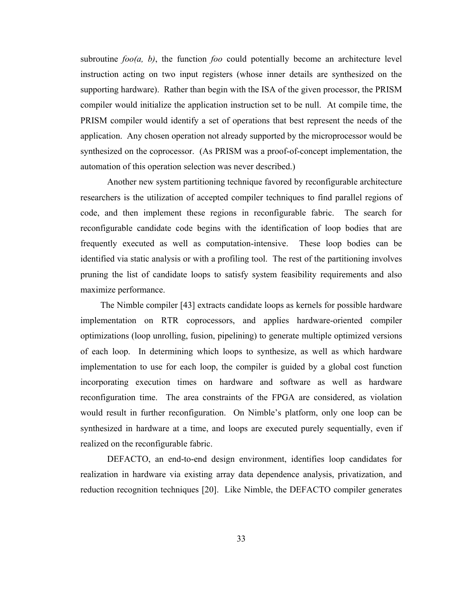subroutine  $foo(a, b)$ , the function  $foo$  could potentially become an architecture level instruction acting on two input registers (whose inner details are synthesized on the supporting hardware). Rather than begin with the ISA of the given processor, the PRISM compiler would initialize the application instruction set to be null. At compile time, the PRISM compiler would identify a set of operations that best represent the needs of the application. Any chosen operation not already supported by the microprocessor would be synthesized on the coprocessor. (As PRISM was a proof-of-concept implementation, the automation of this operation selection was never described.)

 Another new system partitioning technique favored by reconfigurable architecture researchers is the utilization of accepted compiler techniques to find parallel regions of code, and then implement these regions in reconfigurable fabric. The search for reconfigurable candidate code begins with the identification of loop bodies that are frequently executed as well as computation-intensive. These loop bodies can be identified via static analysis or with a profiling tool. The rest of the partitioning involves pruning the list of candidate loops to satisfy system feasibility requirements and also maximize performance.

The Nimble compiler [43] extracts candidate loops as kernels for possible hardware implementation on RTR coprocessors, and applies hardware-oriented compiler optimizations (loop unrolling, fusion, pipelining) to generate multiple optimized versions of each loop. In determining which loops to synthesize, as well as which hardware implementation to use for each loop, the compiler is guided by a global cost function incorporating execution times on hardware and software as well as hardware reconfiguration time. The area constraints of the FPGA are considered, as violation would result in further reconfiguration. On Nimble's platform, only one loop can be synthesized in hardware at a time, and loops are executed purely sequentially, even if realized on the reconfigurable fabric.

 DEFACTO, an end-to-end design environment, identifies loop candidates for realization in hardware via existing array data dependence analysis, privatization, and reduction recognition techniques [20]. Like Nimble, the DEFACTO compiler generates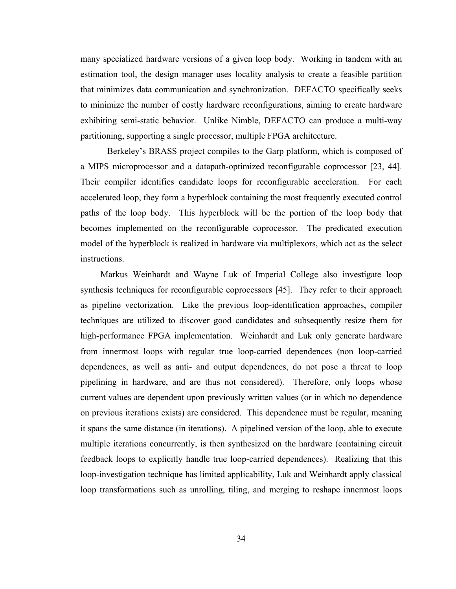many specialized hardware versions of a given loop body. Working in tandem with an estimation tool, the design manager uses locality analysis to create a feasible partition that minimizes data communication and synchronization. DEFACTO specifically seeks to minimize the number of costly hardware reconfigurations, aiming to create hardware exhibiting semi-static behavior. Unlike Nimble, DEFACTO can produce a multi-way partitioning, supporting a single processor, multiple FPGA architecture.

 Berkeley's BRASS project compiles to the Garp platform, which is composed of a MIPS microprocessor and a datapath-optimized reconfigurable coprocessor [23, 44]. Their compiler identifies candidate loops for reconfigurable acceleration. For each accelerated loop, they form a hyperblock containing the most frequently executed control paths of the loop body. This hyperblock will be the portion of the loop body that becomes implemented on the reconfigurable coprocessor. The predicated execution model of the hyperblock is realized in hardware via multiplexors, which act as the select instructions.

Markus Weinhardt and Wayne Luk of Imperial College also investigate loop synthesis techniques for reconfigurable coprocessors [45]. They refer to their approach as pipeline vectorization. Like the previous loop-identification approaches, compiler techniques are utilized to discover good candidates and subsequently resize them for high-performance FPGA implementation. Weinhardt and Luk only generate hardware from innermost loops with regular true loop-carried dependences (non loop-carried dependences, as well as anti- and output dependences, do not pose a threat to loop pipelining in hardware, and are thus not considered). Therefore, only loops whose current values are dependent upon previously written values (or in which no dependence on previous iterations exists) are considered. This dependence must be regular, meaning it spans the same distance (in iterations). A pipelined version of the loop, able to execute multiple iterations concurrently, is then synthesized on the hardware (containing circuit feedback loops to explicitly handle true loop-carried dependences). Realizing that this loop-investigation technique has limited applicability, Luk and Weinhardt apply classical loop transformations such as unrolling, tiling, and merging to reshape innermost loops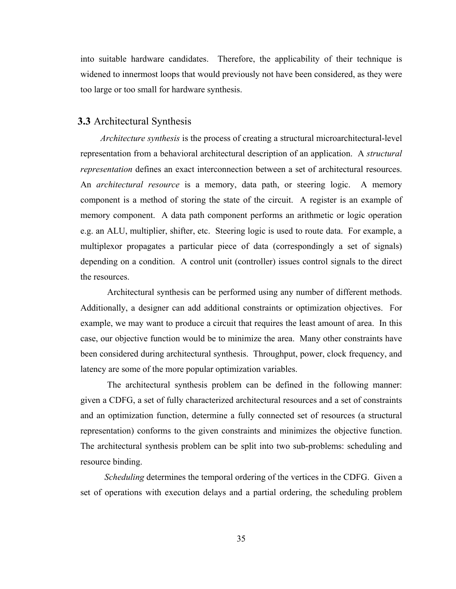into suitable hardware candidates. Therefore, the applicability of their technique is widened to innermost loops that would previously not have been considered, as they were too large or too small for hardware synthesis.

## **3.3** Architectural Synthesis

*Architecture synthesis* is the process of creating a structural microarchitectural-level representation from a behavioral architectural description of an application. A *structural representation* defines an exact interconnection between a set of architectural resources. An *architectural resource* is a memory, data path, or steering logic. A memory component is a method of storing the state of the circuit. A register is an example of memory component. A data path component performs an arithmetic or logic operation e.g. an ALU, multiplier, shifter, etc. Steering logic is used to route data. For example, a multiplexor propagates a particular piece of data (correspondingly a set of signals) depending on a condition. A control unit (controller) issues control signals to the direct the resources.

Architectural synthesis can be performed using any number of different methods. Additionally, a designer can add additional constraints or optimization objectives. For example, we may want to produce a circuit that requires the least amount of area. In this case, our objective function would be to minimize the area. Many other constraints have been considered during architectural synthesis. Throughput, power, clock frequency, and latency are some of the more popular optimization variables.

The architectural synthesis problem can be defined in the following manner: given a CDFG, a set of fully characterized architectural resources and a set of constraints and an optimization function, determine a fully connected set of resources (a structural representation) conforms to the given constraints and minimizes the objective function. The architectural synthesis problem can be split into two sub-problems: scheduling and resource binding.

*Scheduling* determines the temporal ordering of the vertices in the CDFG. Given a set of operations with execution delays and a partial ordering, the scheduling problem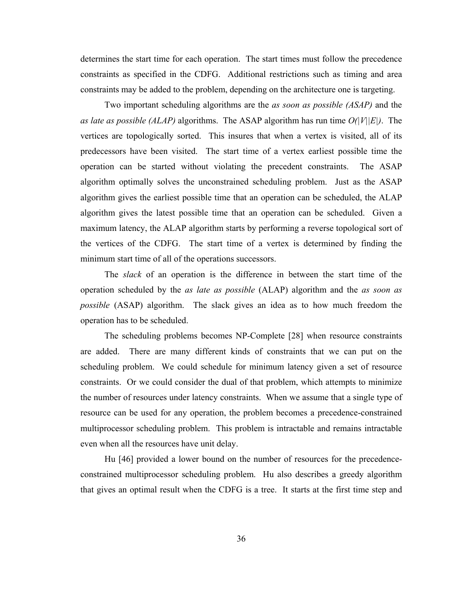determines the start time for each operation. The start times must follow the precedence constraints as specified in the CDFG. Additional restrictions such as timing and area constraints may be added to the problem, depending on the architecture one is targeting.

Two important scheduling algorithms are the *as soon as possible (ASAP)* and the *as late as possible (ALAP)* algorithms. The ASAP algorithm has run time *O(|V||E|)*. The vertices are topologically sorted. This insures that when a vertex is visited, all of its predecessors have been visited. The start time of a vertex earliest possible time the operation can be started without violating the precedent constraints. The ASAP algorithm optimally solves the unconstrained scheduling problem. Just as the ASAP algorithm gives the earliest possible time that an operation can be scheduled, the ALAP algorithm gives the latest possible time that an operation can be scheduled. Given a maximum latency, the ALAP algorithm starts by performing a reverse topological sort of the vertices of the CDFG. The start time of a vertex is determined by finding the minimum start time of all of the operations successors.

The *slack* of an operation is the difference in between the start time of the operation scheduled by the *as late as possible* (ALAP) algorithm and the *as soon as possible* (ASAP) algorithm. The slack gives an idea as to how much freedom the operation has to be scheduled.

The scheduling problems becomes NP-Complete [28] when resource constraints are added. There are many different kinds of constraints that we can put on the scheduling problem. We could schedule for minimum latency given a set of resource constraints. Or we could consider the dual of that problem, which attempts to minimize the number of resources under latency constraints. When we assume that a single type of resource can be used for any operation, the problem becomes a precedence-constrained multiprocessor scheduling problem. This problem is intractable and remains intractable even when all the resources have unit delay.

Hu [46] provided a lower bound on the number of resources for the precedenceconstrained multiprocessor scheduling problem. Hu also describes a greedy algorithm that gives an optimal result when the CDFG is a tree. It starts at the first time step and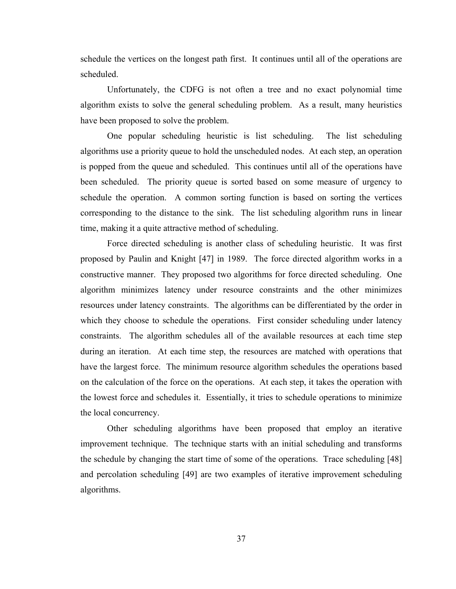schedule the vertices on the longest path first. It continues until all of the operations are scheduled.

 Unfortunately, the CDFG is not often a tree and no exact polynomial time algorithm exists to solve the general scheduling problem. As a result, many heuristics have been proposed to solve the problem.

 One popular scheduling heuristic is list scheduling. The list scheduling algorithms use a priority queue to hold the unscheduled nodes. At each step, an operation is popped from the queue and scheduled. This continues until all of the operations have been scheduled. The priority queue is sorted based on some measure of urgency to schedule the operation. A common sorting function is based on sorting the vertices corresponding to the distance to the sink. The list scheduling algorithm runs in linear time, making it a quite attractive method of scheduling.

 Force directed scheduling is another class of scheduling heuristic. It was first proposed by Paulin and Knight [47] in 1989. The force directed algorithm works in a constructive manner. They proposed two algorithms for force directed scheduling. One algorithm minimizes latency under resource constraints and the other minimizes resources under latency constraints. The algorithms can be differentiated by the order in which they choose to schedule the operations. First consider scheduling under latency constraints. The algorithm schedules all of the available resources at each time step during an iteration. At each time step, the resources are matched with operations that have the largest force. The minimum resource algorithm schedules the operations based on the calculation of the force on the operations. At each step, it takes the operation with the lowest force and schedules it. Essentially, it tries to schedule operations to minimize the local concurrency.

 Other scheduling algorithms have been proposed that employ an iterative improvement technique. The technique starts with an initial scheduling and transforms the schedule by changing the start time of some of the operations. Trace scheduling [48] and percolation scheduling [49] are two examples of iterative improvement scheduling algorithms.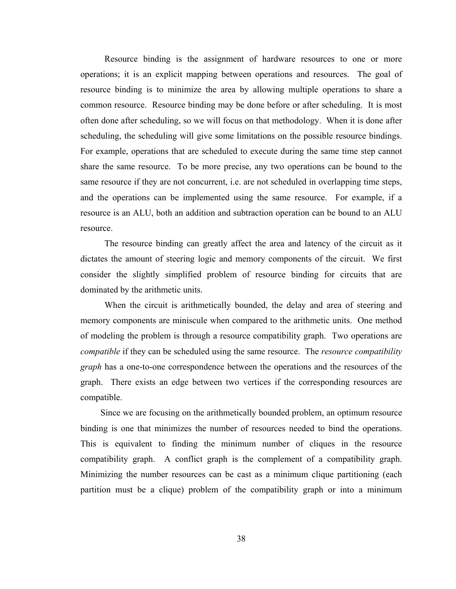Resource binding is the assignment of hardware resources to one or more operations; it is an explicit mapping between operations and resources. The goal of resource binding is to minimize the area by allowing multiple operations to share a common resource. Resource binding may be done before or after scheduling. It is most often done after scheduling, so we will focus on that methodology. When it is done after scheduling, the scheduling will give some limitations on the possible resource bindings. For example, operations that are scheduled to execute during the same time step cannot share the same resource. To be more precise, any two operations can be bound to the same resource if they are not concurrent, i.e. are not scheduled in overlapping time steps, and the operations can be implemented using the same resource. For example, if a resource is an ALU, both an addition and subtraction operation can be bound to an ALU resource.

The resource binding can greatly affect the area and latency of the circuit as it dictates the amount of steering logic and memory components of the circuit. We first consider the slightly simplified problem of resource binding for circuits that are dominated by the arithmetic units.

When the circuit is arithmetically bounded, the delay and area of steering and memory components are miniscule when compared to the arithmetic units. One method of modeling the problem is through a resource compatibility graph. Two operations are *compatible* if they can be scheduled using the same resource. The *resource compatibility graph* has a one-to-one correspondence between the operations and the resources of the graph. There exists an edge between two vertices if the corresponding resources are compatible.

Since we are focusing on the arithmetically bounded problem, an optimum resource binding is one that minimizes the number of resources needed to bind the operations. This is equivalent to finding the minimum number of cliques in the resource compatibility graph. A conflict graph is the complement of a compatibility graph. Minimizing the number resources can be cast as a minimum clique partitioning (each partition must be a clique) problem of the compatibility graph or into a minimum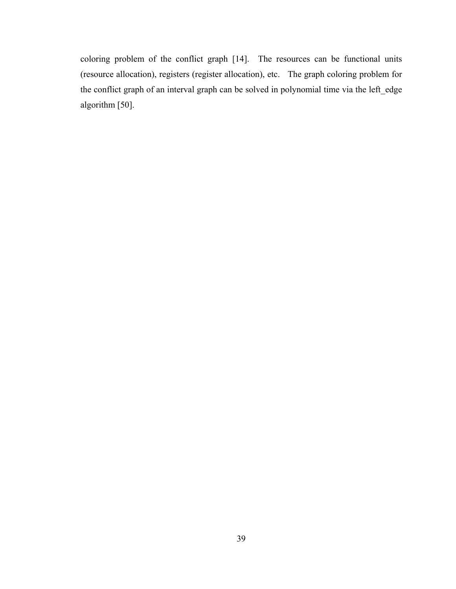coloring problem of the conflict graph [14]. The resources can be functional units (resource allocation), registers (register allocation), etc. The graph coloring problem for the conflict graph of an interval graph can be solved in polynomial time via the left\_edge algorithm [50].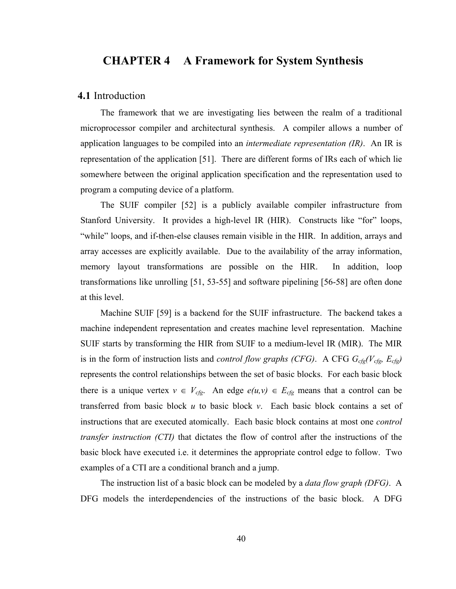# **CHAPTER 4 A Framework for System Synthesis**

## **4.1** Introduction

The framework that we are investigating lies between the realm of a traditional microprocessor compiler and architectural synthesis. A compiler allows a number of application languages to be compiled into an *intermediate representation (IR)*. An IR is representation of the application [51]. There are different forms of IRs each of which lie somewhere between the original application specification and the representation used to program a computing device of a platform.

The SUIF compiler [52] is a publicly available compiler infrastructure from Stanford University. It provides a high-level IR (HIR). Constructs like "for" loops, "while" loops, and if-then-else clauses remain visible in the HIR. In addition, arrays and array accesses are explicitly available. Due to the availability of the array information, memory layout transformations are possible on the HIR. In addition, loop transformations like unrolling [51, 53-55] and software pipelining [56-58] are often done at this level.

Machine SUIF [59] is a backend for the SUIF infrastructure. The backend takes a machine independent representation and creates machine level representation. Machine SUIF starts by transforming the HIR from SUIF to a medium-level IR (MIR). The MIR is in the form of instruction lists and *control flow graphs (CFG)*. A CFG  $G_{cfg}(V_{cfg}, E_{cfg})$ represents the control relationships between the set of basic blocks. For each basic block there is a unique vertex  $v \in V_{cfg}$ . An edge  $e(u, v) \in E_{cfg}$  means that a control can be transferred from basic block *u* to basic block *v*. Each basic block contains a set of instructions that are executed atomically. Each basic block contains at most one *control transfer instruction (CTI)* that dictates the flow of control after the instructions of the basic block have executed i.e. it determines the appropriate control edge to follow. Two examples of a CTI are a conditional branch and a jump.

The instruction list of a basic block can be modeled by a *data flow graph (DFG)*. A DFG models the interdependencies of the instructions of the basic block. A DFG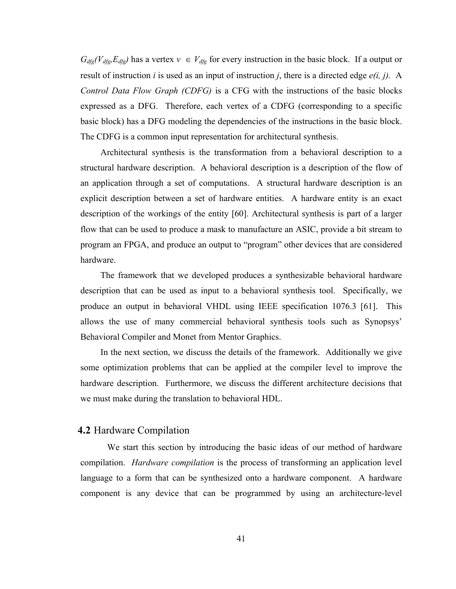$G_{\text{dfg}}(V_{\text{dfg}}, E_{\text{dfg}})$  has a vertex  $v \in V_{\text{dfg}}$  for every instruction in the basic block. If a output or result of instruction *i* is used as an input of instruction *j*, there is a directed edge *e(i, j).* A *Control Data Flow Graph (CDFG)* is a CFG with the instructions of the basic blocks expressed as a DFG. Therefore, each vertex of a CDFG (corresponding to a specific basic block) has a DFG modeling the dependencies of the instructions in the basic block. The CDFG is a common input representation for architectural synthesis.

Architectural synthesis is the transformation from a behavioral description to a structural hardware description. A behavioral description is a description of the flow of an application through a set of computations. A structural hardware description is an explicit description between a set of hardware entities. A hardware entity is an exact description of the workings of the entity [60]. Architectural synthesis is part of a larger flow that can be used to produce a mask to manufacture an ASIC, provide a bit stream to program an FPGA, and produce an output to "program" other devices that are considered hardware.

The framework that we developed produces a synthesizable behavioral hardware description that can be used as input to a behavioral synthesis tool. Specifically, we produce an output in behavioral VHDL using IEEE specification 1076.3 [61]. This allows the use of many commercial behavioral synthesis tools such as Synopsys' Behavioral Compiler and Monet from Mentor Graphics.

In the next section, we discuss the details of the framework. Additionally we give some optimization problems that can be applied at the compiler level to improve the hardware description. Furthermore, we discuss the different architecture decisions that we must make during the translation to behavioral HDL.

# **4.2** Hardware Compilation

We start this section by introducing the basic ideas of our method of hardware compilation. *Hardware compilation* is the process of transforming an application level language to a form that can be synthesized onto a hardware component. A hardware component is any device that can be programmed by using an architecture-level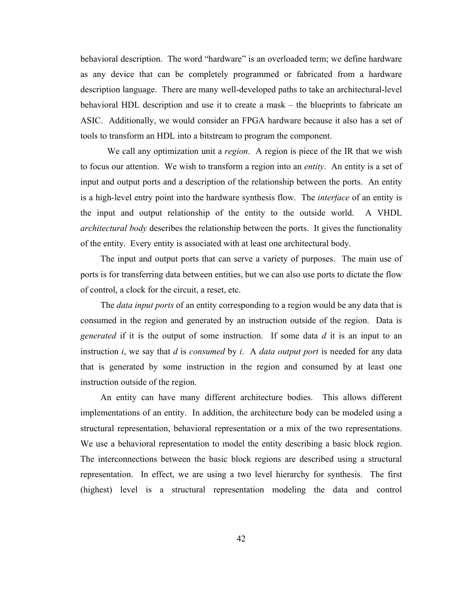behavioral description. The word "hardware" is an overloaded term; we define hardware as any device that can be completely programmed or fabricated from a hardware description language. There are many well-developed paths to take an architectural-level behavioral HDL description and use it to create a mask – the blueprints to fabricate an ASIC. Additionally, we would consider an FPGA hardware because it also has a set of tools to transform an HDL into a bitstream to program the component.

We call any optimization unit a *region*. A region is piece of the IR that we wish to focus our attention. We wish to transform a region into an *entity*. An entity is a set of input and output ports and a description of the relationship between the ports. An entity is a high-level entry point into the hardware synthesis flow. The *interface* of an entity is the input and output relationship of the entity to the outside world. A VHDL *architectural body* describes the relationship between the ports. It gives the functionality of the entity. Every entity is associated with at least one architectural body.

The input and output ports that can serve a variety of purposes. The main use of ports is for transferring data between entities, but we can also use ports to dictate the flow of control, a clock for the circuit, a reset, etc.

The *data input ports* of an entity corresponding to a region would be any data that is consumed in the region and generated by an instruction outside of the region. Data is *generated* if it is the output of some instruction. If some data *d* it is an input to an instruction *i*, we say that *d* is *consumed* by *i*. A *data output port* is needed for any data that is generated by some instruction in the region and consumed by at least one instruction outside of the region.

An entity can have many different architecture bodies. This allows different implementations of an entity. In addition, the architecture body can be modeled using a structural representation, behavioral representation or a mix of the two representations. We use a behavioral representation to model the entity describing a basic block region. The interconnections between the basic block regions are described using a structural representation. In effect, we are using a two level hierarchy for synthesis. The first (highest) level is a structural representation modeling the data and control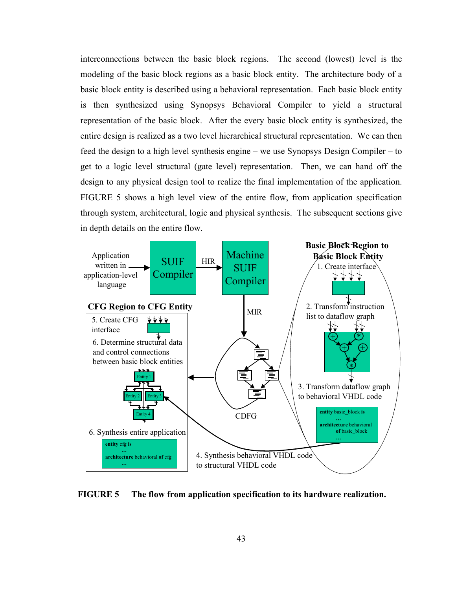interconnections between the basic block regions. The second (lowest) level is the modeling of the basic block regions as a basic block entity. The architecture body of a basic block entity is described using a behavioral representation. Each basic block entity is then synthesized using Synopsys Behavioral Compiler to yield a structural representation of the basic block. After the every basic block entity is synthesized, the entire design is realized as a two level hierarchical structural representation. We can then feed the design to a high level synthesis engine – we use Synopsys Design Compiler – to get to a logic level structural (gate level) representation. Then, we can hand off the design to any physical design tool to realize the final implementation of the application. FIGURE 5 shows a high level view of the entire flow, from application specification through system, architectural, logic and physical synthesis. The subsequent sections give in depth details on the entire flow.



**FIGURE 5 The flow from application specification to its hardware realization.**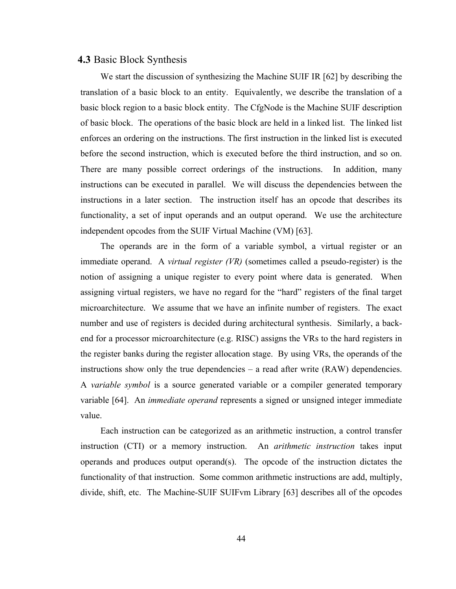## **4.3** Basic Block Synthesis

We start the discussion of synthesizing the Machine SUIF IR [62] by describing the translation of a basic block to an entity. Equivalently, we describe the translation of a basic block region to a basic block entity. The CfgNode is the Machine SUIF description of basic block. The operations of the basic block are held in a linked list. The linked list enforces an ordering on the instructions. The first instruction in the linked list is executed before the second instruction, which is executed before the third instruction, and so on. There are many possible correct orderings of the instructions. In addition, many instructions can be executed in parallel. We will discuss the dependencies between the instructions in a later section. The instruction itself has an opcode that describes its functionality, a set of input operands and an output operand. We use the architecture independent opcodes from the SUIF Virtual Machine (VM) [63].

The operands are in the form of a variable symbol, a virtual register or an immediate operand. A *virtual register (VR)* (sometimes called a pseudo-register) is the notion of assigning a unique register to every point where data is generated. When assigning virtual registers, we have no regard for the "hard" registers of the final target microarchitecture. We assume that we have an infinite number of registers. The exact number and use of registers is decided during architectural synthesis. Similarly, a backend for a processor microarchitecture (e.g. RISC) assigns the VRs to the hard registers in the register banks during the register allocation stage. By using VRs, the operands of the instructions show only the true dependencies – a read after write (RAW) dependencies. A *variable symbol* is a source generated variable or a compiler generated temporary variable [64]. An *immediate operand* represents a signed or unsigned integer immediate value.

Each instruction can be categorized as an arithmetic instruction, a control transfer instruction (CTI) or a memory instruction. An *arithmetic instruction* takes input operands and produces output operand(s). The opcode of the instruction dictates the functionality of that instruction. Some common arithmetic instructions are add, multiply, divide, shift, etc. The Machine-SUIF SUIFvm Library [63] describes all of the opcodes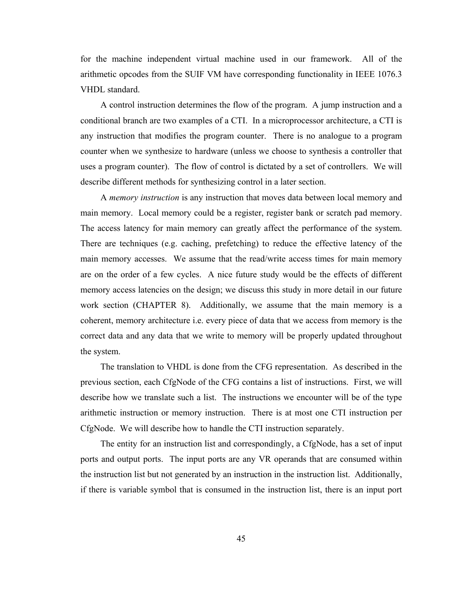for the machine independent virtual machine used in our framework. All of the arithmetic opcodes from the SUIF VM have corresponding functionality in IEEE 1076.3 VHDL standard.

A control instruction determines the flow of the program. A jump instruction and a conditional branch are two examples of a CTI. In a microprocessor architecture, a CTI is any instruction that modifies the program counter. There is no analogue to a program counter when we synthesize to hardware (unless we choose to synthesis a controller that uses a program counter). The flow of control is dictated by a set of controllers. We will describe different methods for synthesizing control in a later section.

A *memory instruction* is any instruction that moves data between local memory and main memory. Local memory could be a register, register bank or scratch pad memory. The access latency for main memory can greatly affect the performance of the system. There are techniques (e.g. caching, prefetching) to reduce the effective latency of the main memory accesses. We assume that the read/write access times for main memory are on the order of a few cycles. A nice future study would be the effects of different memory access latencies on the design; we discuss this study in more detail in our future work section (CHAPTER 8). Additionally, we assume that the main memory is a coherent, memory architecture i.e. every piece of data that we access from memory is the correct data and any data that we write to memory will be properly updated throughout the system.

The translation to VHDL is done from the CFG representation. As described in the previous section, each CfgNode of the CFG contains a list of instructions. First, we will describe how we translate such a list. The instructions we encounter will be of the type arithmetic instruction or memory instruction. There is at most one CTI instruction per CfgNode. We will describe how to handle the CTI instruction separately.

The entity for an instruction list and correspondingly, a CfgNode, has a set of input ports and output ports. The input ports are any VR operands that are consumed within the instruction list but not generated by an instruction in the instruction list. Additionally, if there is variable symbol that is consumed in the instruction list, there is an input port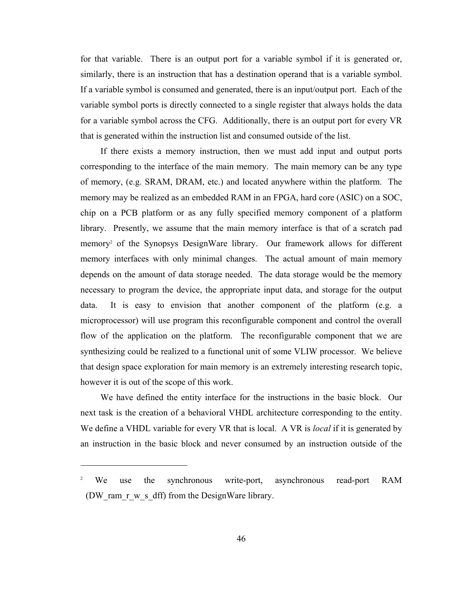for that variable. There is an output port for a variable symbol if it is generated or, similarly, there is an instruction that has a destination operand that is a variable symbol. If a variable symbol is consumed and generated, there is an input/output port. Each of the variable symbol ports is directly connected to a single register that always holds the data for a variable symbol across the CFG. Additionally, there is an output port for every VR that is generated within the instruction list and consumed outside of the list.

If there exists a memory instruction, then we must add input and output ports corresponding to the interface of the main memory. The main memory can be any type of memory, (e.g. SRAM, DRAM, etc.) and located anywhere within the platform. The memory may be realized as an embedded RAM in an FPGA, hard core (ASIC) on a SOC, chip on a PCB platform or as any fully specified memory component of a platform library. Presently, we assume that the main memory interface is that of a scratch pad memory<sup>2</sup> of the Synopsys DesignWare library. Our framework allows for different memory interfaces with only minimal changes. The actual amount of main memory depends on the amount of data storage needed. The data storage would be the memory necessary to program the device, the appropriate input data, and storage for the output data. It is easy to envision that another component of the platform (e.g. a microprocessor) will use program this reconfigurable component and control the overall flow of the application on the platform. The reconfigurable component that we are synthesizing could be realized to a functional unit of some VLIW processor. We believe that design space exploration for main memory is an extremely interesting research topic, however it is out of the scope of this work.

We have defined the entity interface for the instructions in the basic block. Our next task is the creation of a behavioral VHDL architecture corresponding to the entity. We define a VHDL variable for every VR that is local. A VR is *local* if it is generated by an instruction in the basic block and never consumed by an instruction outside of the

1

<sup>2</sup> We use the synchronous write-port, asynchronous read-port RAM (DW\_ram\_r\_w\_s\_dff) from the DesignWare library.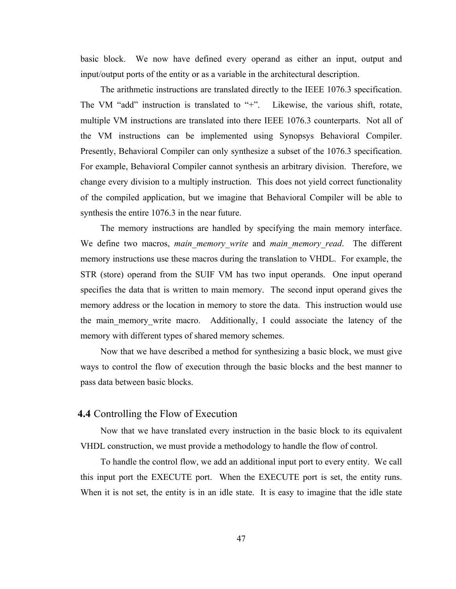basic block. We now have defined every operand as either an input, output and input/output ports of the entity or as a variable in the architectural description.

The arithmetic instructions are translated directly to the IEEE 1076.3 specification. The VM "add" instruction is translated to "+". Likewise, the various shift, rotate, multiple VM instructions are translated into there IEEE 1076.3 counterparts. Not all of the VM instructions can be implemented using Synopsys Behavioral Compiler. Presently, Behavioral Compiler can only synthesize a subset of the 1076.3 specification. For example, Behavioral Compiler cannot synthesis an arbitrary division. Therefore, we change every division to a multiply instruction. This does not yield correct functionality of the compiled application, but we imagine that Behavioral Compiler will be able to synthesis the entire 1076.3 in the near future.

The memory instructions are handled by specifying the main memory interface. We define two macros, *main memory write* and *main memory read*. The different memory instructions use these macros during the translation to VHDL. For example, the STR (store) operand from the SUIF VM has two input operands. One input operand specifies the data that is written to main memory. The second input operand gives the memory address or the location in memory to store the data. This instruction would use the main memory write macro. Additionally, I could associate the latency of the memory with different types of shared memory schemes.

Now that we have described a method for synthesizing a basic block, we must give ways to control the flow of execution through the basic blocks and the best manner to pass data between basic blocks.

## **4.4** Controlling the Flow of Execution

Now that we have translated every instruction in the basic block to its equivalent VHDL construction, we must provide a methodology to handle the flow of control.

To handle the control flow, we add an additional input port to every entity. We call this input port the EXECUTE port. When the EXECUTE port is set, the entity runs. When it is not set, the entity is in an idle state. It is easy to imagine that the idle state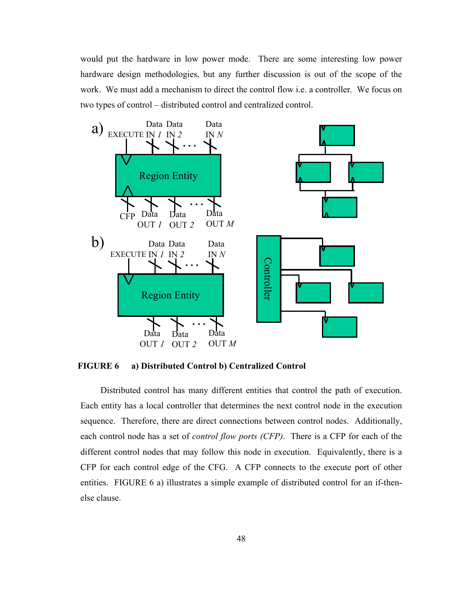would put the hardware in low power mode. There are some interesting low power hardware design methodologies, but any further discussion is out of the scope of the work. We must add a mechanism to direct the control flow i.e. a controller. We focus on two types of control – distributed control and centralized control.



**FIGURE 6 a) Distributed Control b) Centralized Control** 

Distributed control has many different entities that control the path of execution. Each entity has a local controller that determines the next control node in the execution sequence. Therefore, there are direct connections between control nodes. Additionally, each control node has a set of *control flow ports (CFP)*. There is a CFP for each of the different control nodes that may follow this node in execution. Equivalently, there is a CFP for each control edge of the CFG. A CFP connects to the execute port of other entities. FIGURE 6 a) illustrates a simple example of distributed control for an if-thenelse clause.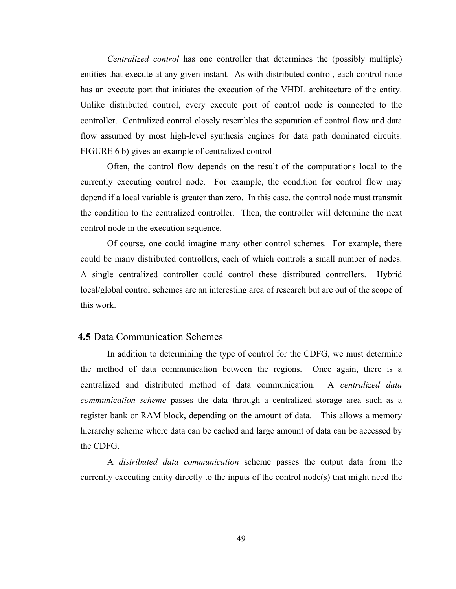*Centralized control* has one controller that determines the (possibly multiple) entities that execute at any given instant. As with distributed control, each control node has an execute port that initiates the execution of the VHDL architecture of the entity. Unlike distributed control, every execute port of control node is connected to the controller. Centralized control closely resembles the separation of control flow and data flow assumed by most high-level synthesis engines for data path dominated circuits. FIGURE 6 b) gives an example of centralized control

Often, the control flow depends on the result of the computations local to the currently executing control node. For example, the condition for control flow may depend if a local variable is greater than zero. In this case, the control node must transmit the condition to the centralized controller. Then, the controller will determine the next control node in the execution sequence.

Of course, one could imagine many other control schemes. For example, there could be many distributed controllers, each of which controls a small number of nodes. A single centralized controller could control these distributed controllers. Hybrid local/global control schemes are an interesting area of research but are out of the scope of this work.

# **4.5** Data Communication Schemes

In addition to determining the type of control for the CDFG, we must determine the method of data communication between the regions. Once again, there is a centralized and distributed method of data communication. A *centralized data communication scheme* passes the data through a centralized storage area such as a register bank or RAM block, depending on the amount of data. This allows a memory hierarchy scheme where data can be cached and large amount of data can be accessed by the CDFG.

A *distributed data communication* scheme passes the output data from the currently executing entity directly to the inputs of the control node(s) that might need the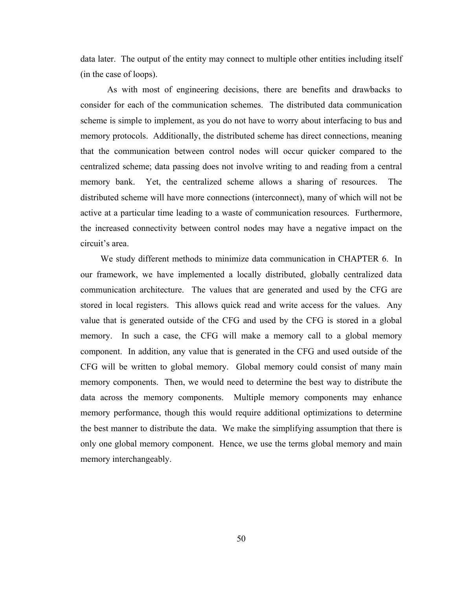data later. The output of the entity may connect to multiple other entities including itself (in the case of loops).

As with most of engineering decisions, there are benefits and drawbacks to consider for each of the communication schemes. The distributed data communication scheme is simple to implement, as you do not have to worry about interfacing to bus and memory protocols. Additionally, the distributed scheme has direct connections, meaning that the communication between control nodes will occur quicker compared to the centralized scheme; data passing does not involve writing to and reading from a central memory bank. Yet, the centralized scheme allows a sharing of resources. The distributed scheme will have more connections (interconnect), many of which will not be active at a particular time leading to a waste of communication resources. Furthermore, the increased connectivity between control nodes may have a negative impact on the circuit's area.

We study different methods to minimize data communication in CHAPTER 6. In our framework, we have implemented a locally distributed, globally centralized data communication architecture. The values that are generated and used by the CFG are stored in local registers. This allows quick read and write access for the values. Any value that is generated outside of the CFG and used by the CFG is stored in a global memory. In such a case, the CFG will make a memory call to a global memory component. In addition, any value that is generated in the CFG and used outside of the CFG will be written to global memory. Global memory could consist of many main memory components. Then, we would need to determine the best way to distribute the data across the memory components. Multiple memory components may enhance memory performance, though this would require additional optimizations to determine the best manner to distribute the data. We make the simplifying assumption that there is only one global memory component. Hence, we use the terms global memory and main memory interchangeably.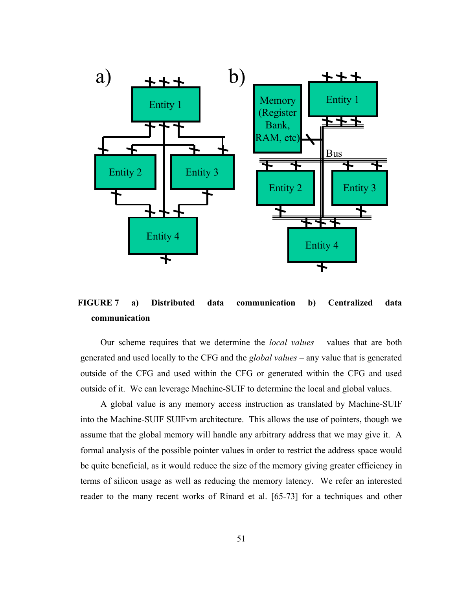

**FIGURE 7 a) Distributed data communication b) Centralized data communication** 

Our scheme requires that we determine the *local values* – values that are both generated and used locally to the CFG and the *global values* – any value that is generated outside of the CFG and used within the CFG or generated within the CFG and used outside of it. We can leverage Machine-SUIF to determine the local and global values.

A global value is any memory access instruction as translated by Machine-SUIF into the Machine-SUIF SUIFvm architecture. This allows the use of pointers, though we assume that the global memory will handle any arbitrary address that we may give it. A formal analysis of the possible pointer values in order to restrict the address space would be quite beneficial, as it would reduce the size of the memory giving greater efficiency in terms of silicon usage as well as reducing the memory latency. We refer an interested reader to the many recent works of Rinard et al. [65-73] for a techniques and other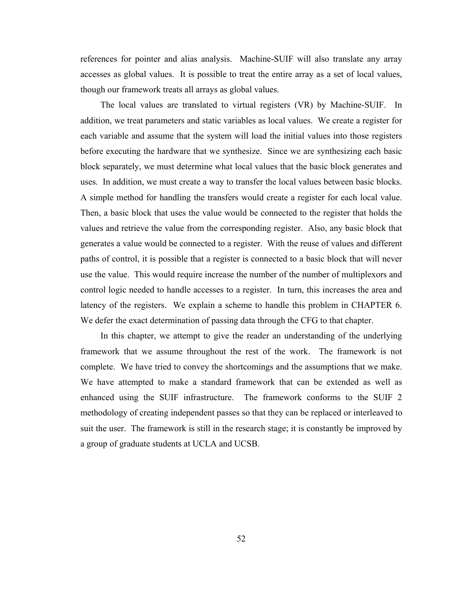references for pointer and alias analysis. Machine-SUIF will also translate any array accesses as global values. It is possible to treat the entire array as a set of local values, though our framework treats all arrays as global values.

The local values are translated to virtual registers (VR) by Machine-SUIF. In addition, we treat parameters and static variables as local values. We create a register for each variable and assume that the system will load the initial values into those registers before executing the hardware that we synthesize. Since we are synthesizing each basic block separately, we must determine what local values that the basic block generates and uses. In addition, we must create a way to transfer the local values between basic blocks. A simple method for handling the transfers would create a register for each local value. Then, a basic block that uses the value would be connected to the register that holds the values and retrieve the value from the corresponding register. Also, any basic block that generates a value would be connected to a register. With the reuse of values and different paths of control, it is possible that a register is connected to a basic block that will never use the value. This would require increase the number of the number of multiplexors and control logic needed to handle accesses to a register. In turn, this increases the area and latency of the registers. We explain a scheme to handle this problem in CHAPTER 6. We defer the exact determination of passing data through the CFG to that chapter.

In this chapter, we attempt to give the reader an understanding of the underlying framework that we assume throughout the rest of the work. The framework is not complete. We have tried to convey the shortcomings and the assumptions that we make. We have attempted to make a standard framework that can be extended as well as enhanced using the SUIF infrastructure. The framework conforms to the SUIF 2 methodology of creating independent passes so that they can be replaced or interleaved to suit the user. The framework is still in the research stage; it is constantly be improved by a group of graduate students at UCLA and UCSB.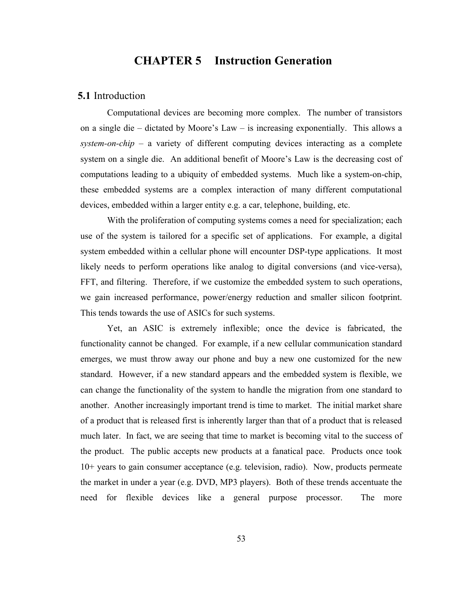# **CHAPTER 5 Instruction Generation**

## **5.1** Introduction

Computational devices are becoming more complex. The number of transistors on a single die – dictated by Moore's Law – is increasing exponentially. This allows a *system-on-chip* – a variety of different computing devices interacting as a complete system on a single die. An additional benefit of Moore's Law is the decreasing cost of computations leading to a ubiquity of embedded systems. Much like a system-on-chip, these embedded systems are a complex interaction of many different computational devices, embedded within a larger entity e.g. a car, telephone, building, etc.

With the proliferation of computing systems comes a need for specialization; each use of the system is tailored for a specific set of applications. For example, a digital system embedded within a cellular phone will encounter DSP-type applications. It most likely needs to perform operations like analog to digital conversions (and vice-versa), FFT, and filtering. Therefore, if we customize the embedded system to such operations, we gain increased performance, power/energy reduction and smaller silicon footprint. This tends towards the use of ASICs for such systems.

Yet, an ASIC is extremely inflexible; once the device is fabricated, the functionality cannot be changed. For example, if a new cellular communication standard emerges, we must throw away our phone and buy a new one customized for the new standard. However, if a new standard appears and the embedded system is flexible, we can change the functionality of the system to handle the migration from one standard to another. Another increasingly important trend is time to market. The initial market share of a product that is released first is inherently larger than that of a product that is released much later. In fact, we are seeing that time to market is becoming vital to the success of the product. The public accepts new products at a fanatical pace. Products once took 10+ years to gain consumer acceptance (e.g. television, radio). Now, products permeate the market in under a year (e.g. DVD, MP3 players). Both of these trends accentuate the need for flexible devices like a general purpose processor. The more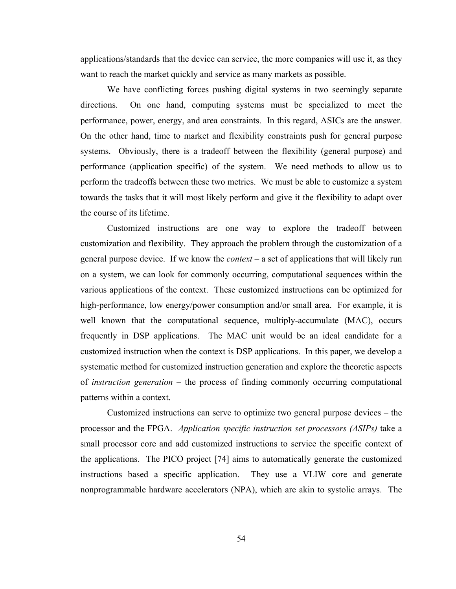applications/standards that the device can service, the more companies will use it, as they want to reach the market quickly and service as many markets as possible.

We have conflicting forces pushing digital systems in two seemingly separate directions. On one hand, computing systems must be specialized to meet the performance, power, energy, and area constraints. In this regard, ASICs are the answer. On the other hand, time to market and flexibility constraints push for general purpose systems. Obviously, there is a tradeoff between the flexibility (general purpose) and performance (application specific) of the system. We need methods to allow us to perform the tradeoffs between these two metrics. We must be able to customize a system towards the tasks that it will most likely perform and give it the flexibility to adapt over the course of its lifetime.

Customized instructions are one way to explore the tradeoff between customization and flexibility. They approach the problem through the customization of a general purpose device. If we know the *context* – a set of applications that will likely run on a system, we can look for commonly occurring, computational sequences within the various applications of the context. These customized instructions can be optimized for high-performance, low energy/power consumption and/or small area. For example, it is well known that the computational sequence, multiply-accumulate (MAC), occurs frequently in DSP applications. The MAC unit would be an ideal candidate for a customized instruction when the context is DSP applications. In this paper, we develop a systematic method for customized instruction generation and explore the theoretic aspects of *instruction generation* – the process of finding commonly occurring computational patterns within a context.

Customized instructions can serve to optimize two general purpose devices – the processor and the FPGA. *Application specific instruction set processors (ASIPs)* take a small processor core and add customized instructions to service the specific context of the applications. The PICO project [74] aims to automatically generate the customized instructions based a specific application. They use a VLIW core and generate nonprogrammable hardware accelerators (NPA), which are akin to systolic arrays. The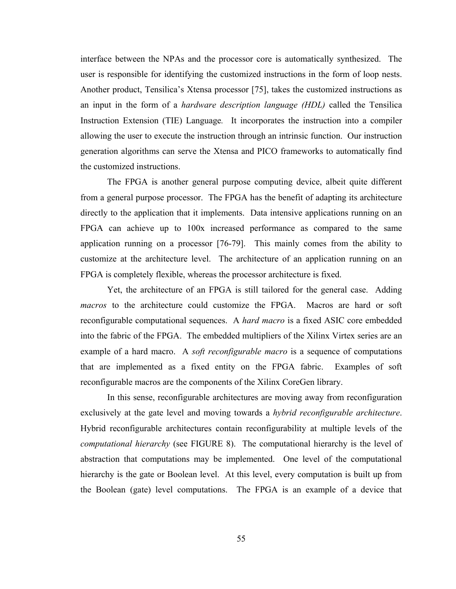interface between the NPAs and the processor core is automatically synthesized. The user is responsible for identifying the customized instructions in the form of loop nests. Another product, Tensilica's Xtensa processor [75], takes the customized instructions as an input in the form of a *hardware description language (HDL)* called the Tensilica Instruction Extension (TIE) Language*.* It incorporates the instruction into a compiler allowing the user to execute the instruction through an intrinsic function. Our instruction generation algorithms can serve the Xtensa and PICO frameworks to automatically find the customized instructions.

The FPGA is another general purpose computing device, albeit quite different from a general purpose processor. The FPGA has the benefit of adapting its architecture directly to the application that it implements. Data intensive applications running on an FPGA can achieve up to 100x increased performance as compared to the same application running on a processor [76-79]. This mainly comes from the ability to customize at the architecture level. The architecture of an application running on an FPGA is completely flexible, whereas the processor architecture is fixed.

Yet, the architecture of an FPGA is still tailored for the general case. Adding *macros* to the architecture could customize the FPGA. Macros are hard or soft reconfigurable computational sequences. A *hard macro* is a fixed ASIC core embedded into the fabric of the FPGA. The embedded multipliers of the Xilinx Virtex series are an example of a hard macro. A *soft reconfigurable macro* is a sequence of computations that are implemented as a fixed entity on the FPGA fabric. Examples of soft reconfigurable macros are the components of the Xilinx CoreGen library.

In this sense, reconfigurable architectures are moving away from reconfiguration exclusively at the gate level and moving towards a *hybrid reconfigurable architecture*. Hybrid reconfigurable architectures contain reconfigurability at multiple levels of the *computational hierarchy* (see FIGURE 8). The computational hierarchy is the level of abstraction that computations may be implemented. One level of the computational hierarchy is the gate or Boolean level. At this level, every computation is built up from the Boolean (gate) level computations. The FPGA is an example of a device that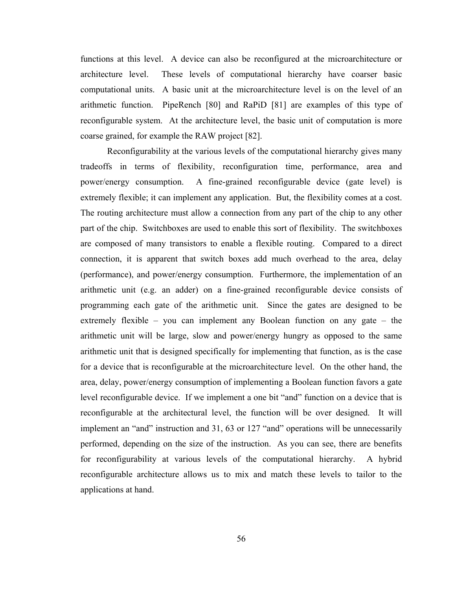functions at this level. A device can also be reconfigured at the microarchitecture or architecture level. These levels of computational hierarchy have coarser basic computational units. A basic unit at the microarchitecture level is on the level of an arithmetic function. PipeRench [80] and RaPiD [81] are examples of this type of reconfigurable system. At the architecture level, the basic unit of computation is more coarse grained, for example the RAW project [82].

Reconfigurability at the various levels of the computational hierarchy gives many tradeoffs in terms of flexibility, reconfiguration time, performance, area and power/energy consumption. A fine-grained reconfigurable device (gate level) is extremely flexible; it can implement any application. But, the flexibility comes at a cost. The routing architecture must allow a connection from any part of the chip to any other part of the chip. Switchboxes are used to enable this sort of flexibility. The switchboxes are composed of many transistors to enable a flexible routing. Compared to a direct connection, it is apparent that switch boxes add much overhead to the area, delay (performance), and power/energy consumption. Furthermore, the implementation of an arithmetic unit (e.g. an adder) on a fine-grained reconfigurable device consists of programming each gate of the arithmetic unit. Since the gates are designed to be extremely flexible – you can implement any Boolean function on any gate – the arithmetic unit will be large, slow and power/energy hungry as opposed to the same arithmetic unit that is designed specifically for implementing that function, as is the case for a device that is reconfigurable at the microarchitecture level. On the other hand, the area, delay, power/energy consumption of implementing a Boolean function favors a gate level reconfigurable device. If we implement a one bit "and" function on a device that is reconfigurable at the architectural level, the function will be over designed. It will implement an "and" instruction and 31, 63 or 127 "and" operations will be unnecessarily performed, depending on the size of the instruction. As you can see, there are benefits for reconfigurability at various levels of the computational hierarchy. A hybrid reconfigurable architecture allows us to mix and match these levels to tailor to the applications at hand.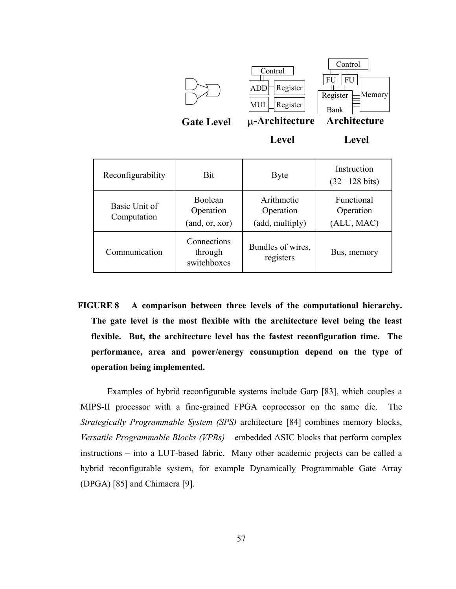

**Level**

**Level**

| Reconfigurability            | Bit<br><b>Byte</b>                     |                                            | Instruction<br>$(32 - 128 \text{ bits})$ |  |
|------------------------------|----------------------------------------|--------------------------------------------|------------------------------------------|--|
| Basic Unit of<br>Computation | Boolean<br>Operation<br>(and, or, xor) | Arithmetic<br>Operation<br>(add, multiply) | Functional<br>Operation<br>(ALU, MAC)    |  |
| Communication                | Connections<br>through<br>switchboxes  | Bundles of wires,<br>registers             | Bus, memory                              |  |

**FIGURE 8 A comparison between three levels of the computational hierarchy. The gate level is the most flexible with the architecture level being the least flexible. But, the architecture level has the fastest reconfiguration time. The performance, area and power/energy consumption depend on the type of operation being implemented.** 

Examples of hybrid reconfigurable systems include Garp [83], which couples a MIPS-II processor with a fine-grained FPGA coprocessor on the same die. The *Strategically Programmable System (SPS)* architecture [84] combines memory blocks, *Versatile Programmable Blocks (VPBs)* – embedded ASIC blocks that perform complex instructions – into a LUT-based fabric. Many other academic projects can be called a hybrid reconfigurable system, for example Dynamically Programmable Gate Array (DPGA) [85] and Chimaera [9].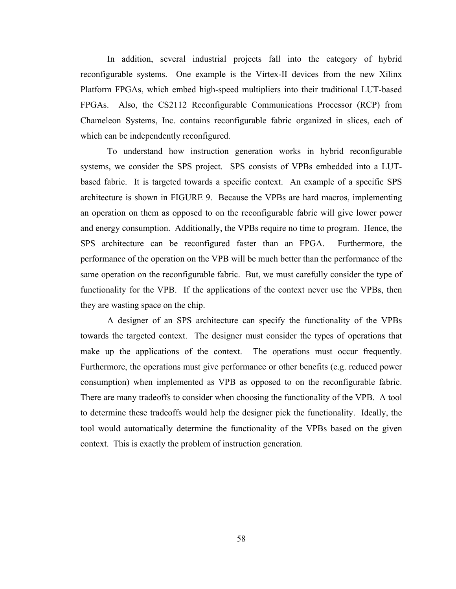In addition, several industrial projects fall into the category of hybrid reconfigurable systems. One example is the Virtex-II devices from the new Xilinx Platform FPGAs, which embed high-speed multipliers into their traditional LUT-based FPGAs. Also, the CS2112 Reconfigurable Communications Processor (RCP) from Chameleon Systems, Inc. contains reconfigurable fabric organized in slices, each of which can be independently reconfigured.

To understand how instruction generation works in hybrid reconfigurable systems, we consider the SPS project. SPS consists of VPBs embedded into a LUTbased fabric. It is targeted towards a specific context. An example of a specific SPS architecture is shown in FIGURE 9. Because the VPBs are hard macros, implementing an operation on them as opposed to on the reconfigurable fabric will give lower power and energy consumption. Additionally, the VPBs require no time to program. Hence, the SPS architecture can be reconfigured faster than an FPGA. Furthermore, the performance of the operation on the VPB will be much better than the performance of the same operation on the reconfigurable fabric. But, we must carefully consider the type of functionality for the VPB. If the applications of the context never use the VPBs, then they are wasting space on the chip.

A designer of an SPS architecture can specify the functionality of the VPBs towards the targeted context. The designer must consider the types of operations that make up the applications of the context. The operations must occur frequently. Furthermore, the operations must give performance or other benefits (e.g. reduced power consumption) when implemented as VPB as opposed to on the reconfigurable fabric. There are many tradeoffs to consider when choosing the functionality of the VPB. A tool to determine these tradeoffs would help the designer pick the functionality. Ideally, the tool would automatically determine the functionality of the VPBs based on the given context. This is exactly the problem of instruction generation.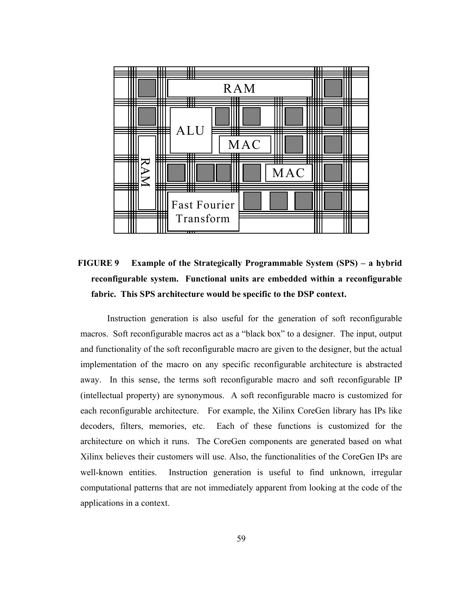

**FIGURE 9 Example of the Strategically Programmable System (SPS) – a hybrid reconfigurable system. Functional units are embedded within a reconfigurable fabric. This SPS architecture would be specific to the DSP context.** 

Instruction generation is also useful for the generation of soft reconfigurable macros. Soft reconfigurable macros act as a "black box" to a designer. The input, output and functionality of the soft reconfigurable macro are given to the designer, but the actual implementation of the macro on any specific reconfigurable architecture is abstracted away. In this sense, the terms soft reconfigurable macro and soft reconfigurable IP (intellectual property) are synonymous. A soft reconfigurable macro is customized for each reconfigurable architecture. For example, the Xilinx CoreGen library has IPs like decoders, filters, memories, etc. Each of these functions is customized for the architecture on which it runs. The CoreGen components are generated based on what Xilinx believes their customers will use. Also, the functionalities of the CoreGen IPs are well-known entities. Instruction generation is useful to find unknown, irregular computational patterns that are not immediately apparent from looking at the code of the applications in a context.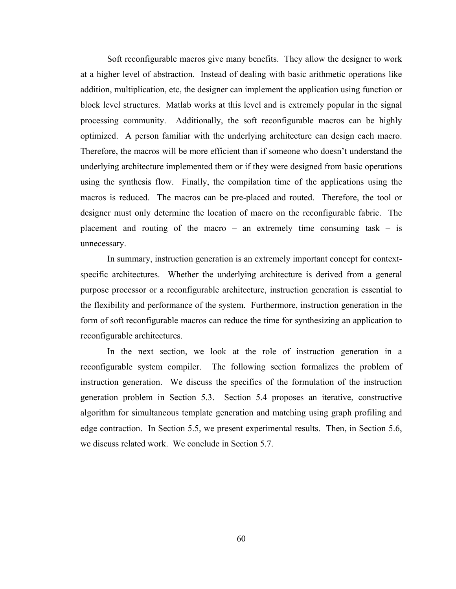Soft reconfigurable macros give many benefits. They allow the designer to work at a higher level of abstraction. Instead of dealing with basic arithmetic operations like addition, multiplication, etc, the designer can implement the application using function or block level structures. Matlab works at this level and is extremely popular in the signal processing community. Additionally, the soft reconfigurable macros can be highly optimized. A person familiar with the underlying architecture can design each macro. Therefore, the macros will be more efficient than if someone who doesn't understand the underlying architecture implemented them or if they were designed from basic operations using the synthesis flow. Finally, the compilation time of the applications using the macros is reduced. The macros can be pre-placed and routed. Therefore, the tool or designer must only determine the location of macro on the reconfigurable fabric. The placement and routing of the macro – an extremely time consuming task – is unnecessary.

In summary, instruction generation is an extremely important concept for contextspecific architectures. Whether the underlying architecture is derived from a general purpose processor or a reconfigurable architecture, instruction generation is essential to the flexibility and performance of the system. Furthermore, instruction generation in the form of soft reconfigurable macros can reduce the time for synthesizing an application to reconfigurable architectures.

In the next section, we look at the role of instruction generation in a reconfigurable system compiler. The following section formalizes the problem of instruction generation. We discuss the specifics of the formulation of the instruction generation problem in Section 5.3. Section 5.4 proposes an iterative, constructive algorithm for simultaneous template generation and matching using graph profiling and edge contraction. In Section 5.5, we present experimental results. Then, in Section 5.6, we discuss related work. We conclude in Section 5.7.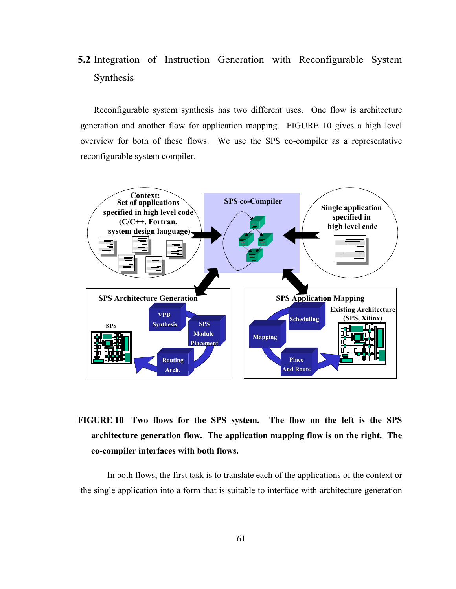# **5.2** Integration of Instruction Generation with Reconfigurable System Synthesis

Reconfigurable system synthesis has two different uses. One flow is architecture generation and another flow for application mapping. FIGURE 10 gives a high level overview for both of these flows. We use the SPS co-compiler as a representative reconfigurable system compiler.



**FIGURE 10 Two flows for the SPS system. The flow on the left is the SPS architecture generation flow. The application mapping flow is on the right. The co-compiler interfaces with both flows.** 

In both flows, the first task is to translate each of the applications of the context or the single application into a form that is suitable to interface with architecture generation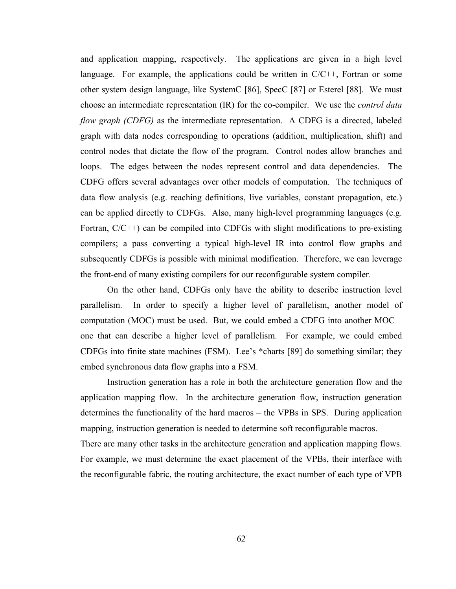and application mapping, respectively. The applications are given in a high level language. For example, the applications could be written in  $C/C++$ , Fortran or some other system design language, like SystemC [86], SpecC [87] or Esterel [88]. We must choose an intermediate representation (IR) for the co-compiler. We use the *control data flow graph (CDFG)* as the intermediate representation. A CDFG is a directed, labeled graph with data nodes corresponding to operations (addition, multiplication, shift) and control nodes that dictate the flow of the program. Control nodes allow branches and loops. The edges between the nodes represent control and data dependencies. The CDFG offers several advantages over other models of computation. The techniques of data flow analysis (e.g. reaching definitions, live variables, constant propagation, etc.) can be applied directly to CDFGs. Also, many high-level programming languages (e.g. Fortran,  $C/C^{++}$ ) can be compiled into CDFGs with slight modifications to pre-existing compilers; a pass converting a typical high-level IR into control flow graphs and subsequently CDFGs is possible with minimal modification. Therefore, we can leverage the front-end of many existing compilers for our reconfigurable system compiler.

On the other hand, CDFGs only have the ability to describe instruction level parallelism. In order to specify a higher level of parallelism, another model of computation (MOC) must be used. But, we could embed a CDFG into another MOC – one that can describe a higher level of parallelism. For example, we could embed CDFGs into finite state machines (FSM). Lee's \*charts [89] do something similar; they embed synchronous data flow graphs into a FSM.

Instruction generation has a role in both the architecture generation flow and the application mapping flow. In the architecture generation flow, instruction generation determines the functionality of the hard macros – the VPBs in SPS. During application mapping, instruction generation is needed to determine soft reconfigurable macros.

There are many other tasks in the architecture generation and application mapping flows. For example, we must determine the exact placement of the VPBs, their interface with the reconfigurable fabric, the routing architecture, the exact number of each type of VPB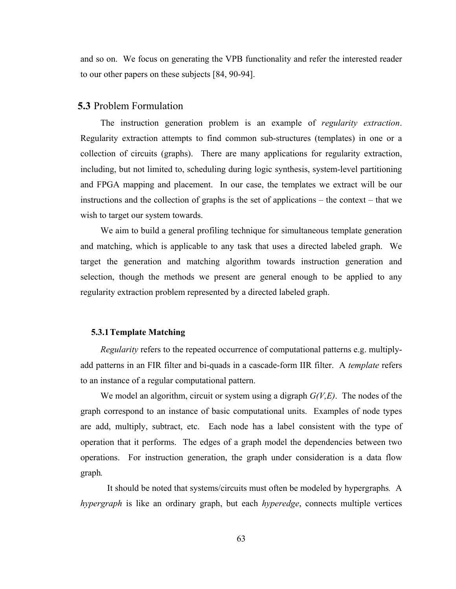and so on. We focus on generating the VPB functionality and refer the interested reader to our other papers on these subjects [84, 90-94].

### **5.3** Problem Formulation

The instruction generation problem is an example of *regularity extraction*. Regularity extraction attempts to find common sub-structures (templates) in one or a collection of circuits (graphs). There are many applications for regularity extraction, including, but not limited to, scheduling during logic synthesis, system-level partitioning and FPGA mapping and placement. In our case, the templates we extract will be our instructions and the collection of graphs is the set of applications – the context – that we wish to target our system towards.

We aim to build a general profiling technique for simultaneous template generation and matching, which is applicable to any task that uses a directed labeled graph. We target the generation and matching algorithm towards instruction generation and selection, though the methods we present are general enough to be applied to any regularity extraction problem represented by a directed labeled graph.

#### **5.3.1Template Matching**

*Regularity* refers to the repeated occurrence of computational patterns e.g. multiplyadd patterns in an FIR filter and bi-quads in a cascade-form IIR filter. A *template* refers to an instance of a regular computational pattern.

We model an algorithm, circuit or system using a digraph *G(V,E)*. The nodes of the graph correspond to an instance of basic computational units. Examples of node types are add, multiply, subtract, etc. Each node has a label consistent with the type of operation that it performs. The edges of a graph model the dependencies between two operations. For instruction generation, the graph under consideration is a data flow graph*.*

It should be noted that systems/circuits must often be modeled by hypergraphs*.* A *hypergraph* is like an ordinary graph, but each *hyperedge*, connects multiple vertices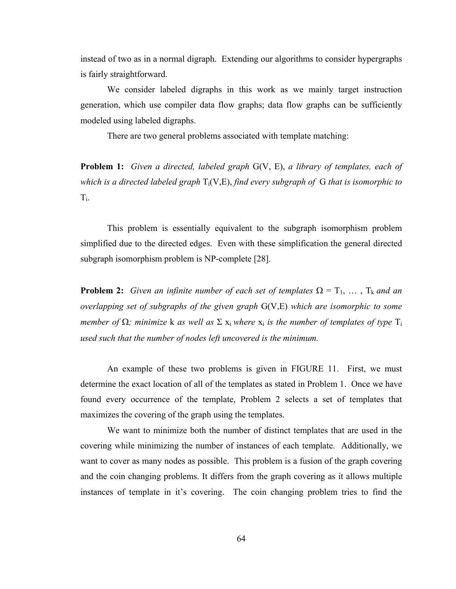instead of two as in a normal digraph. Extending our algorithms to consider hypergraphs is fairly straightforward.

We consider labeled digraphs in this work as we mainly target instruction generation, which use compiler data flow graphs; data flow graphs can be sufficiently modeled using labeled digraphs.

There are two general problems associated with template matching:

**Problem 1:** *Given a directed, labeled graph* G(V, E), *a library of templates, each of which is a directed labeled graph* Ti(V,E), *find every subgraph of* G *that is isomorphic to*  Ti.

This problem is essentially equivalent to the subgraph isomorphism problem simplified due to the directed edges. Even with these simplification the general directed subgraph isomorphism problem is NP-complete [28].

**Problem 2:** *Given an infinite number of each set of templates*  $\Omega = T_1, \ldots, T_k$  *and an overlapping set of subgraphs of the given graph* G(V,E) *which are isomorphic to some member of*  $\Omega$ *; minimize k as well as*  $\Sigma$   $x_i$  *where*  $x_i$  *is the number of templates of type*  $T_i$ *used such that the number of nodes left uncovered is the minimum.* 

An example of these two problems is given in FIGURE 11. First, we must determine the exact location of all of the templates as stated in Problem 1. Once we have found every occurrence of the template, Problem 2 selects a set of templates that maximizes the covering of the graph using the templates.

 We want to minimize both the number of distinct templates that are used in the covering while minimizing the number of instances of each template. Additionally, we want to cover as many nodes as possible. This problem is a fusion of the graph covering and the coin changing problems. It differs from the graph covering as it allows multiple instances of template in it's covering. The coin changing problem tries to find the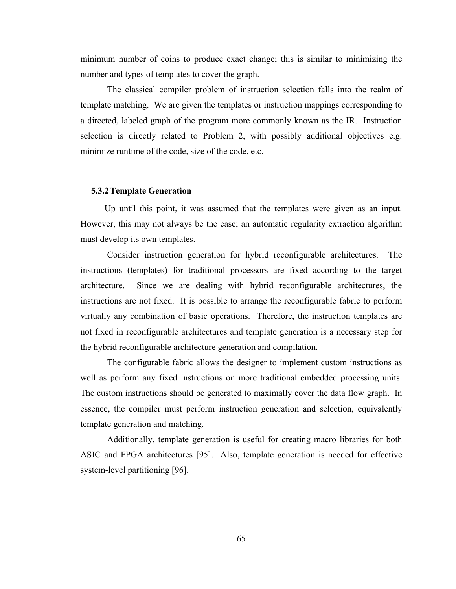minimum number of coins to produce exact change; this is similar to minimizing the number and types of templates to cover the graph.

 The classical compiler problem of instruction selection falls into the realm of template matching. We are given the templates or instruction mappings corresponding to a directed, labeled graph of the program more commonly known as the IR. Instruction selection is directly related to Problem 2, with possibly additional objectives e.g. minimize runtime of the code, size of the code, etc.

#### **5.3.2Template Generation**

Up until this point, it was assumed that the templates were given as an input. However, this may not always be the case; an automatic regularity extraction algorithm must develop its own templates.

Consider instruction generation for hybrid reconfigurable architectures. The instructions (templates) for traditional processors are fixed according to the target architecture. Since we are dealing with hybrid reconfigurable architectures, the instructions are not fixed. It is possible to arrange the reconfigurable fabric to perform virtually any combination of basic operations. Therefore, the instruction templates are not fixed in reconfigurable architectures and template generation is a necessary step for the hybrid reconfigurable architecture generation and compilation.

The configurable fabric allows the designer to implement custom instructions as well as perform any fixed instructions on more traditional embedded processing units. The custom instructions should be generated to maximally cover the data flow graph. In essence, the compiler must perform instruction generation and selection, equivalently template generation and matching.

 Additionally, template generation is useful for creating macro libraries for both ASIC and FPGA architectures [95]. Also, template generation is needed for effective system-level partitioning [96].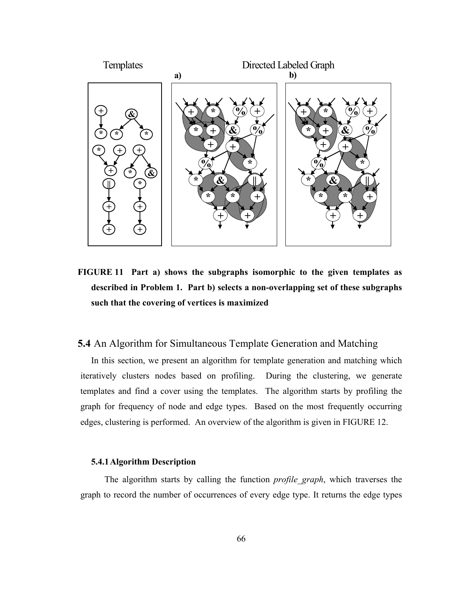

**FIGURE 11 Part a) shows the subgraphs isomorphic to the given templates as described in Problem 1. Part b) selects a non-overlapping set of these subgraphs such that the covering of vertices is maximized** 

## **5.4** An Algorithm for Simultaneous Template Generation and Matching

In this section, we present an algorithm for template generation and matching which iteratively clusters nodes based on profiling. During the clustering, we generate templates and find a cover using the templates. The algorithm starts by profiling the graph for frequency of node and edge types. Based on the most frequently occurring edges, clustering is performed. An overview of the algorithm is given in FIGURE 12.

#### **5.4.1Algorithm Description**

The algorithm starts by calling the function *profile\_graph*, which traverses the graph to record the number of occurrences of every edge type. It returns the edge types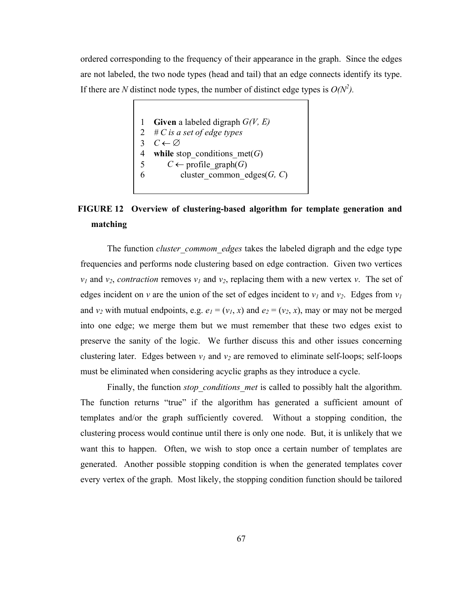ordered corresponding to the frequency of their appearance in the graph. Since the edges are not labeled, the two node types (head and tail) that an edge connects identify its type. If there are *N* distinct node types, the number of distinct edge types is  $O(N^2)$ .

> **Given** a labeled digraph *G(V, E) # C is a set of edge types*  3 *C* ← ∅ **while** stop conditions  $met(G)$  $C \leftarrow$  profile graph(*G*) cluster common edges $(G, C)$

## **FIGURE 12 Overview of clustering-based algorithm for template generation and matching**

The function *cluster* commom edges takes the labeled digraph and the edge type frequencies and performs node clustering based on edge contraction. Given two vertices  $v_1$  and  $v_2$ , *contraction* removes  $v_1$  and  $v_2$ , replacing them with a new vertex  $v$ . The set of edges incident on *v* are the union of the set of edges incident to  $v_1$  and  $v_2$ . Edges from  $v_1$ and  $v_2$  with mutual endpoints, e.g.  $e_1 = (v_1, x)$  and  $e_2 = (v_2, x)$ , may or may not be merged into one edge; we merge them but we must remember that these two edges exist to preserve the sanity of the logic. We further discuss this and other issues concerning clustering later. Edges between  $v_1$  and  $v_2$  are removed to eliminate self-loops; self-loops must be eliminated when considering acyclic graphs as they introduce a cycle.

Finally, the function *stop* conditions met is called to possibly halt the algorithm. The function returns "true" if the algorithm has generated a sufficient amount of templates and/or the graph sufficiently covered. Without a stopping condition, the clustering process would continue until there is only one node. But, it is unlikely that we want this to happen. Often, we wish to stop once a certain number of templates are generated. Another possible stopping condition is when the generated templates cover every vertex of the graph. Most likely, the stopping condition function should be tailored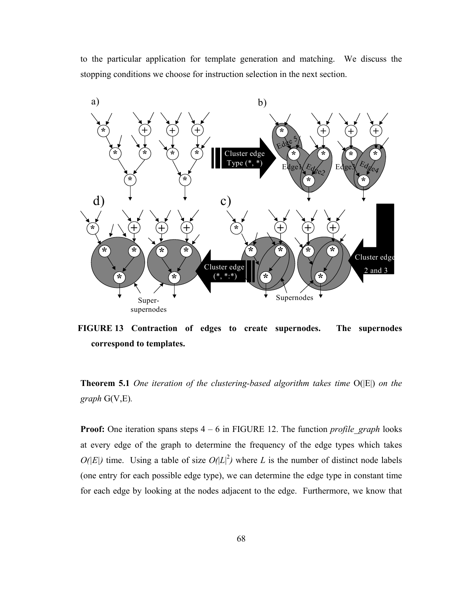to the particular application for template generation and matching. We discuss the stopping conditions we choose for instruction selection in the next section.



**FIGURE 13 Contraction of edges to create supernodes. The supernodes correspond to templates.** 

**Theorem 5.1** *One iteration of the clustering-based algorithm takes time* O(|E|) *on the graph* G(V,E)*.*

**Proof:** One iteration spans steps  $4 - 6$  in FIGURE 12. The function *profile* graph looks at every edge of the graph to determine the frequency of the edge types which takes  $O(|E|)$  time. Using a table of size  $O(|L|^2)$  where *L* is the number of distinct node labels (one entry for each possible edge type), we can determine the edge type in constant time for each edge by looking at the nodes adjacent to the edge. Furthermore, we know that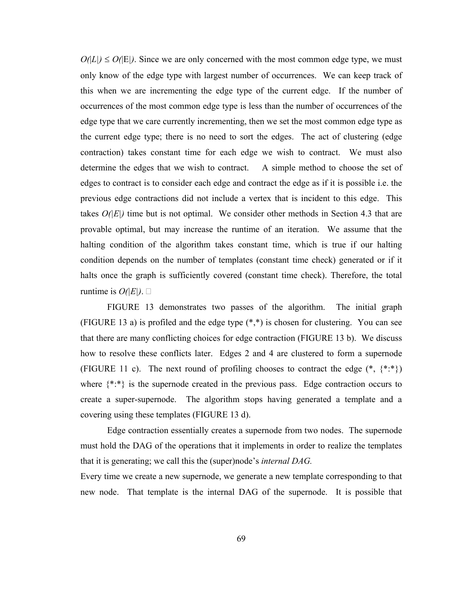$O(|L|) \leq O(|E|)$ . Since we are only concerned with the most common edge type, we must only know of the edge type with largest number of occurrences. We can keep track of this when we are incrementing the edge type of the current edge. If the number of occurrences of the most common edge type is less than the number of occurrences of the edge type that we care currently incrementing, then we set the most common edge type as the current edge type; there is no need to sort the edges. The act of clustering (edge contraction) takes constant time for each edge we wish to contract. We must also determine the edges that we wish to contract. A simple method to choose the set of edges to contract is to consider each edge and contract the edge as if it is possible i.e. the previous edge contractions did not include a vertex that is incident to this edge. This takes  $O(|E|)$  time but is not optimal. We consider other methods in Section 4.3 that are provable optimal, but may increase the runtime of an iteration. We assume that the halting condition of the algorithm takes constant time, which is true if our halting condition depends on the number of templates (constant time check) generated or if it halts once the graph is sufficiently covered (constant time check). Therefore, the total runtime is  $O(|E|)$ .

FIGURE 13 demonstrates two passes of the algorithm. The initial graph (FIGURE 13 a) is profiled and the edge type (\*,\*) is chosen for clustering. You can see that there are many conflicting choices for edge contraction (FIGURE 13 b). We discuss how to resolve these conflicts later. Edges 2 and 4 are clustered to form a supernode (FIGURE 11 c). The next round of profiling chooses to contract the edge  $(*, \{*,*\})$ where  $\{*,*\}$  is the supernode created in the previous pass. Edge contraction occurs to create a super-supernode. The algorithm stops having generated a template and a covering using these templates (FIGURE 13 d).

Edge contraction essentially creates a supernode from two nodes. The supernode must hold the DAG of the operations that it implements in order to realize the templates that it is generating; we call this the (super)node's *internal DAG.*

Every time we create a new supernode, we generate a new template corresponding to that new node. That template is the internal DAG of the supernode. It is possible that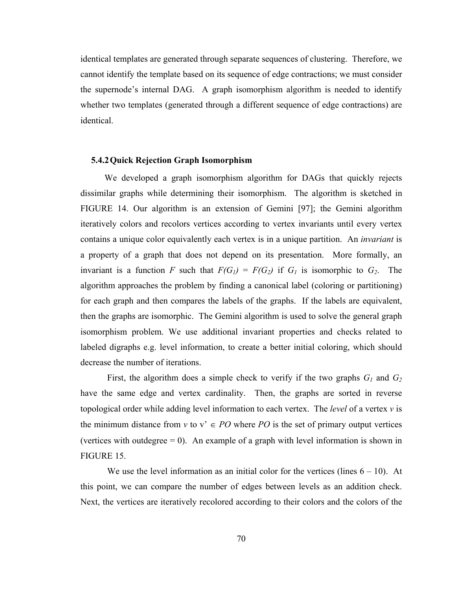identical templates are generated through separate sequences of clustering. Therefore, we cannot identify the template based on its sequence of edge contractions; we must consider the supernode's internal DAG. A graph isomorphism algorithm is needed to identify whether two templates (generated through a different sequence of edge contractions) are identical.

#### **5.4.2Quick Rejection Graph Isomorphism**

We developed a graph isomorphism algorithm for DAGs that quickly rejects dissimilar graphs while determining their isomorphism. The algorithm is sketched in FIGURE 14. Our algorithm is an extension of Gemini [97]; the Gemini algorithm iteratively colors and recolors vertices according to vertex invariants until every vertex contains a unique color equivalently each vertex is in a unique partition. An *invariant* is a property of a graph that does not depend on its presentation. More formally, an invariant is a function *F* such that  $F(G_1) = F(G_2)$  if  $G_1$  is isomorphic to  $G_2$ . The algorithm approaches the problem by finding a canonical label (coloring or partitioning) for each graph and then compares the labels of the graphs. If the labels are equivalent, then the graphs are isomorphic. The Gemini algorithm is used to solve the general graph isomorphism problem. We use additional invariant properties and checks related to labeled digraphs e.g. level information, to create a better initial coloring, which should decrease the number of iterations.

First, the algorithm does a simple check to verify if the two graphs  $G_1$  and  $G_2$ have the same edge and vertex cardinality. Then, the graphs are sorted in reverse topological order while adding level information to each vertex. The *level* of a vertex *v* is the minimum distance from  $v$  to  $v' \in PO$  where *PO* is the set of primary output vertices (vertices with outdegree  $= 0$ ). An example of a graph with level information is shown in FIGURE 15.

We use the level information as an initial color for the vertices (lines  $6 - 10$ ). At this point, we can compare the number of edges between levels as an addition check. Next, the vertices are iteratively recolored according to their colors and the colors of the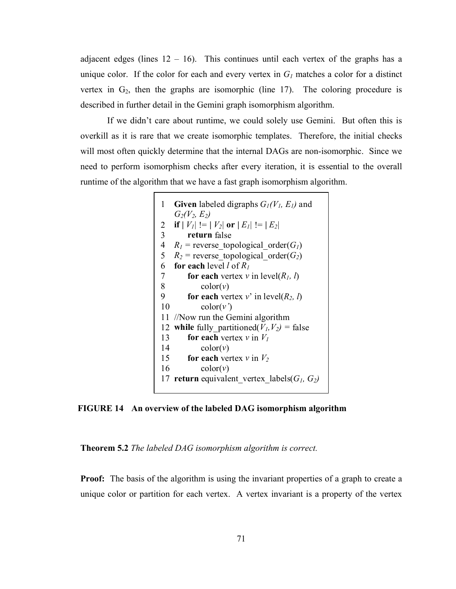adjacent edges (lines  $12 - 16$ ). This continues until each vertex of the graphs has a unique color. If the color for each and every vertex in  $G_l$  matches a color for a distinct vertex in  $G_2$ , then the graphs are isomorphic (line 17). The coloring procedure is described in further detail in the Gemini graph isomorphism algorithm.

If we didn't care about runtime, we could solely use Gemini. But often this is overkill as it is rare that we create isomorphic templates. Therefore, the initial checks will most often quickly determine that the internal DAGs are non-isomorphic. Since we need to perform isomorphism checks after every iteration, it is essential to the overall runtime of the algorithm that we have a fast graph isomorphism algorithm.

| 1              | Given labeled digraphs $G_l(V_l, E_l)$ and              |
|----------------|---------------------------------------------------------|
|                | $G_2(V_2, E_2)$                                         |
| 2              | if $ V_1  :=  V_2 $ or $ E_1  :=  E_2 $                 |
| 3              | return false                                            |
| $\overline{4}$ | $R_1$ = reverse topological order( $G_1$ )              |
| 5              | $R_2$ = reverse topological order( $G_2$ )              |
| 6              | for each level l of $R_1$                               |
| 7              | for each vertex v in level( $R1$ , l)                   |
| 8              | $\text{color}(v)$                                       |
| 9              | for each vertex v' in $level(R_2, l)$                   |
| 10             | color(v)                                                |
| 11             | //Now run the Gemini algorithm                          |
|                | 12 while fully partitioned $(V_1, V_2)$ = false         |
| 13             | for each vertex $v$ in $V_I$                            |
| 14             | color(v)                                                |
| 15             | for each vertex $v$ in $V_2$                            |
| 16             | color(v)                                                |
| 17             | <b>return</b> equivalent vertex labels( $G_1$ , $G_2$ ) |
|                |                                                         |

**FIGURE 14 An overview of the labeled DAG isomorphism algorithm** 

**Theorem 5.2** *The labeled DAG isomorphism algorithm is correct.*

**Proof:** The basis of the algorithm is using the invariant properties of a graph to create a unique color or partition for each vertex. A vertex invariant is a property of the vertex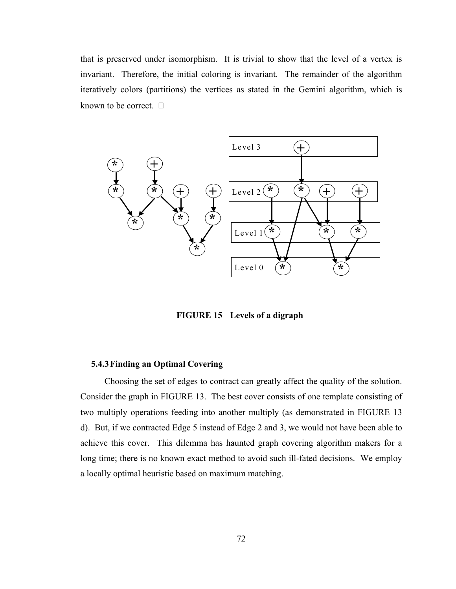that is preserved under isomorphism. It is trivial to show that the level of a vertex is invariant. Therefore, the initial coloring is invariant. The remainder of the algorithm iteratively colors (partitions) the vertices as stated in the Gemini algorithm, which is known to be correct.  $\square$ 



**FIGURE 15 Levels of a digraph** 

#### **5.4.3Finding an Optimal Covering**

Choosing the set of edges to contract can greatly affect the quality of the solution. Consider the graph in FIGURE 13. The best cover consists of one template consisting of two multiply operations feeding into another multiply (as demonstrated in FIGURE 13 d). But, if we contracted Edge 5 instead of Edge 2 and 3, we would not have been able to achieve this cover. This dilemma has haunted graph covering algorithm makers for a long time; there is no known exact method to avoid such ill-fated decisions. We employ a locally optimal heuristic based on maximum matching.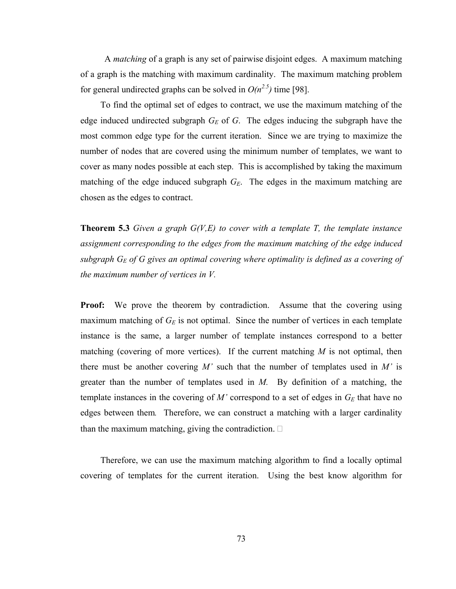A *matching* of a graph is any set of pairwise disjoint edges. A maximum matching of a graph is the matching with maximum cardinality. The maximum matching problem for general undirected graphs can be solved in  $O(n^{2.5})$  time [98].

To find the optimal set of edges to contract, we use the maximum matching of the edge induced undirected subgraph  $G_E$  of  $G$ . The edges inducing the subgraph have the most common edge type for the current iteration. Since we are trying to maximize the number of nodes that are covered using the minimum number of templates, we want to cover as many nodes possible at each step. This is accomplished by taking the maximum matching of the edge induced subgraph  $G_E$ . The edges in the maximum matching are chosen as the edges to contract.

**Theorem 5.3** *Given a graph G(V,E) to cover with a template T, the template instance assignment corresponding to the edges from the maximum matching of the edge induced*  subgraph  $G_E$  of  $G$  gives an optimal covering where optimality is defined as a covering of *the maximum number of vertices in V.* 

**Proof:** We prove the theorem by contradiction. Assume that the covering using maximum matching of  $G_E$  is not optimal. Since the number of vertices in each template instance is the same, a larger number of template instances correspond to a better matching (covering of more vertices). If the current matching *M* is not optimal, then there must be another covering  $M'$  such that the number of templates used in  $M'$  is greater than the number of templates used in *M.* By definition of a matching, the template instances in the covering of  $M'$  correspond to a set of edges in  $G_E$  that have no edges between them*.* Therefore, we can construct a matching with a larger cardinality than the maximum matching, giving the contradiction.  $\Box$ 

Therefore, we can use the maximum matching algorithm to find a locally optimal covering of templates for the current iteration. Using the best know algorithm for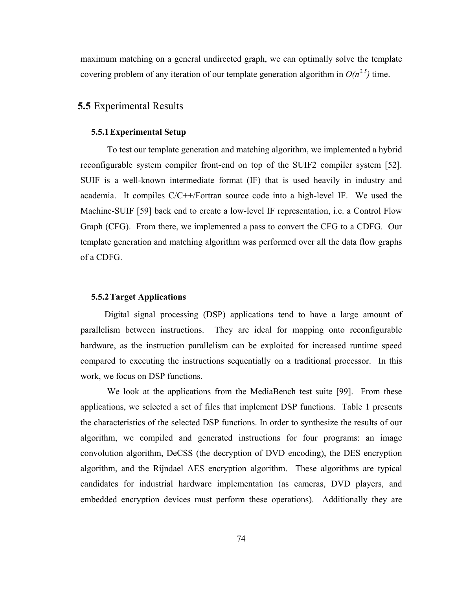maximum matching on a general undirected graph, we can optimally solve the template covering problem of any iteration of our template generation algorithm in  $O(n^{2.5})$  time.

## **5.5** Experimental Results

#### **5.5.1Experimental Setup**

 To test our template generation and matching algorithm, we implemented a hybrid reconfigurable system compiler front-end on top of the SUIF2 compiler system [52]. SUIF is a well-known intermediate format (IF) that is used heavily in industry and academia. It compiles C/C++/Fortran source code into a high-level IF. We used the Machine-SUIF [59] back end to create a low-level IF representation, i.e. a Control Flow Graph (CFG). From there, we implemented a pass to convert the CFG to a CDFG. Our template generation and matching algorithm was performed over all the data flow graphs of a CDFG.

#### **5.5.2Target Applications**

Digital signal processing (DSP) applications tend to have a large amount of parallelism between instructions. They are ideal for mapping onto reconfigurable hardware, as the instruction parallelism can be exploited for increased runtime speed compared to executing the instructions sequentially on a traditional processor. In this work, we focus on DSP functions.

 We look at the applications from the MediaBench test suite [99]. From these applications, we selected a set of files that implement DSP functions. Table 1 presents the characteristics of the selected DSP functions. In order to synthesize the results of our algorithm, we compiled and generated instructions for four programs: an image convolution algorithm, DeCSS (the decryption of DVD encoding), the DES encryption algorithm, and the Rijndael AES encryption algorithm. These algorithms are typical candidates for industrial hardware implementation (as cameras, DVD players, and embedded encryption devices must perform these operations). Additionally they are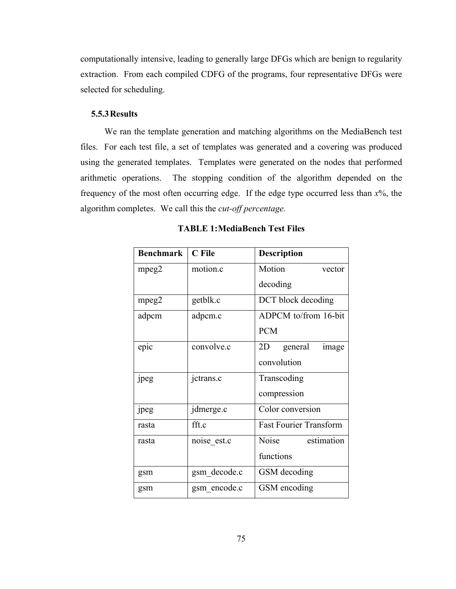computationally intensive, leading to generally large DFGs which are benign to regularity extraction. From each compiled CDFG of the programs, four representative DFGs were selected for scheduling.

#### **5.5.3Results**

We ran the template generation and matching algorithms on the MediaBench test files. For each test file, a set of templates was generated and a covering was produced using the generated templates. Templates were generated on the nodes that performed arithmetic operations. The stopping condition of the algorithm depended on the frequency of the most often occurring edge. If the edge type occurred less than  $x\%$ , the algorithm completes. We call this the *cut-off percentage.*

| <b>Benchmark</b> | <b>C</b> File | <b>Description</b>            |  |  |
|------------------|---------------|-------------------------------|--|--|
| mpeg2            | motion.c      | Motion<br>vector              |  |  |
|                  |               | decoding                      |  |  |
| mpeg2            | getblk.c      | DCT block decoding            |  |  |
| adpcm            | adpcm.c       | ADPCM to/from 16-bit          |  |  |
|                  |               | <b>PCM</b>                    |  |  |
| epic             | convolve.c    | 2D<br>general<br>image        |  |  |
|                  |               | convolution                   |  |  |
| <i>ypeg</i>      | jetrans.c     | Transcoding                   |  |  |
|                  |               | compression                   |  |  |
| jpeg             | jdmerge.c     | Color conversion              |  |  |
| rasta            | fft.c         | <b>Fast Fourier Transform</b> |  |  |
| rasta            | noise est.c   | Noise<br>estimation           |  |  |
|                  |               | functions                     |  |  |
| gsm              | gsm decode.c  | GSM decoding                  |  |  |
| gsm              | gsm encode.c  | GSM encoding                  |  |  |

**TABLE 1:MediaBench Test Files**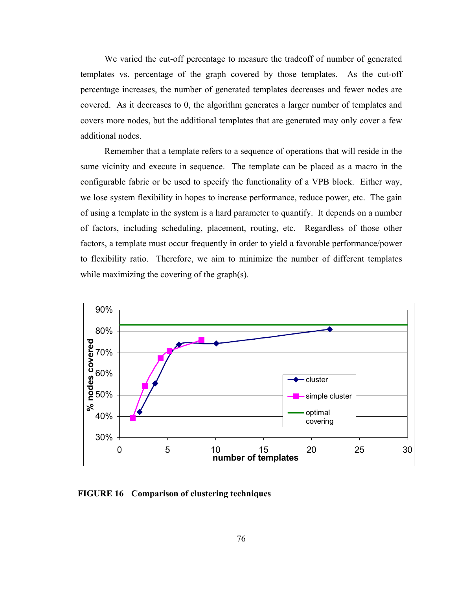We varied the cut-off percentage to measure the tradeoff of number of generated templates vs. percentage of the graph covered by those templates. As the cut-off percentage increases, the number of generated templates decreases and fewer nodes are covered. As it decreases to 0, the algorithm generates a larger number of templates and covers more nodes, but the additional templates that are generated may only cover a few additional nodes.

Remember that a template refers to a sequence of operations that will reside in the same vicinity and execute in sequence. The template can be placed as a macro in the configurable fabric or be used to specify the functionality of a VPB block. Either way, we lose system flexibility in hopes to increase performance, reduce power, etc. The gain of using a template in the system is a hard parameter to quantify. It depends on a number of factors, including scheduling, placement, routing, etc. Regardless of those other factors, a template must occur frequently in order to yield a favorable performance/power to flexibility ratio. Therefore, we aim to minimize the number of different templates while maximizing the covering of the graph(s).



**FIGURE 16 Comparison of clustering techniques**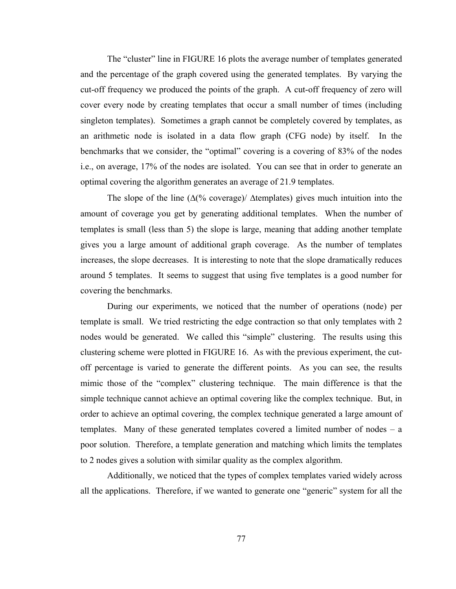The "cluster" line in FIGURE 16 plots the average number of templates generated and the percentage of the graph covered using the generated templates. By varying the cut-off frequency we produced the points of the graph. A cut-off frequency of zero will cover every node by creating templates that occur a small number of times (including singleton templates). Sometimes a graph cannot be completely covered by templates, as an arithmetic node is isolated in a data flow graph (CFG node) by itself. In the benchmarks that we consider, the "optimal" covering is a covering of 83% of the nodes i.e., on average, 17% of the nodes are isolated. You can see that in order to generate an optimal covering the algorithm generates an average of 21.9 templates.

The slope of the line ( $\Delta\psi$  coverage)/  $\Delta$ templates) gives much intuition into the amount of coverage you get by generating additional templates. When the number of templates is small (less than 5) the slope is large, meaning that adding another template gives you a large amount of additional graph coverage. As the number of templates increases, the slope decreases. It is interesting to note that the slope dramatically reduces around 5 templates. It seems to suggest that using five templates is a good number for covering the benchmarks.

During our experiments, we noticed that the number of operations (node) per template is small. We tried restricting the edge contraction so that only templates with 2 nodes would be generated. We called this "simple" clustering. The results using this clustering scheme were plotted in FIGURE 16. As with the previous experiment, the cutoff percentage is varied to generate the different points. As you can see, the results mimic those of the "complex" clustering technique. The main difference is that the simple technique cannot achieve an optimal covering like the complex technique. But, in order to achieve an optimal covering, the complex technique generated a large amount of templates. Many of these generated templates covered a limited number of nodes – a poor solution. Therefore, a template generation and matching which limits the templates to 2 nodes gives a solution with similar quality as the complex algorithm.

Additionally, we noticed that the types of complex templates varied widely across all the applications. Therefore, if we wanted to generate one "generic" system for all the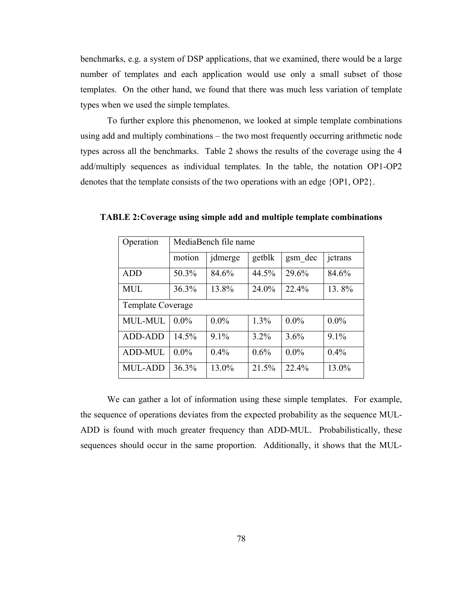benchmarks, e.g. a system of DSP applications, that we examined, there would be a large number of templates and each application would use only a small subset of those templates. On the other hand, we found that there was much less variation of template types when we used the simple templates.

To further explore this phenomenon, we looked at simple template combinations using add and multiply combinations – the two most frequently occurring arithmetic node types across all the benchmarks. Table 2 shows the results of the coverage using the 4 add/multiply sequences as individual templates. In the table, the notation OP1-OP2 denotes that the template consists of the two operations with an edge {OP1, OP2}.

| Operation                | MediaBench file name |         |         |         |         |
|--------------------------|----------------------|---------|---------|---------|---------|
|                          | motion               | idmerge | getblk  | gsm dec | jetrans |
| <b>ADD</b>               | 50.3%                | 84.6%   | 44.5%   | 29.6%   | 84.6%   |
| <b>MUL</b>               | 36.3%                | 13.8%   | 24.0%   | 22.4%   | 13.8%   |
| <b>Template Coverage</b> |                      |         |         |         |         |
| MUL-MUL                  | $0.0\%$              | $0.0\%$ | 1.3%    | $0.0\%$ | $0.0\%$ |
| <b>ADD-ADD</b>           | 14.5%                | $9.1\%$ | $3.2\%$ | $3.6\%$ | $9.1\%$ |
| <b>ADD-MUL</b>           | $0.0\%$              | $0.4\%$ | $0.6\%$ | $0.0\%$ | $0.4\%$ |
| <b>MUL-ADD</b>           | 36.3%                | 13.0%   | 21.5%   | 22.4%   | 13.0%   |

**TABLE 2:Coverage using simple add and multiple template combinations** 

We can gather a lot of information using these simple templates. For example, the sequence of operations deviates from the expected probability as the sequence MUL-ADD is found with much greater frequency than ADD-MUL. Probabilistically, these sequences should occur in the same proportion. Additionally, it shows that the MUL-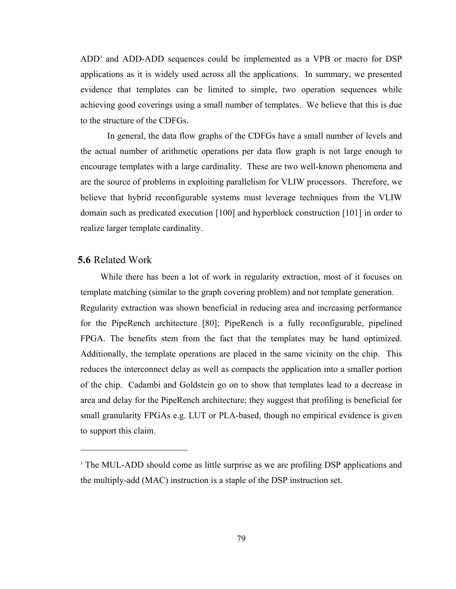ADD3 and ADD-ADD sequences could be implemented as a VPB or macro for DSP applications as it is widely used across all the applications. In summary, we presented evidence that templates can be limited to simple, two operation sequences while achieving good coverings using a small number of templates. We believe that this is due to the structure of the CDFGs.

In general, the data flow graphs of the CDFGs have a small number of levels and the actual number of arithmetic operations per data flow graph is not large enough to encourage templates with a large cardinality. These are two well-known phenomena and are the source of problems in exploiting parallelism for VLIW processors. Therefore, we believe that hybrid reconfigurable systems must leverage techniques from the VLIW domain such as predicated execution [100] and hyperblock construction [101] in order to realize larger template cardinality.

### **5.6** Related Work

 $\overline{a}$ 

 While there has been a lot of work in regularity extraction, most of it focuses on template matching (similar to the graph covering problem) and not template generation. Regularity extraction was shown beneficial in reducing area and increasing performance for the PipeRench architecture [80]; PipeRench is a fully reconfigurable, pipelined FPGA. The benefits stem from the fact that the templates may be hand optimized. Additionally, the template operations are placed in the same vicinity on the chip. This reduces the interconnect delay as well as compacts the application into a smaller portion of the chip. Cadambi and Goldstein go on to show that templates lead to a decrease in area and delay for the PipeRench architecture; they suggest that profiling is beneficial for small granularity FPGAs e.g. LUT or PLA-based, though no empirical evidence is given to support this claim.

<sup>&</sup>lt;sup>3</sup> The MUL-ADD should come as little surprise as we are profiling DSP applications and the multiply-add (MAC) instruction is a staple of the DSP instruction set.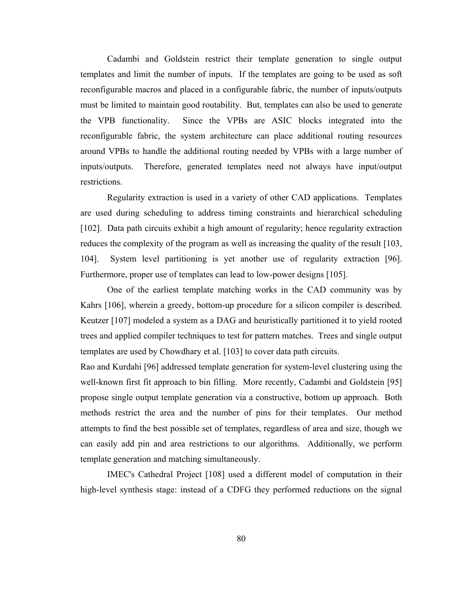Cadambi and Goldstein restrict their template generation to single output templates and limit the number of inputs. If the templates are going to be used as soft reconfigurable macros and placed in a configurable fabric, the number of inputs/outputs must be limited to maintain good routability. But, templates can also be used to generate the VPB functionality. Since the VPBs are ASIC blocks integrated into the reconfigurable fabric, the system architecture can place additional routing resources around VPBs to handle the additional routing needed by VPBs with a large number of inputs/outputs. Therefore, generated templates need not always have input/output restrictions.

Regularity extraction is used in a variety of other CAD applications. Templates are used during scheduling to address timing constraints and hierarchical scheduling [102]. Data path circuits exhibit a high amount of regularity; hence regularity extraction reduces the complexity of the program as well as increasing the quality of the result [103, 104]. System level partitioning is yet another use of regularity extraction [96]. Furthermore, proper use of templates can lead to low-power designs [105].

One of the earliest template matching works in the CAD community was by Kahrs [106], wherein a greedy, bottom-up procedure for a silicon compiler is described. Keutzer [107] modeled a system as a DAG and heuristically partitioned it to yield rooted trees and applied compiler techniques to test for pattern matches. Trees and single output templates are used by Chowdhary et al. [103] to cover data path circuits.

Rao and Kurdahi [96] addressed template generation for system-level clustering using the well-known first fit approach to bin filling. More recently, Cadambi and Goldstein [95] propose single output template generation via a constructive, bottom up approach. Both methods restrict the area and the number of pins for their templates. Our method attempts to find the best possible set of templates, regardless of area and size, though we can easily add pin and area restrictions to our algorithms. Additionally, we perform template generation and matching simultaneously.

IMEC's Cathedral Project [108] used a different model of computation in their high-level synthesis stage: instead of a CDFG they performed reductions on the signal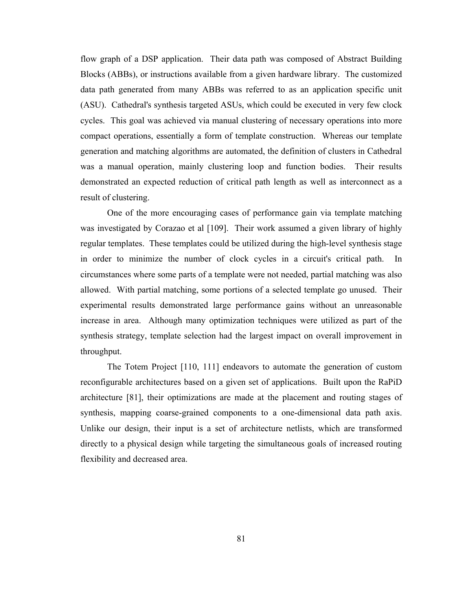flow graph of a DSP application. Their data path was composed of Abstract Building Blocks (ABBs), or instructions available from a given hardware library. The customized data path generated from many ABBs was referred to as an application specific unit (ASU). Cathedral's synthesis targeted ASUs, which could be executed in very few clock cycles. This goal was achieved via manual clustering of necessary operations into more compact operations, essentially a form of template construction. Whereas our template generation and matching algorithms are automated, the definition of clusters in Cathedral was a manual operation, mainly clustering loop and function bodies. Their results demonstrated an expected reduction of critical path length as well as interconnect as a result of clustering.

One of the more encouraging cases of performance gain via template matching was investigated by Corazao et al [109]. Their work assumed a given library of highly regular templates. These templates could be utilized during the high-level synthesis stage in order to minimize the number of clock cycles in a circuit's critical path. In circumstances where some parts of a template were not needed, partial matching was also allowed. With partial matching, some portions of a selected template go unused. Their experimental results demonstrated large performance gains without an unreasonable increase in area. Although many optimization techniques were utilized as part of the synthesis strategy, template selection had the largest impact on overall improvement in throughput.

The Totem Project [110, 111] endeavors to automate the generation of custom reconfigurable architectures based on a given set of applications. Built upon the RaPiD architecture [81], their optimizations are made at the placement and routing stages of synthesis, mapping coarse-grained components to a one-dimensional data path axis. Unlike our design, their input is a set of architecture netlists, which are transformed directly to a physical design while targeting the simultaneous goals of increased routing flexibility and decreased area.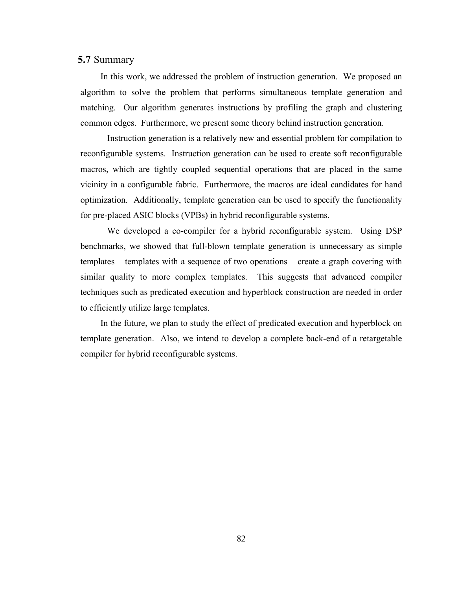#### **5.7** Summary

 In this work, we addressed the problem of instruction generation. We proposed an algorithm to solve the problem that performs simultaneous template generation and matching. Our algorithm generates instructions by profiling the graph and clustering common edges. Furthermore, we present some theory behind instruction generation.

Instruction generation is a relatively new and essential problem for compilation to reconfigurable systems. Instruction generation can be used to create soft reconfigurable macros, which are tightly coupled sequential operations that are placed in the same vicinity in a configurable fabric. Furthermore, the macros are ideal candidates for hand optimization. Additionally, template generation can be used to specify the functionality for pre-placed ASIC blocks (VPBs) in hybrid reconfigurable systems.

We developed a co-compiler for a hybrid reconfigurable system. Using DSP benchmarks, we showed that full-blown template generation is unnecessary as simple templates – templates with a sequence of two operations – create a graph covering with similar quality to more complex templates. This suggests that advanced compiler techniques such as predicated execution and hyperblock construction are needed in order to efficiently utilize large templates.

 In the future, we plan to study the effect of predicated execution and hyperblock on template generation. Also, we intend to develop a complete back-end of a retargetable compiler for hybrid reconfigurable systems.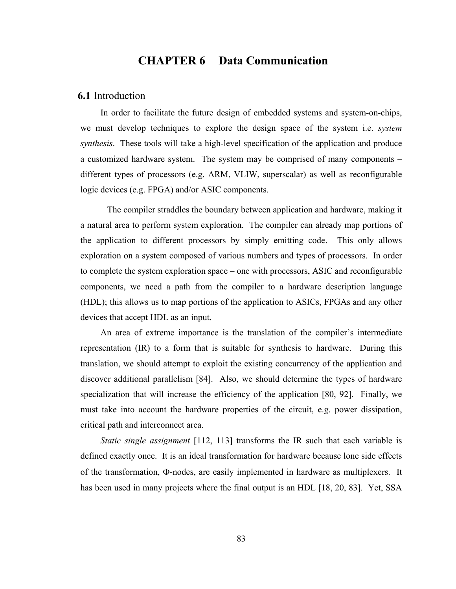## **CHAPTER 6 Data Communication**

#### **6.1** Introduction

In order to facilitate the future design of embedded systems and system-on-chips, we must develop techniques to explore the design space of the system i.e. *system synthesis*. These tools will take a high-level specification of the application and produce a customized hardware system. The system may be comprised of many components – different types of processors (e.g. ARM, VLIW, superscalar) as well as reconfigurable logic devices (e.g. FPGA) and/or ASIC components.

The compiler straddles the boundary between application and hardware, making it a natural area to perform system exploration. The compiler can already map portions of the application to different processors by simply emitting code. This only allows exploration on a system composed of various numbers and types of processors. In order to complete the system exploration space – one with processors, ASIC and reconfigurable components, we need a path from the compiler to a hardware description language (HDL); this allows us to map portions of the application to ASICs, FPGAs and any other devices that accept HDL as an input.

An area of extreme importance is the translation of the compiler's intermediate representation (IR) to a form that is suitable for synthesis to hardware. During this translation, we should attempt to exploit the existing concurrency of the application and discover additional parallelism [84]. Also, we should determine the types of hardware specialization that will increase the efficiency of the application [80, 92]. Finally, we must take into account the hardware properties of the circuit, e.g. power dissipation, critical path and interconnect area.

*Static single assignment* [112, 113] transforms the IR such that each variable is defined exactly once. It is an ideal transformation for hardware because lone side effects of the transformation, Φ-nodes, are easily implemented in hardware as multiplexers. It has been used in many projects where the final output is an HDL [18, 20, 83]. Yet, SSA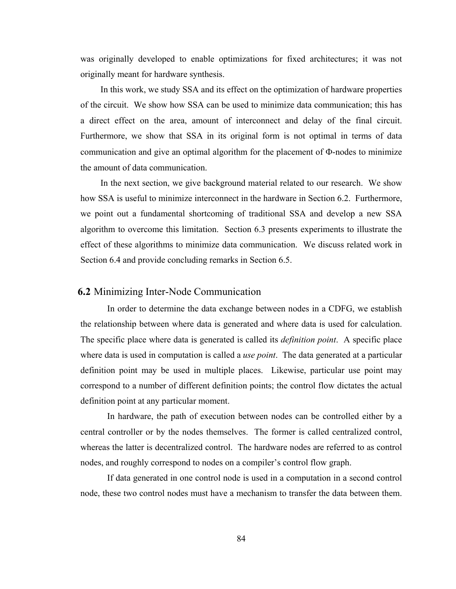was originally developed to enable optimizations for fixed architectures; it was not originally meant for hardware synthesis.

In this work, we study SSA and its effect on the optimization of hardware properties of the circuit. We show how SSA can be used to minimize data communication; this has a direct effect on the area, amount of interconnect and delay of the final circuit. Furthermore, we show that SSA in its original form is not optimal in terms of data communication and give an optimal algorithm for the placement of Φ-nodes to minimize the amount of data communication.

In the next section, we give background material related to our research. We show how SSA is useful to minimize interconnect in the hardware in Section 6.2. Furthermore, we point out a fundamental shortcoming of traditional SSA and develop a new SSA algorithm to overcome this limitation. Section 6.3 presents experiments to illustrate the effect of these algorithms to minimize data communication. We discuss related work in Section 6.4 and provide concluding remarks in Section 6.5.

### **6.2** Minimizing Inter-Node Communication

In order to determine the data exchange between nodes in a CDFG, we establish the relationship between where data is generated and where data is used for calculation. The specific place where data is generated is called its *definition point*. A specific place where data is used in computation is called a *use point*. The data generated at a particular definition point may be used in multiple places. Likewise, particular use point may correspond to a number of different definition points; the control flow dictates the actual definition point at any particular moment.

In hardware, the path of execution between nodes can be controlled either by a central controller or by the nodes themselves. The former is called centralized control, whereas the latter is decentralized control. The hardware nodes are referred to as control nodes, and roughly correspond to nodes on a compiler's control flow graph.

If data generated in one control node is used in a computation in a second control node, these two control nodes must have a mechanism to transfer the data between them.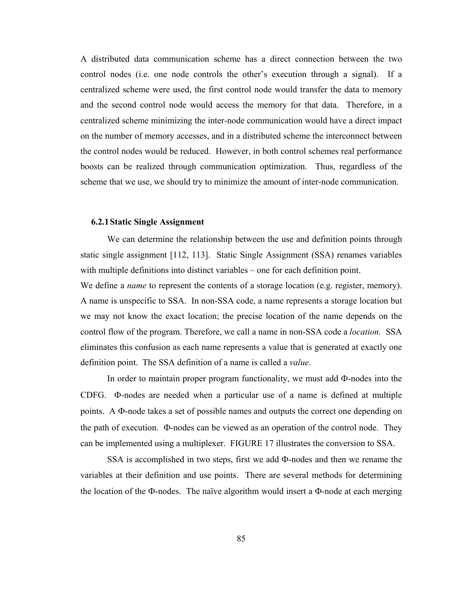A distributed data communication scheme has a direct connection between the two control nodes (i.e. one node controls the other's execution through a signal). If a centralized scheme were used, the first control node would transfer the data to memory and the second control node would access the memory for that data. Therefore, in a centralized scheme minimizing the inter-node communication would have a direct impact on the number of memory accesses, and in a distributed scheme the interconnect between the control nodes would be reduced. However, in both control schemes real performance boosts can be realized through communication optimization. Thus, regardless of the scheme that we use, we should try to minimize the amount of inter-node communication.

#### **6.2.1Static Single Assignment**

We can determine the relationship between the use and definition points through static single assignment [112, 113]. Static Single Assignment (SSA) renames variables with multiple definitions into distinct variables – one for each definition point.

We define a *name* to represent the contents of a storage location (e.g. register, memory). A name is unspecific to SSA. In non-SSA code, a name represents a storage location but we may not know the exact location; the precise location of the name depends on the control flow of the program. Therefore, we call a name in non-SSA code a *location.* SSA eliminates this confusion as each name represents a value that is generated at exactly one definition point. The SSA definition of a name is called a *value*.

In order to maintain proper program functionality, we must add Φ-nodes into the CDFG. Φ-nodes are needed when a particular use of a name is defined at multiple points. A Φ-node takes a set of possible names and outputs the correct one depending on the path of execution. Φ-nodes can be viewed as an operation of the control node. They can be implemented using a multiplexer. FIGURE 17 illustrates the conversion to SSA.

SSA is accomplished in two steps, first we add Φ-nodes and then we rename the variables at their definition and use points. There are several methods for determining the location of the Φ-nodes. The naïve algorithm would insert a Φ-node at each merging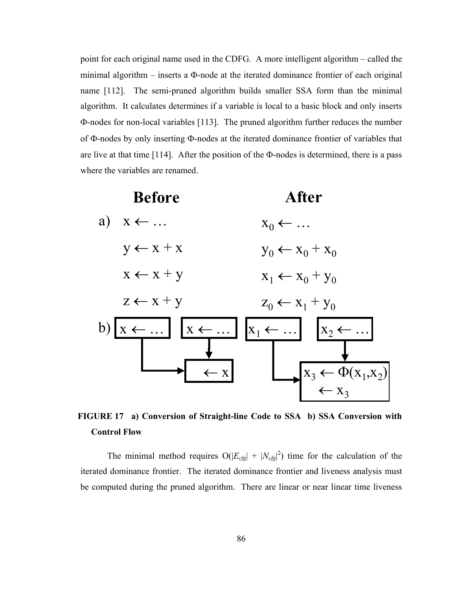point for each original name used in the CDFG. A more intelligent algorithm – called the minimal algorithm – inserts a Φ-node at the iterated dominance frontier of each original name [112]. The semi-pruned algorithm builds smaller SSA form than the minimal algorithm. It calculates determines if a variable is local to a basic block and only inserts Φ-nodes for non-local variables [113]. The pruned algorithm further reduces the number of Φ-nodes by only inserting Φ-nodes at the iterated dominance frontier of variables that are live at that time [114]. After the position of the Φ-nodes is determined, there is a pass where the variables are renamed.



## **FIGURE 17 a) Conversion of Straight-line Code to SSA b) SSA Conversion with Control Flow**

The minimal method requires  $O(|E_{cfg}| + |N_{cfg}|^2)$  time for the calculation of the iterated dominance frontier. The iterated dominance frontier and liveness analysis must be computed during the pruned algorithm. There are linear or near linear time liveness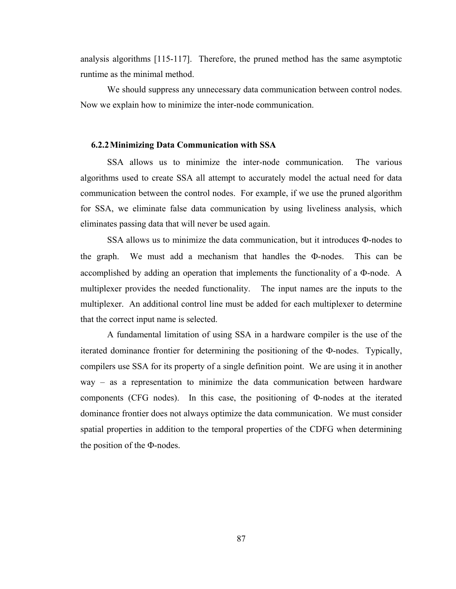analysis algorithms [115-117]. Therefore, the pruned method has the same asymptotic runtime as the minimal method.

We should suppress any unnecessary data communication between control nodes. Now we explain how to minimize the inter-node communication.

#### **6.2.2Minimizing Data Communication with SSA**

SSA allows us to minimize the inter-node communication. The various algorithms used to create SSA all attempt to accurately model the actual need for data communication between the control nodes. For example, if we use the pruned algorithm for SSA, we eliminate false data communication by using liveliness analysis, which eliminates passing data that will never be used again.

SSA allows us to minimize the data communication, but it introduces Φ-nodes to the graph. We must add a mechanism that handles the Φ-nodes. This can be accomplished by adding an operation that implements the functionality of a Φ-node. A multiplexer provides the needed functionality. The input names are the inputs to the multiplexer. An additional control line must be added for each multiplexer to determine that the correct input name is selected.

A fundamental limitation of using SSA in a hardware compiler is the use of the iterated dominance frontier for determining the positioning of the Φ-nodes. Typically, compilers use SSA for its property of a single definition point. We are using it in another way – as a representation to minimize the data communication between hardware components (CFG nodes). In this case, the positioning of Φ-nodes at the iterated dominance frontier does not always optimize the data communication. We must consider spatial properties in addition to the temporal properties of the CDFG when determining the position of the Φ-nodes.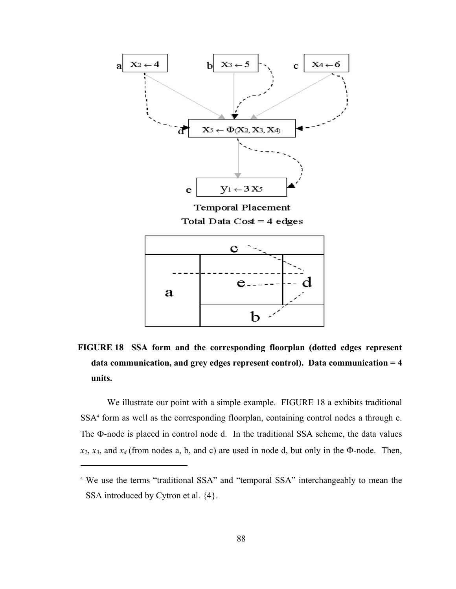

**FIGURE 18 SSA form and the corresponding floorplan (dotted edges represent data communication, and grey edges represent control). Data communication = 4 units.** 

We illustrate our point with a simple example. FIGURE 18 a exhibits traditional SSA<sup>4</sup> form as well as the corresponding floorplan, containing control nodes a through e. The Φ-node is placed in control node d. In the traditional SSA scheme, the data values *x2*, *x3*, and *x4* (from nodes a, b, and c) are used in node d, but only in the Φ-node. Then,

 $\overline{a}$ 

<sup>4</sup> We use the terms "traditional SSA" and "temporal SSA" interchangeably to mean the SSA introduced by Cytron et al.  $\{4\}$ .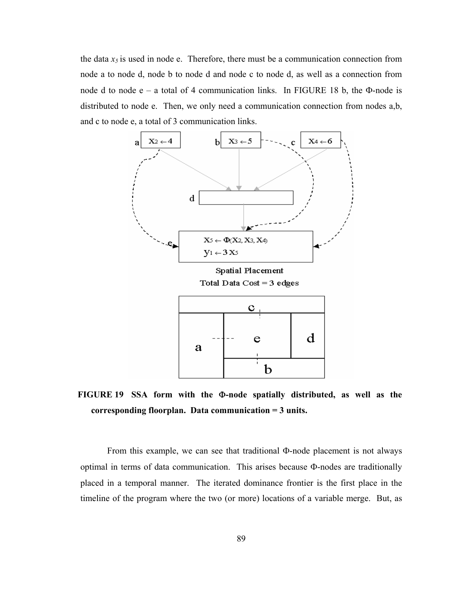the data  $x_5$  is used in node e. Therefore, there must be a communication connection from node a to node d, node b to node d and node c to node d, as well as a connection from node d to node  $e - a$  total of 4 communication links. In FIGURE 18 b, the  $\Phi$ -node is distributed to node e. Then, we only need a communication connection from nodes a,b, and c to node e, a total of 3 communication links.



**FIGURE 19 SSA form with the** Φ**-node spatially distributed, as well as the corresponding floorplan. Data communication = 3 units.** 

From this example, we can see that traditional Φ-node placement is not always optimal in terms of data communication. This arises because Φ-nodes are traditionally placed in a temporal manner. The iterated dominance frontier is the first place in the timeline of the program where the two (or more) locations of a variable merge. But, as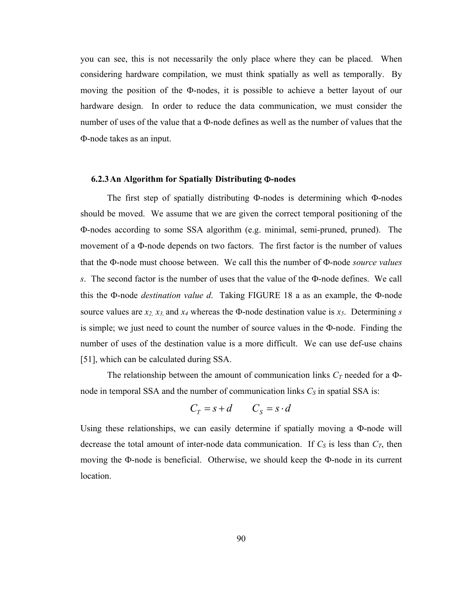you can see, this is not necessarily the only place where they can be placed. When considering hardware compilation, we must think spatially as well as temporally. By moving the position of the Φ-nodes, it is possible to achieve a better layout of our hardware design. In order to reduce the data communication, we must consider the number of uses of the value that a Φ-node defines as well as the number of values that the Φ-node takes as an input.

#### **6.2.3An Algorithm for Spatially Distributing** Φ**-nodes**

The first step of spatially distributing Φ-nodes is determining which Φ-nodes should be moved. We assume that we are given the correct temporal positioning of the Φ-nodes according to some SSA algorithm (e.g. minimal, semi-pruned, pruned). The movement of a Φ-node depends on two factors. The first factor is the number of values that the Φ-node must choose between. We call this the number of Φ-node *source values s*. The second factor is the number of uses that the value of the Φ-node defines. We call this the Φ-node *destination value d*. Taking FIGURE 18 a as an example, the Φ-node source values are  $x_2$ ,  $x_3$ , and  $x_4$  whereas the Φ-node destination value is  $x_5$ . Determining *s* is simple; we just need to count the number of source values in the Φ-node. Finding the number of uses of the destination value is a more difficult. We can use def-use chains [51], which can be calculated during SSA.

The relationship between the amount of communication links  $C_T$  needed for a  $\Phi$ node in temporal SSA and the number of communication links  $C_S$  in spatial SSA is:

$$
C_T = s + d \qquad C_S = s \cdot d
$$

Using these relationships, we can easily determine if spatially moving a Φ-node will decrease the total amount of inter-node data communication. If  $C_S$  is less than  $C_T$ , then moving the Φ-node is beneficial. Otherwise, we should keep the Φ-node in its current location.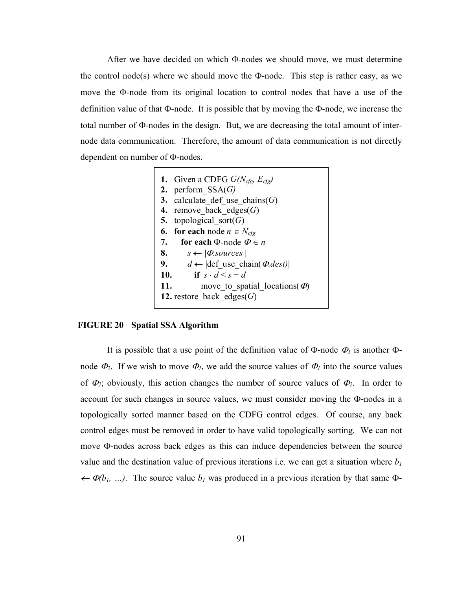After we have decided on which Φ-nodes we should move, we must determine the control node(s) where we should move the  $\Phi$ -node. This step is rather easy, as we move the Φ-node from its original location to control nodes that have a use of the definition value of that Φ-node. It is possible that by moving the Φ-node, we increase the total number of Φ-nodes in the design. But, we are decreasing the total amount of internode data communication. Therefore, the amount of data communication is not directly dependent on number of Φ-nodes.

| 1. Given a CDFG $G(N_{cfg}, E_{cfg})$                                 |
|-----------------------------------------------------------------------|
| 2. perform $SSA(G)$                                                   |
| 3. calculate def use chains $(G)$                                     |
| 4. remove back edges $(G)$                                            |
| 5. topological sort(G)                                                |
| <b>6.</b> for each node $n \in N_{cfg}$                               |
| <b>for each</b> $\Phi$ -node $\Phi \in n$<br>7.                       |
| 8. $s \leftarrow  \phi_{\text{.} \text{sources}} $                    |
| 9. $d \leftarrow  \text{def use chain}(\Phi \text{.}   \text{dest}) $ |
| if $s \cdot d < s + d$<br><b>10.</b>                                  |
| 11.<br>move to spatial locations $(\Phi)$                             |
| 12. restore back edges $(G)$                                          |

#### **FIGURE 20 Spatial SSA Algorithm**

It is possible that a use point of the definition value of Φ-node <sup>Φ</sup>*1* is another Φnode  $\Phi_2$ . If we wish to move  $\Phi_1$ , we add the source values of  $\Phi_1$  into the source values of  $\Phi_2$ ; obviously, this action changes the number of source values of  $\Phi_2$ . In order to account for such changes in source values, we must consider moving the Φ-nodes in a topologically sorted manner based on the CDFG control edges. Of course, any back control edges must be removed in order to have valid topologically sorting. We can not move Φ-nodes across back edges as this can induce dependencies between the source value and the destination value of previous iterations i.e. we can get a situation where  $b<sub>l</sub>$  $\leftarrow \Phi(b_1, \ldots)$ . The source value  $b_1$  was produced in a previous iteration by that same  $\Phi$ -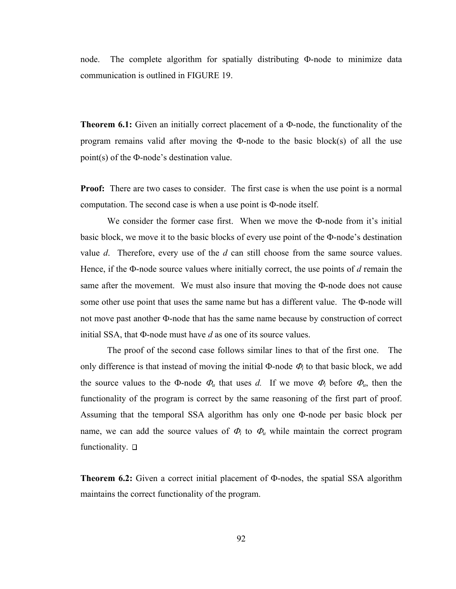node. The complete algorithm for spatially distributing Φ-node to minimize data communication is outlined in FIGURE 19.

**Theorem 6.1:** Given an initially correct placement of a Φ-node, the functionality of the program remains valid after moving the  $\Phi$ -node to the basic block(s) of all the use point(s) of the Φ-node's destination value.

**Proof:** There are two cases to consider. The first case is when the use point is a normal computation. The second case is when a use point is Φ-node itself.

We consider the former case first. When we move the Φ-node from it's initial basic block, we move it to the basic blocks of every use point of the Φ-node's destination value *d*. Therefore, every use of the *d* can still choose from the same source values. Hence, if the Φ-node source values where initially correct, the use points of *d* remain the same after the movement. We must also insure that moving the Φ-node does not cause some other use point that uses the same name but has a different value. The Φ-node will not move past another Φ-node that has the same name because by construction of correct initial SSA, that Φ-node must have *d* as one of its source values.

The proof of the second case follows similar lines to that of the first one. The only difference is that instead of moving the initial  $\Phi$ -node  $\Phi_i$  to that basic block, we add the source values to the  $\Phi$ -node  $\Phi_u$  that uses *d*. If we move  $\Phi_i$  before  $\Phi_u$ , then the functionality of the program is correct by the same reasoning of the first part of proof. Assuming that the temporal SSA algorithm has only one Φ-node per basic block per name, we can add the source values of  $\Phi_i$  to  $\Phi_u$  while maintain the correct program functionality.  $\square$ 

**Theorem 6.2:** Given a correct initial placement of Φ-nodes, the spatial SSA algorithm maintains the correct functionality of the program.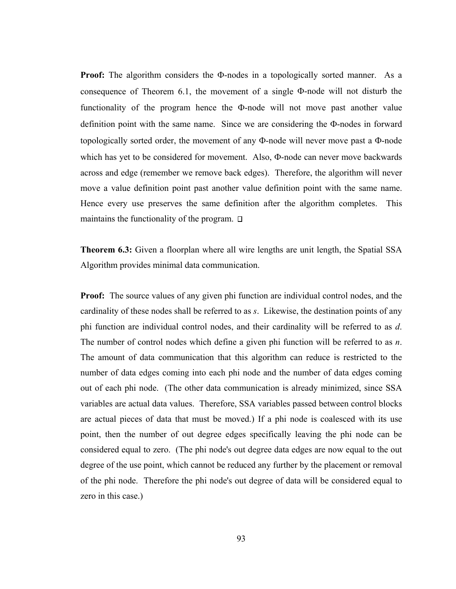**Proof:** The algorithm considers the Φ-nodes in a topologically sorted manner. As a consequence of Theorem 6.1, the movement of a single Φ-node will not disturb the functionality of the program hence the Φ-node will not move past another value definition point with the same name. Since we are considering the Φ-nodes in forward topologically sorted order, the movement of any Φ-node will never move past a Φ-node which has yet to be considered for movement. Also, Φ-node can never move backwards across and edge (remember we remove back edges). Therefore, the algorithm will never move a value definition point past another value definition point with the same name. Hence every use preserves the same definition after the algorithm completes. This maintains the functionality of the program.  $\square$ 

**Theorem 6.3:** Given a floorplan where all wire lengths are unit length, the Spatial SSA Algorithm provides minimal data communication.

**Proof:** The source values of any given phi function are individual control nodes, and the cardinality of these nodes shall be referred to as *s*. Likewise, the destination points of any phi function are individual control nodes, and their cardinality will be referred to as *d*. The number of control nodes which define a given phi function will be referred to as *n*. The amount of data communication that this algorithm can reduce is restricted to the number of data edges coming into each phi node and the number of data edges coming out of each phi node. (The other data communication is already minimized, since SSA variables are actual data values. Therefore, SSA variables passed between control blocks are actual pieces of data that must be moved.) If a phi node is coalesced with its use point, then the number of out degree edges specifically leaving the phi node can be considered equal to zero. (The phi node's out degree data edges are now equal to the out degree of the use point, which cannot be reduced any further by the placement or removal of the phi node. Therefore the phi node's out degree of data will be considered equal to zero in this case.)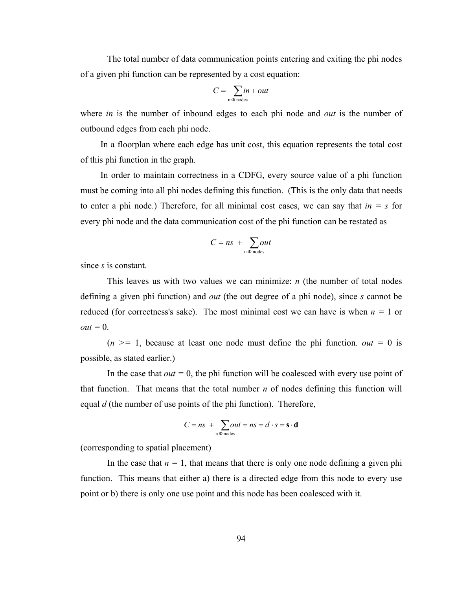The total number of data communication points entering and exiting the phi nodes of a given phi function can be represented by a cost equation:

$$
C = \sum_{n \Phi \text{ nodes}} in + out
$$

where *in* is the number of inbound edges to each phi node and *out* is the number of outbound edges from each phi node.

In a floorplan where each edge has unit cost, this equation represents the total cost of this phi function in the graph.

In order to maintain correctness in a CDFG, every source value of a phi function must be coming into all phi nodes defining this function. (This is the only data that needs to enter a phi node.) Therefore, for all minimal cost cases, we can say that *in = s* for every phi node and the data communication cost of the phi function can be restated as

$$
C = ns + \sum_{n \Phi \text{ nodes}} out
$$

since *s* is constant.

This leaves us with two values we can minimize: *n* (the number of total nodes defining a given phi function) and *out* (the out degree of a phi node), since *s* cannot be reduced (for correctness's sake). The most minimal cost we can have is when  $n = 1$  or  $out = 0$ .

 $(n \geq 1)$ , because at least one node must define the phi function. *out* = 0 is possible, as stated earlier.)

In the case that  $out = 0$ , the phi function will be coalesced with every use point of that function. That means that the total number  $n$  of nodes defining this function will equal *d* (the number of use points of the phi function). Therefore,

$$
C = ns + \sum_{n \text{ o nodes}} out = ns = d \cdot s = \mathbf{s} \cdot \mathbf{d}
$$

(corresponding to spatial placement)

In the case that  $n = 1$ , that means that there is only one node defining a given phi function. This means that either a) there is a directed edge from this node to every use point or b) there is only one use point and this node has been coalesced with it.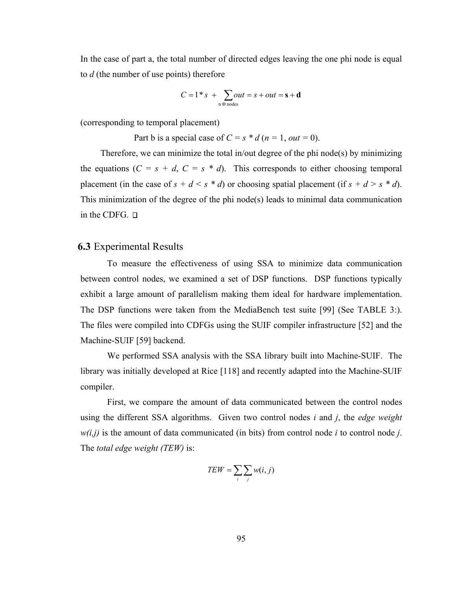In the case of part a, the total number of directed edges leaving the one phi node is equal to *d* (the number of use points) therefore

$$
C = 1 * s + \sum_{n \text{ } \Phi \text{ nodes}} out = s + out = s + d
$$

(corresponding to temporal placement)

Part b is a special case of  $C = s * d (n = 1, out = 0)$ .

Therefore, we can minimize the total in/out degree of the phi node(s) by minimizing the equations  $(C = s + d, C = s * d)$ . This corresponds to either choosing temporal placement (in the case of  $s + d < s * d$ ) or choosing spatial placement (if  $s + d > s * d$ ). This minimization of the degree of the phi node(s) leads to minimal data communication in the CDFG.

#### **6.3** Experimental Results

To measure the effectiveness of using SSA to minimize data communication between control nodes, we examined a set of DSP functions. DSP functions typically exhibit a large amount of parallelism making them ideal for hardware implementation. The DSP functions were taken from the MediaBench test suite [99] (See TABLE 3:). The files were compiled into CDFGs using the SUIF compiler infrastructure [52] and the Machine-SUIF [59] backend.

We performed SSA analysis with the SSA library built into Machine-SUIF. The library was initially developed at Rice [118] and recently adapted into the Machine-SUIF compiler.

First, we compare the amount of data communicated between the control nodes using the different SSA algorithms. Given two control nodes *i* and *j*, the *edge weight w(i,j)* is the amount of data communicated (in bits) from control node *i* to control node *j*. The *total edge weight (TEW)* is:

$$
TEW = \sum_{i} \sum_{j} w(i, j)
$$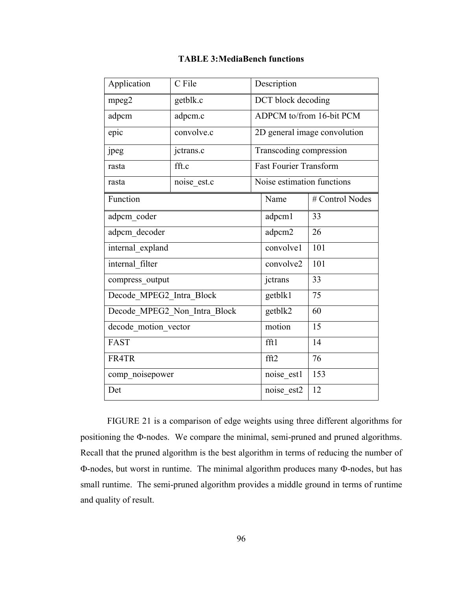| Application                  | C File      | Description                  |                               |                 |  |
|------------------------------|-------------|------------------------------|-------------------------------|-----------------|--|
| mpeg2                        | getblk.c    |                              | DCT block decoding            |                 |  |
| adpcm                        | adpcm.c     |                              | ADPCM to/from 16-bit PCM      |                 |  |
| epic                         | convolve.c  | 2D general image convolution |                               |                 |  |
| jpeg                         | jctrans.c   |                              | Transcoding compression       |                 |  |
| rasta                        | fft.c       |                              | <b>Fast Fourier Transform</b> |                 |  |
| rasta                        | noise_est.c |                              | Noise estimation functions    |                 |  |
| Function                     |             |                              | Name                          | # Control Nodes |  |
| adpcm coder                  |             |                              | adpcm1                        | 33              |  |
| adpcm_decoder                |             |                              | adpcm2                        | 26              |  |
| internal expland             |             |                              | convolve1                     | 101             |  |
| internal filter              |             |                              | 101<br>convolve2              |                 |  |
| compress output              |             |                              | 33<br>jetrans                 |                 |  |
| Decode_MPEG2_Intra_Block     |             |                              | getblk1                       | 75              |  |
| Decode_MPEG2_Non_Intra_Block |             |                              | getblk2                       | 60              |  |
| decode motion vector         |             |                              | motion                        | 15              |  |
| <b>FAST</b>                  |             |                              | fft1                          | 14              |  |
| FR4TR                        |             |                              | fft2                          | 76              |  |
| comp_noisepower              |             |                              | noise est1                    | 153             |  |
| Det                          |             |                              | noise est2                    | 12              |  |

FIGURE 21 is a comparison of edge weights using three different algorithms for positioning the Φ-nodes. We compare the minimal, semi-pruned and pruned algorithms. Recall that the pruned algorithm is the best algorithm in terms of reducing the number of Φ-nodes, but worst in runtime. The minimal algorithm produces many Φ-nodes, but has small runtime. The semi-pruned algorithm provides a middle ground in terms of runtime and quality of result.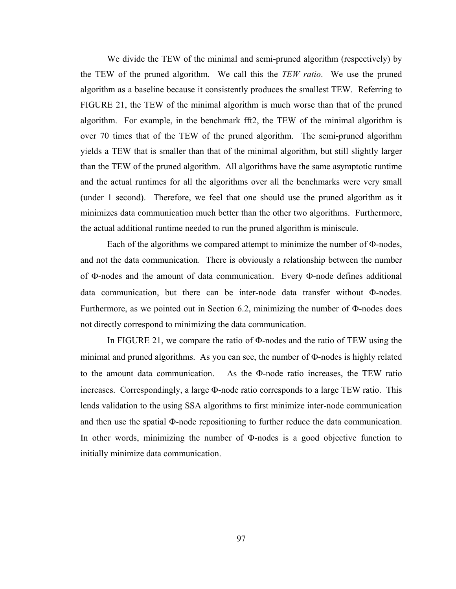We divide the TEW of the minimal and semi-pruned algorithm (respectively) by the TEW of the pruned algorithm. We call this the *TEW ratio*. We use the pruned algorithm as a baseline because it consistently produces the smallest TEW. Referring to FIGURE 21, the TEW of the minimal algorithm is much worse than that of the pruned algorithm. For example, in the benchmark fft2, the TEW of the minimal algorithm is over 70 times that of the TEW of the pruned algorithm. The semi-pruned algorithm yields a TEW that is smaller than that of the minimal algorithm, but still slightly larger than the TEW of the pruned algorithm. All algorithms have the same asymptotic runtime and the actual runtimes for all the algorithms over all the benchmarks were very small (under 1 second). Therefore, we feel that one should use the pruned algorithm as it minimizes data communication much better than the other two algorithms. Furthermore, the actual additional runtime needed to run the pruned algorithm is miniscule.

Each of the algorithms we compared attempt to minimize the number of Φ-nodes, and not the data communication. There is obviously a relationship between the number of Φ-nodes and the amount of data communication. Every Φ-node defines additional data communication, but there can be inter-node data transfer without Φ-nodes. Furthermore, as we pointed out in Section 6.2, minimizing the number of Φ-nodes does not directly correspond to minimizing the data communication.

In FIGURE 21, we compare the ratio of Φ-nodes and the ratio of TEW using the minimal and pruned algorithms. As you can see, the number of Φ-nodes is highly related to the amount data communication. As the Φ-node ratio increases, the TEW ratio increases. Correspondingly, a large Φ-node ratio corresponds to a large TEW ratio. This lends validation to the using SSA algorithms to first minimize inter-node communication and then use the spatial Φ-node repositioning to further reduce the data communication. In other words, minimizing the number of Φ-nodes is a good objective function to initially minimize data communication.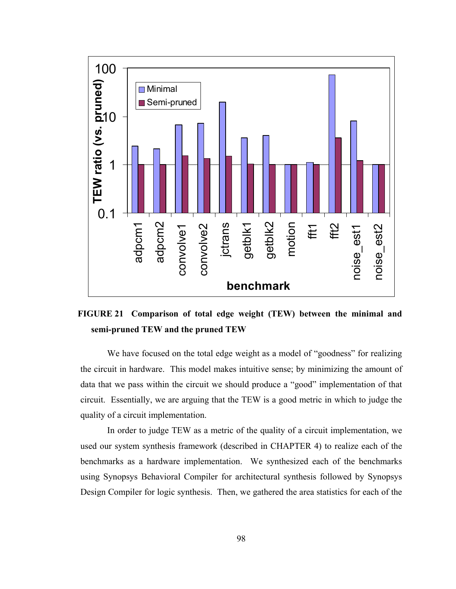

# **FIGURE 21 Comparison of total edge weight (TEW) between the minimal and semi-pruned TEW and the pruned TEW**

We have focused on the total edge weight as a model of "goodness" for realizing the circuit in hardware. This model makes intuitive sense; by minimizing the amount of data that we pass within the circuit we should produce a "good" implementation of that circuit. Essentially, we are arguing that the TEW is a good metric in which to judge the quality of a circuit implementation.

In order to judge TEW as a metric of the quality of a circuit implementation, we used our system synthesis framework (described in CHAPTER 4) to realize each of the benchmarks as a hardware implementation. We synthesized each of the benchmarks using Synopsys Behavioral Compiler for architectural synthesis followed by Synopsys Design Compiler for logic synthesis. Then, we gathered the area statistics for each of the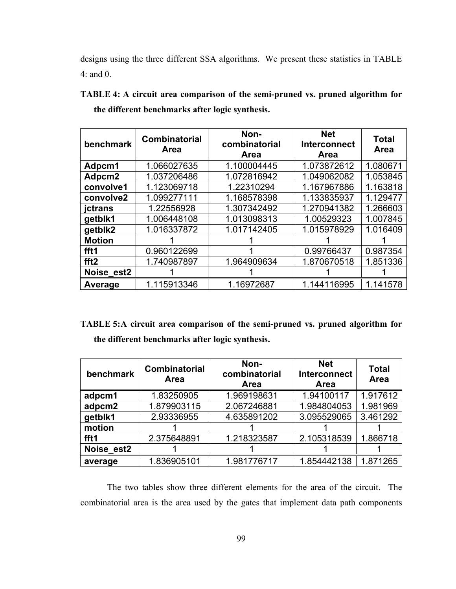designs using the three different SSA algorithms. We present these statistics in TABLE 4: and 0.

**TABLE 4: A circuit area comparison of the semi-pruned vs. pruned algorithm for the different benchmarks after logic synthesis.** 

| benchmark        | <b>Combinatorial</b><br>Area | Non-<br>combinatorial<br>Area | <b>Net</b><br><b>Interconnect</b><br><b>Area</b> | <b>Total</b><br>Area |
|------------------|------------------------------|-------------------------------|--------------------------------------------------|----------------------|
| Adpcm1           | 1.066027635                  | 1.100004445                   | 1.073872612                                      | 1.080671             |
| Adpcm2           | 1.037206486                  | 1.072816942                   | 1.049062082                                      | 1.053845             |
| convolve1        | 1.123069718                  | 1.22310294                    | 1.167967886                                      | 1.163818             |
| convolve2        | 1.099277111                  | 1.168578398                   | 1.133835937                                      | 1.129477             |
| ictrans          | 1.22556928                   | 1.307342492                   | 1.270941382                                      | 1.266603             |
| getblk1          | 1.006448108                  | 1.013098313                   | 1.00529323                                       | 1.007845             |
| getblk2          | 1.016337872                  | 1.017142405                   | 1.015978929                                      | 1.016409             |
| <b>Motion</b>    |                              |                               |                                                  |                      |
| fft1             | 0.960122699                  |                               | 0.99766437                                       | 0.987354             |
| fft <sub>2</sub> | 1.740987897                  | 1.964909634                   | 1.870670518                                      | 1.851336             |
| Noise est2       |                              |                               |                                                  |                      |
| Average          | 1.115913346                  | 1.16972687                    | 1.144116995                                      | 1.141578             |

**TABLE 5:A circuit area comparison of the semi-pruned vs. pruned algorithm for the different benchmarks after logic synthesis.** 

| benchmark  | Combinatorial<br>Area | Non-<br>combinatorial<br>Area | <b>Net</b><br><b>Interconnect</b><br><b>Area</b> | <b>Total</b><br><b>Area</b> |
|------------|-----------------------|-------------------------------|--------------------------------------------------|-----------------------------|
| adpcm1     | 1.83250905            | 1.969198631                   | 1.94100117                                       | 1.917612                    |
| adpcm2     | 1.879903115           | 2.067246881                   | 1.984804053                                      | 1.981969                    |
| getblk1    | 2.93336955            | 4.635891202                   | 3.095529065                                      | 3.461292                    |
| motion     |                       |                               |                                                  |                             |
| fft1       | 2.375648891           | 1.218323587                   | 2.105318539                                      | 1.866718                    |
| Noise est2 |                       |                               |                                                  |                             |
| average    | 1.836905101           | 1.981776717                   | 1.854442138                                      | 1.871265                    |

The two tables show three different elements for the area of the circuit. The combinatorial area is the area used by the gates that implement data path components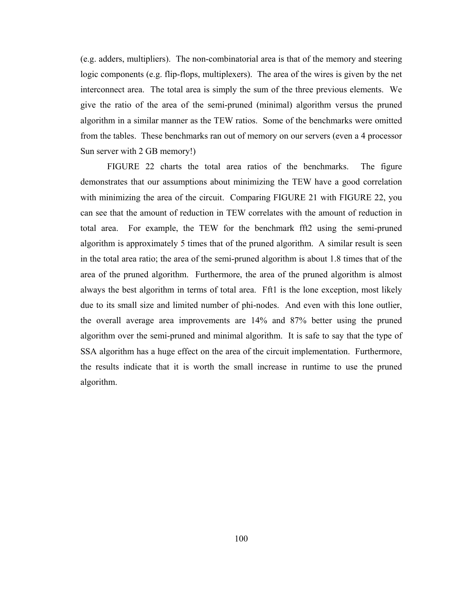(e.g. adders, multipliers). The non-combinatorial area is that of the memory and steering logic components (e.g. flip-flops, multiplexers). The area of the wires is given by the net interconnect area. The total area is simply the sum of the three previous elements. We give the ratio of the area of the semi-pruned (minimal) algorithm versus the pruned algorithm in a similar manner as the TEW ratios. Some of the benchmarks were omitted from the tables. These benchmarks ran out of memory on our servers (even a 4 processor Sun server with 2 GB memory!)

FIGURE 22 charts the total area ratios of the benchmarks. The figure demonstrates that our assumptions about minimizing the TEW have a good correlation with minimizing the area of the circuit. Comparing FIGURE 21 with FIGURE 22, you can see that the amount of reduction in TEW correlates with the amount of reduction in total area. For example, the TEW for the benchmark fft2 using the semi-pruned algorithm is approximately 5 times that of the pruned algorithm. A similar result is seen in the total area ratio; the area of the semi-pruned algorithm is about 1.8 times that of the area of the pruned algorithm. Furthermore, the area of the pruned algorithm is almost always the best algorithm in terms of total area. Fft1 is the lone exception, most likely due to its small size and limited number of phi-nodes. And even with this lone outlier, the overall average area improvements are 14% and 87% better using the pruned algorithm over the semi-pruned and minimal algorithm. It is safe to say that the type of SSA algorithm has a huge effect on the area of the circuit implementation. Furthermore, the results indicate that it is worth the small increase in runtime to use the pruned algorithm.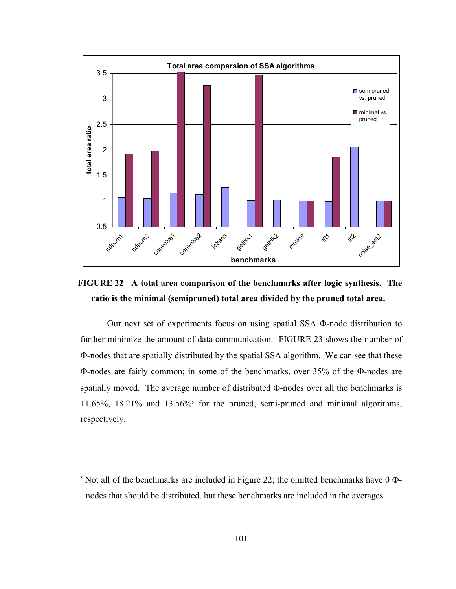

**FIGURE 22 A total area comparison of the benchmarks after logic synthesis. The ratio is the minimal (semipruned) total area divided by the pruned total area.** 

Our next set of experiments focus on using spatial SSA Φ-node distribution to further minimize the amount of data communication. FIGURE 23 shows the number of Φ-nodes that are spatially distributed by the spatial SSA algorithm. We can see that these Φ-nodes are fairly common; in some of the benchmarks, over 35% of the Φ-nodes are spatially moved. The average number of distributed Φ-nodes over all the benchmarks is  $11.65\%$ ,  $18.21\%$  and  $13.56\%$  for the pruned, semi-pruned and minimal algorithms, respectively.

 $\overline{a}$ 

<sup>&</sup>lt;sup>5</sup> Not all of the benchmarks are included in Figure 22; the omitted benchmarks have 0 Φnodes that should be distributed, but these benchmarks are included in the averages.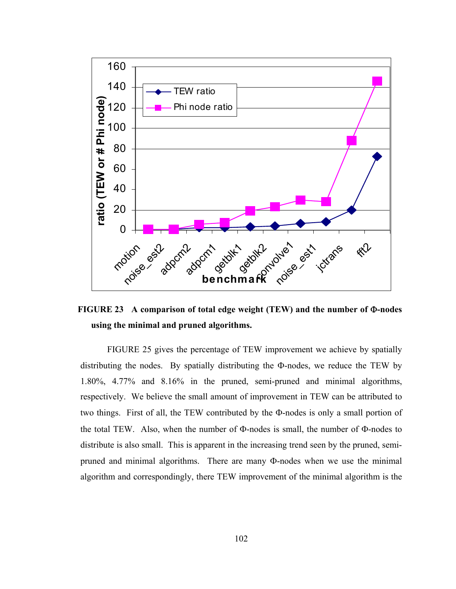



FIGURE 25 gives the percentage of TEW improvement we achieve by spatially distributing the nodes. By spatially distributing the Φ-nodes, we reduce the TEW by 1.80%, 4.77% and 8.16% in the pruned, semi-pruned and minimal algorithms, respectively. We believe the small amount of improvement in TEW can be attributed to two things. First of all, the TEW contributed by the Φ-nodes is only a small portion of the total TEW. Also, when the number of Φ-nodes is small, the number of Φ-nodes to distribute is also small. This is apparent in the increasing trend seen by the pruned, semipruned and minimal algorithms. There are many Φ-nodes when we use the minimal algorithm and correspondingly, there TEW improvement of the minimal algorithm is the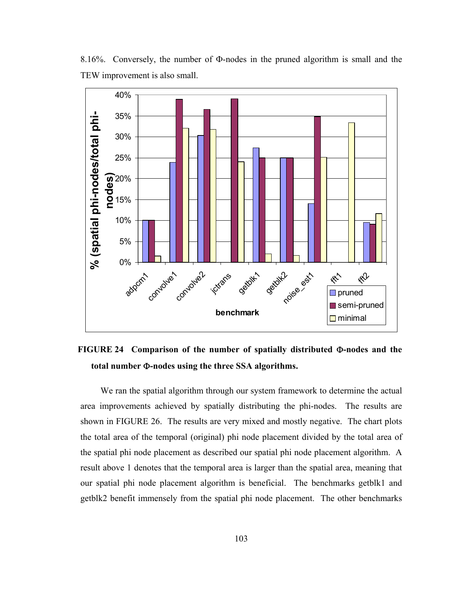

8.16%. Conversely, the number of Φ-nodes in the pruned algorithm is small and the TEW improvement is also small.

**FIGURE 24 Comparison of the number of spatially distributed** Φ**-nodes and the total number** Φ**-nodes using the three SSA algorithms.** 

We ran the spatial algorithm through our system framework to determine the actual area improvements achieved by spatially distributing the phi-nodes. The results are shown in FIGURE 26. The results are very mixed and mostly negative. The chart plots the total area of the temporal (original) phi node placement divided by the total area of the spatial phi node placement as described our spatial phi node placement algorithm. A result above 1 denotes that the temporal area is larger than the spatial area, meaning that our spatial phi node placement algorithm is beneficial. The benchmarks getblk1 and getblk2 benefit immensely from the spatial phi node placement. The other benchmarks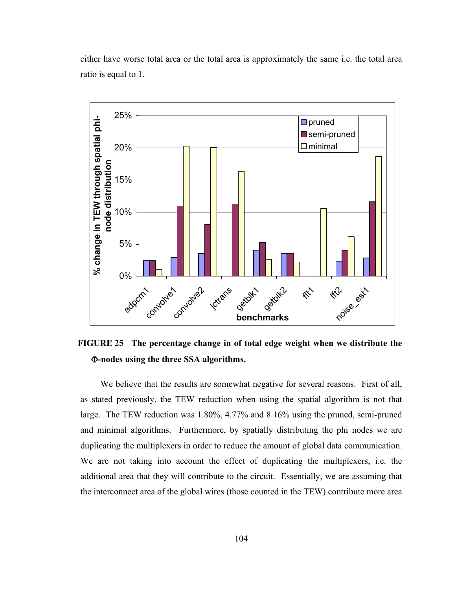either have worse total area or the total area is approximately the same i.e. the total area ratio is equal to 1.



**FIGURE 25 The percentage change in of total edge weight when we distribute the**  Φ**-nodes using the three SSA algorithms.**

We believe that the results are somewhat negative for several reasons. First of all, as stated previously, the TEW reduction when using the spatial algorithm is not that large. The TEW reduction was 1.80%, 4.77% and 8.16% using the pruned, semi-pruned and minimal algorithms. Furthermore, by spatially distributing the phi nodes we are duplicating the multiplexers in order to reduce the amount of global data communication. We are not taking into account the effect of duplicating the multiplexers, i.e. the additional area that they will contribute to the circuit. Essentially, we are assuming that the interconnect area of the global wires (those counted in the TEW) contribute more area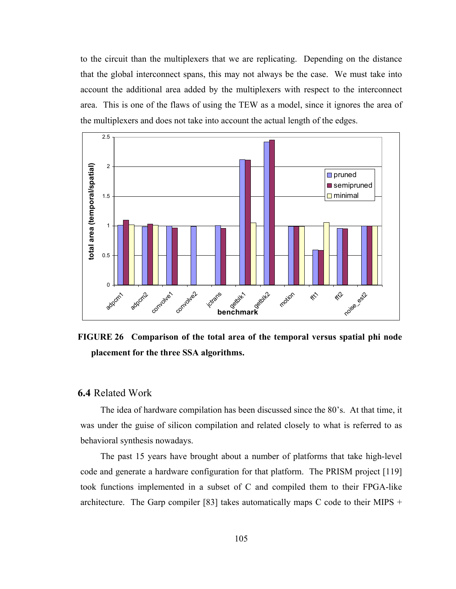to the circuit than the multiplexers that we are replicating. Depending on the distance that the global interconnect spans, this may not always be the case. We must take into account the additional area added by the multiplexers with respect to the interconnect area. This is one of the flaws of using the TEW as a model, since it ignores the area of the multiplexers and does not take into account the actual length of the edges.



**FIGURE 26 Comparison of the total area of the temporal versus spatial phi node placement for the three SSA algorithms.** 

### **6.4** Related Work

The idea of hardware compilation has been discussed since the 80's. At that time, it was under the guise of silicon compilation and related closely to what is referred to as behavioral synthesis nowadays.

The past 15 years have brought about a number of platforms that take high-level code and generate a hardware configuration for that platform. The PRISM project [119] took functions implemented in a subset of C and compiled them to their FPGA-like architecture. The Garp compiler [83] takes automatically maps C code to their MIPS  $+$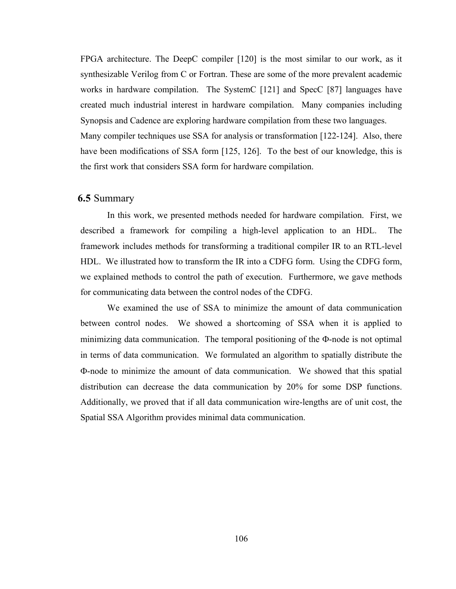FPGA architecture. The DeepC compiler [120] is the most similar to our work, as it synthesizable Verilog from C or Fortran. These are some of the more prevalent academic works in hardware compilation. The SystemC [121] and SpecC [87] languages have created much industrial interest in hardware compilation. Many companies including Synopsis and Cadence are exploring hardware compilation from these two languages. Many compiler techniques use SSA for analysis or transformation [122-124]. Also, there have been modifications of SSA form [125, 126]. To the best of our knowledge, this is the first work that considers SSA form for hardware compilation.

#### **6.5** Summary

In this work, we presented methods needed for hardware compilation. First, we described a framework for compiling a high-level application to an HDL. The framework includes methods for transforming a traditional compiler IR to an RTL-level HDL. We illustrated how to transform the IR into a CDFG form. Using the CDFG form, we explained methods to control the path of execution. Furthermore, we gave methods for communicating data between the control nodes of the CDFG.

We examined the use of SSA to minimize the amount of data communication between control nodes. We showed a shortcoming of SSA when it is applied to minimizing data communication. The temporal positioning of the Φ-node is not optimal in terms of data communication. We formulated an algorithm to spatially distribute the Φ-node to minimize the amount of data communication. We showed that this spatial distribution can decrease the data communication by 20% for some DSP functions. Additionally, we proved that if all data communication wire-lengths are of unit cost, the Spatial SSA Algorithm provides minimal data communication.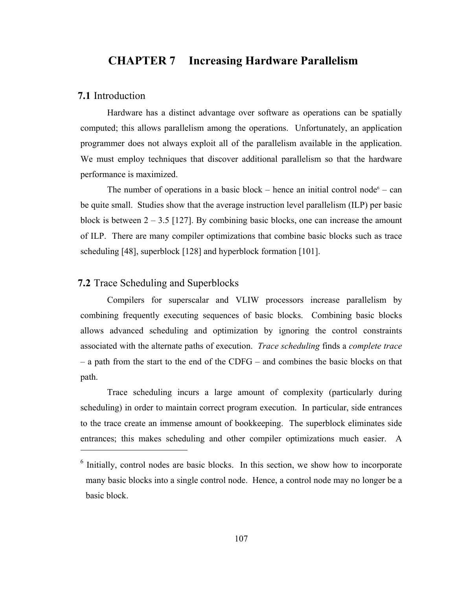## **CHAPTER 7 Increasing Hardware Parallelism**

### **7.1** Introduction

 $\overline{a}$ 

Hardware has a distinct advantage over software as operations can be spatially computed; this allows parallelism among the operations. Unfortunately, an application programmer does not always exploit all of the parallelism available in the application. We must employ techniques that discover additional parallelism so that the hardware performance is maximized.

The number of operations in a basic block – hence an initial control node  $\epsilon$  – can be quite small. Studies show that the average instruction level parallelism (ILP) per basic block is between  $2 - 3.5$  [127]. By combining basic blocks, one can increase the amount of ILP. There are many compiler optimizations that combine basic blocks such as trace scheduling [48], superblock [128] and hyperblock formation [101].

## **7.2** Trace Scheduling and Superblocks

Compilers for superscalar and VLIW processors increase parallelism by combining frequently executing sequences of basic blocks. Combining basic blocks allows advanced scheduling and optimization by ignoring the control constraints associated with the alternate paths of execution. *Trace scheduling* finds a *complete trace*  – a path from the start to the end of the CDFG – and combines the basic blocks on that path.

Trace scheduling incurs a large amount of complexity (particularly during scheduling) in order to maintain correct program execution. In particular, side entrances to the trace create an immense amount of bookkeeping. The superblock eliminates side entrances; this makes scheduling and other compiler optimizations much easier. A

<sup>&</sup>lt;sup>6</sup> Initially, control nodes are basic blocks. In this section, we show how to incorporate many basic blocks into a single control node. Hence, a control node may no longer be a basic block.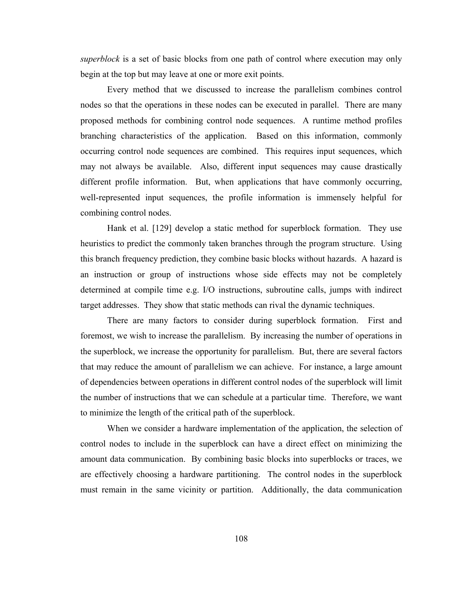*superblock* is a set of basic blocks from one path of control where execution may only begin at the top but may leave at one or more exit points.

Every method that we discussed to increase the parallelism combines control nodes so that the operations in these nodes can be executed in parallel. There are many proposed methods for combining control node sequences. A runtime method profiles branching characteristics of the application. Based on this information, commonly occurring control node sequences are combined. This requires input sequences, which may not always be available. Also, different input sequences may cause drastically different profile information. But, when applications that have commonly occurring, well-represented input sequences, the profile information is immensely helpful for combining control nodes.

Hank et al. [129] develop a static method for superblock formation. They use heuristics to predict the commonly taken branches through the program structure. Using this branch frequency prediction, they combine basic blocks without hazards. A hazard is an instruction or group of instructions whose side effects may not be completely determined at compile time e.g. I/O instructions, subroutine calls, jumps with indirect target addresses. They show that static methods can rival the dynamic techniques.

There are many factors to consider during superblock formation. First and foremost, we wish to increase the parallelism. By increasing the number of operations in the superblock, we increase the opportunity for parallelism. But, there are several factors that may reduce the amount of parallelism we can achieve. For instance, a large amount of dependencies between operations in different control nodes of the superblock will limit the number of instructions that we can schedule at a particular time. Therefore, we want to minimize the length of the critical path of the superblock.

When we consider a hardware implementation of the application, the selection of control nodes to include in the superblock can have a direct effect on minimizing the amount data communication. By combining basic blocks into superblocks or traces, we are effectively choosing a hardware partitioning. The control nodes in the superblock must remain in the same vicinity or partition. Additionally, the data communication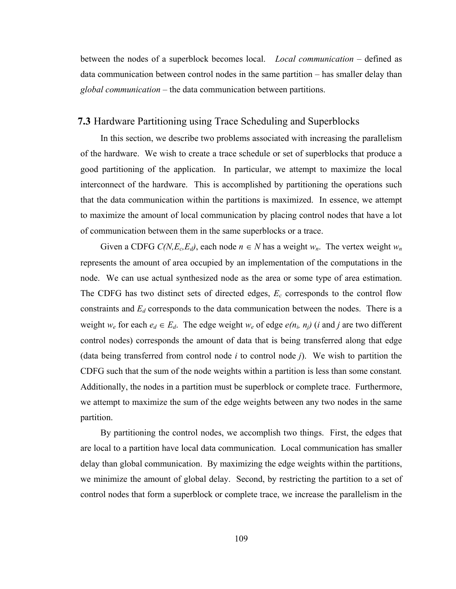between the nodes of a superblock becomes local. *Local communication* – defined as data communication between control nodes in the same partition – has smaller delay than *global communication* – the data communication between partitions.

### **7.3** Hardware Partitioning using Trace Scheduling and Superblocks

In this section, we describe two problems associated with increasing the parallelism of the hardware. We wish to create a trace schedule or set of superblocks that produce a good partitioning of the application. In particular, we attempt to maximize the local interconnect of the hardware. This is accomplished by partitioning the operations such that the data communication within the partitions is maximized. In essence, we attempt to maximize the amount of local communication by placing control nodes that have a lot of communication between them in the same superblocks or a trace.

Given a CDFG  $C(N, E_c, E_d)$ , each node  $n \in N$  has a weight  $w_n$ . The vertex weight  $w_n$ represents the amount of area occupied by an implementation of the computations in the node. We can use actual synthesized node as the area or some type of area estimation. The CDFG has two distinct sets of directed edges, *Ec* corresponds to the control flow constraints and  $E_d$  corresponds to the data communication between the nodes. There is a weight  $w_e$  for each  $e_d \in E_d$ . The edge weight  $w_e$  of edge  $e(n_i, n_j)$  (*i* and *j* are two different control nodes) corresponds the amount of data that is being transferred along that edge (data being transferred from control node *i* to control node *j*). We wish to partition the CDFG such that the sum of the node weights within a partition is less than some constant*.*  Additionally, the nodes in a partition must be superblock or complete trace. Furthermore, we attempt to maximize the sum of the edge weights between any two nodes in the same partition.

By partitioning the control nodes, we accomplish two things. First, the edges that are local to a partition have local data communication. Local communication has smaller delay than global communication. By maximizing the edge weights within the partitions, we minimize the amount of global delay. Second, by restricting the partition to a set of control nodes that form a superblock or complete trace, we increase the parallelism in the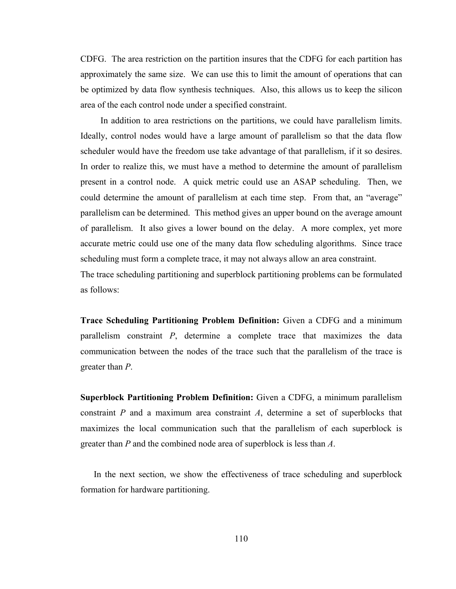CDFG. The area restriction on the partition insures that the CDFG for each partition has approximately the same size. We can use this to limit the amount of operations that can be optimized by data flow synthesis techniques. Also, this allows us to keep the silicon area of the each control node under a specified constraint.

In addition to area restrictions on the partitions, we could have parallelism limits. Ideally, control nodes would have a large amount of parallelism so that the data flow scheduler would have the freedom use take advantage of that parallelism, if it so desires. In order to realize this, we must have a method to determine the amount of parallelism present in a control node. A quick metric could use an ASAP scheduling. Then, we could determine the amount of parallelism at each time step. From that, an "average" parallelism can be determined. This method gives an upper bound on the average amount of parallelism. It also gives a lower bound on the delay. A more complex, yet more accurate metric could use one of the many data flow scheduling algorithms. Since trace scheduling must form a complete trace, it may not always allow an area constraint.

The trace scheduling partitioning and superblock partitioning problems can be formulated as follows:

**Trace Scheduling Partitioning Problem Definition:** Given a CDFG and a minimum parallelism constraint *P*, determine a complete trace that maximizes the data communication between the nodes of the trace such that the parallelism of the trace is greater than *P*.

**Superblock Partitioning Problem Definition:** Given a CDFG, a minimum parallelism constraint *P* and a maximum area constraint *A*, determine a set of superblocks that maximizes the local communication such that the parallelism of each superblock is greater than *P* and the combined node area of superblock is less than *A*.

In the next section, we show the effectiveness of trace scheduling and superblock formation for hardware partitioning.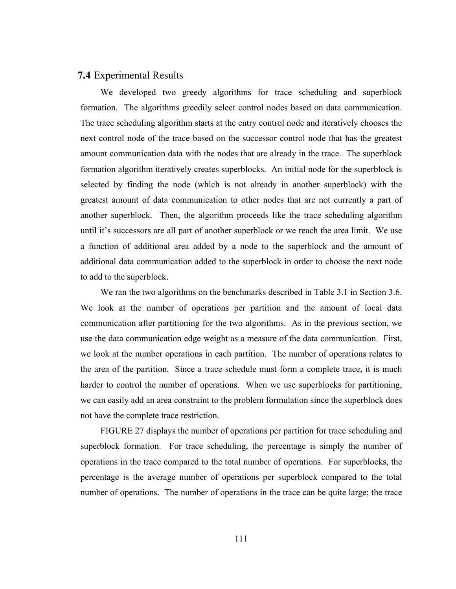### **7.4** Experimental Results

We developed two greedy algorithms for trace scheduling and superblock formation. The algorithms greedily select control nodes based on data communication. The trace scheduling algorithm starts at the entry control node and iteratively chooses the next control node of the trace based on the successor control node that has the greatest amount communication data with the nodes that are already in the trace. The superblock formation algorithm iteratively creates superblocks. An initial node for the superblock is selected by finding the node (which is not already in another superblock) with the greatest amount of data communication to other nodes that are not currently a part of another superblock. Then, the algorithm proceeds like the trace scheduling algorithm until it's successors are all part of another superblock or we reach the area limit. We use a function of additional area added by a node to the superblock and the amount of additional data communication added to the superblock in order to choose the next node to add to the superblock.

We ran the two algorithms on the benchmarks described in Table 3.1 in Section 3.6. We look at the number of operations per partition and the amount of local data communication after partitioning for the two algorithms. As in the previous section, we use the data communication edge weight as a measure of the data communication. First, we look at the number operations in each partition. The number of operations relates to the area of the partition. Since a trace schedule must form a complete trace, it is much harder to control the number of operations. When we use superblocks for partitioning, we can easily add an area constraint to the problem formulation since the superblock does not have the complete trace restriction.

FIGURE 27 displays the number of operations per partition for trace scheduling and superblock formation. For trace scheduling, the percentage is simply the number of operations in the trace compared to the total number of operations. For superblocks, the percentage is the average number of operations per superblock compared to the total number of operations. The number of operations in the trace can be quite large; the trace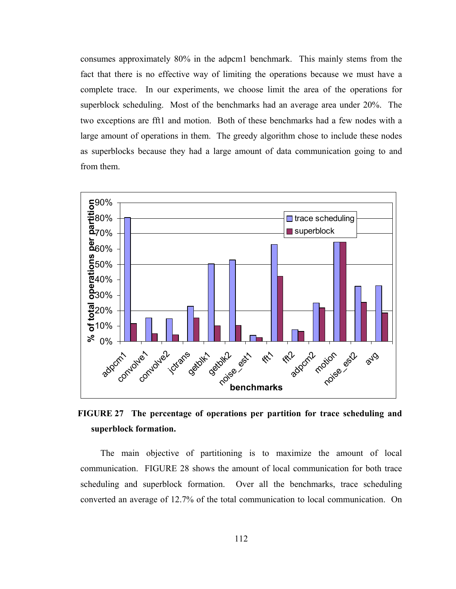consumes approximately 80% in the adpcm1 benchmark. This mainly stems from the fact that there is no effective way of limiting the operations because we must have a complete trace. In our experiments, we choose limit the area of the operations for superblock scheduling. Most of the benchmarks had an average area under 20%. The two exceptions are fft1 and motion. Both of these benchmarks had a few nodes with a large amount of operations in them. The greedy algorithm chose to include these nodes as superblocks because they had a large amount of data communication going to and from them.



**FIGURE 27 The percentage of operations per partition for trace scheduling and superblock formation.** 

The main objective of partitioning is to maximize the amount of local communication. FIGURE 28 shows the amount of local communication for both trace scheduling and superblock formation. Over all the benchmarks, trace scheduling converted an average of 12.7% of the total communication to local communication. On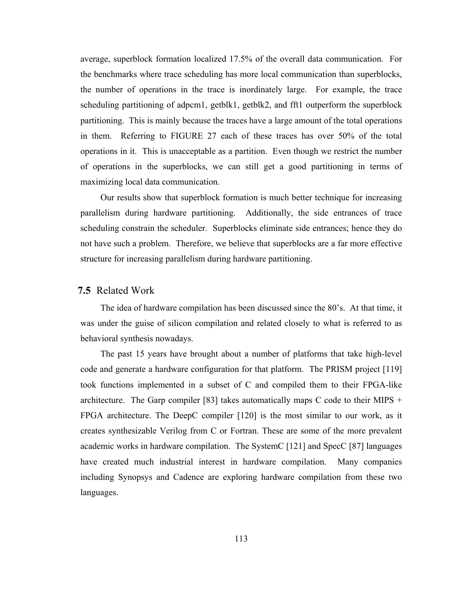average, superblock formation localized 17.5% of the overall data communication. For the benchmarks where trace scheduling has more local communication than superblocks, the number of operations in the trace is inordinately large. For example, the trace scheduling partitioning of adpcm1, getblk1, getblk2, and fft1 outperform the superblock partitioning. This is mainly because the traces have a large amount of the total operations in them. Referring to FIGURE 27 each of these traces has over 50% of the total operations in it. This is unacceptable as a partition. Even though we restrict the number of operations in the superblocks, we can still get a good partitioning in terms of maximizing local data communication.

Our results show that superblock formation is much better technique for increasing parallelism during hardware partitioning. Additionally, the side entrances of trace scheduling constrain the scheduler. Superblocks eliminate side entrances; hence they do not have such a problem. Therefore, we believe that superblocks are a far more effective structure for increasing parallelism during hardware partitioning.

#### **7.5** Related Work

The idea of hardware compilation has been discussed since the 80's. At that time, it was under the guise of silicon compilation and related closely to what is referred to as behavioral synthesis nowadays.

The past 15 years have brought about a number of platforms that take high-level code and generate a hardware configuration for that platform. The PRISM project [119] took functions implemented in a subset of C and compiled them to their FPGA-like architecture. The Garp compiler [83] takes automatically maps C code to their MIPS  $+$ FPGA architecture. The DeepC compiler [120] is the most similar to our work, as it creates synthesizable Verilog from C or Fortran. These are some of the more prevalent academic works in hardware compilation. The SystemC [121] and SpecC [87] languages have created much industrial interest in hardware compilation. Many companies including Synopsys and Cadence are exploring hardware compilation from these two languages.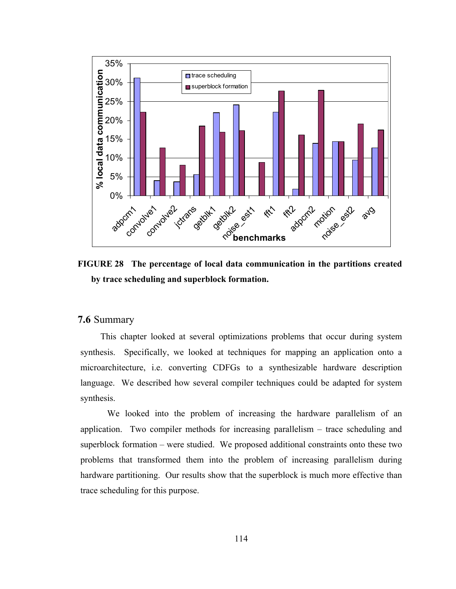

**FIGURE 28 The percentage of local data communication in the partitions created by trace scheduling and superblock formation.** 

## **7.6** Summary

This chapter looked at several optimizations problems that occur during system synthesis. Specifically, we looked at techniques for mapping an application onto a microarchitecture, i.e. converting CDFGs to a synthesizable hardware description language. We described how several compiler techniques could be adapted for system synthesis.

We looked into the problem of increasing the hardware parallelism of an application. Two compiler methods for increasing parallelism – trace scheduling and superblock formation – were studied. We proposed additional constraints onto these two problems that transformed them into the problem of increasing parallelism during hardware partitioning. Our results show that the superblock is much more effective than trace scheduling for this purpose.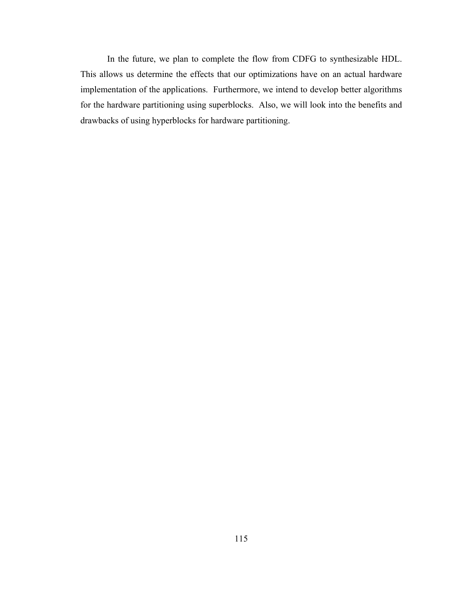In the future, we plan to complete the flow from CDFG to synthesizable HDL. This allows us determine the effects that our optimizations have on an actual hardware implementation of the applications. Furthermore, we intend to develop better algorithms for the hardware partitioning using superblocks. Also, we will look into the benefits and drawbacks of using hyperblocks for hardware partitioning.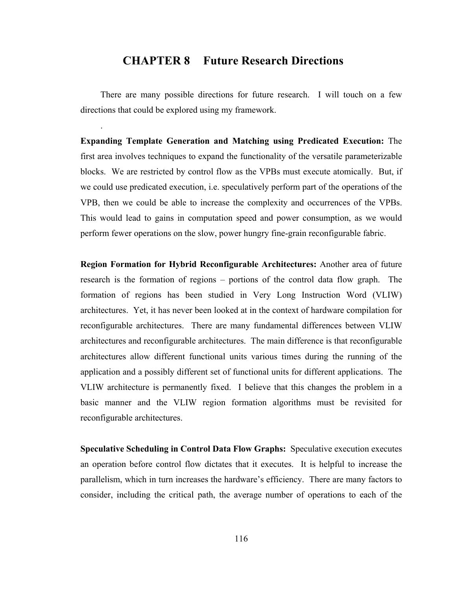## **CHAPTER 8 Future Research Directions**

There are many possible directions for future research. I will touch on a few directions that could be explored using my framework.

.

**Expanding Template Generation and Matching using Predicated Execution:** The first area involves techniques to expand the functionality of the versatile parameterizable blocks. We are restricted by control flow as the VPBs must execute atomically. But, if we could use predicated execution, i.e. speculatively perform part of the operations of the VPB, then we could be able to increase the complexity and occurrences of the VPBs. This would lead to gains in computation speed and power consumption, as we would perform fewer operations on the slow, power hungry fine-grain reconfigurable fabric.

**Region Formation for Hybrid Reconfigurable Architectures:** Another area of future research is the formation of regions – portions of the control data flow graph. The formation of regions has been studied in Very Long Instruction Word (VLIW) architectures. Yet, it has never been looked at in the context of hardware compilation for reconfigurable architectures. There are many fundamental differences between VLIW architectures and reconfigurable architectures. The main difference is that reconfigurable architectures allow different functional units various times during the running of the application and a possibly different set of functional units for different applications. The VLIW architecture is permanently fixed. I believe that this changes the problem in a basic manner and the VLIW region formation algorithms must be revisited for reconfigurable architectures.

**Speculative Scheduling in Control Data Flow Graphs:** Speculative execution executes an operation before control flow dictates that it executes. It is helpful to increase the parallelism, which in turn increases the hardware's efficiency. There are many factors to consider, including the critical path, the average number of operations to each of the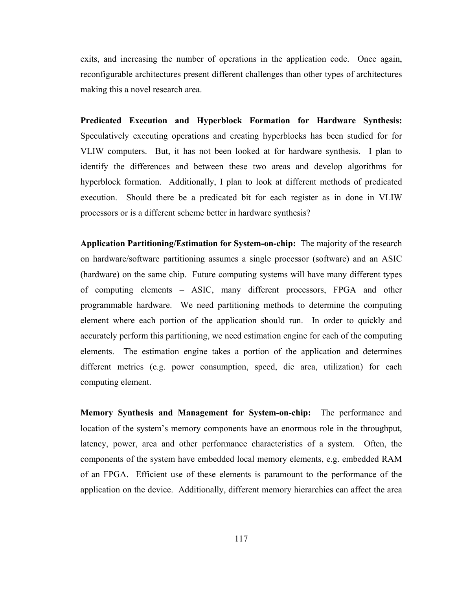exits, and increasing the number of operations in the application code. Once again, reconfigurable architectures present different challenges than other types of architectures making this a novel research area.

**Predicated Execution and Hyperblock Formation for Hardware Synthesis:**  Speculatively executing operations and creating hyperblocks has been studied for for VLIW computers. But, it has not been looked at for hardware synthesis. I plan to identify the differences and between these two areas and develop algorithms for hyperblock formation. Additionally, I plan to look at different methods of predicated execution. Should there be a predicated bit for each register as in done in VLIW processors or is a different scheme better in hardware synthesis?

**Application Partitioning/Estimation for System-on-chip:** The majority of the research on hardware/software partitioning assumes a single processor (software) and an ASIC (hardware) on the same chip. Future computing systems will have many different types of computing elements – ASIC, many different processors, FPGA and other programmable hardware. We need partitioning methods to determine the computing element where each portion of the application should run. In order to quickly and accurately perform this partitioning, we need estimation engine for each of the computing elements. The estimation engine takes a portion of the application and determines different metrics (e.g. power consumption, speed, die area, utilization) for each computing element.

**Memory Synthesis and Management for System-on-chip:** The performance and location of the system's memory components have an enormous role in the throughput, latency, power, area and other performance characteristics of a system. Often, the components of the system have embedded local memory elements, e.g. embedded RAM of an FPGA. Efficient use of these elements is paramount to the performance of the application on the device. Additionally, different memory hierarchies can affect the area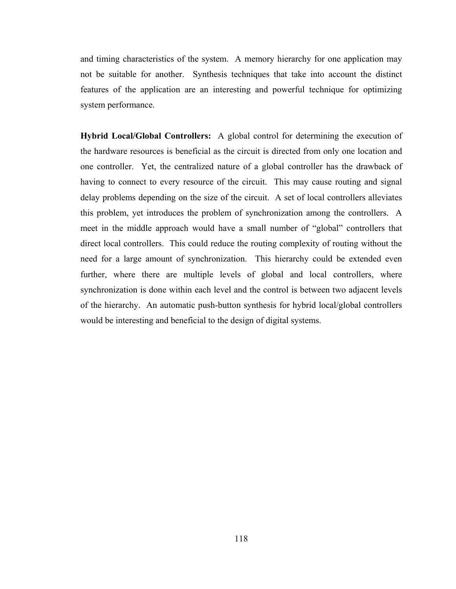and timing characteristics of the system. A memory hierarchy for one application may not be suitable for another. Synthesis techniques that take into account the distinct features of the application are an interesting and powerful technique for optimizing system performance.

**Hybrid Local/Global Controllers:** A global control for determining the execution of the hardware resources is beneficial as the circuit is directed from only one location and one controller. Yet, the centralized nature of a global controller has the drawback of having to connect to every resource of the circuit. This may cause routing and signal delay problems depending on the size of the circuit. A set of local controllers alleviates this problem, yet introduces the problem of synchronization among the controllers. A meet in the middle approach would have a small number of "global" controllers that direct local controllers. This could reduce the routing complexity of routing without the need for a large amount of synchronization. This hierarchy could be extended even further, where there are multiple levels of global and local controllers, where synchronization is done within each level and the control is between two adjacent levels of the hierarchy. An automatic push-button synthesis for hybrid local/global controllers would be interesting and beneficial to the design of digital systems.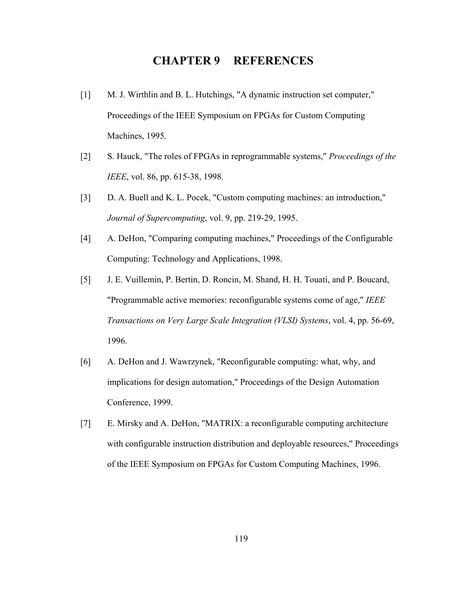## **CHAPTER 9 REFERENCES**

- [1] M. J. Wirthlin and B. L. Hutchings, "A dynamic instruction set computer," Proceedings of the IEEE Symposium on FPGAs for Custom Computing Machines, 1995.
- [2] S. Hauck, "The roles of FPGAs in reprogrammable systems," *Proceedings of the IEEE*, vol. 86, pp. 615-38, 1998.
- [3] D. A. Buell and K. L. Pocek, "Custom computing machines: an introduction," *Journal of Supercomputing*, vol. 9, pp. 219-29, 1995.
- [4] A. DeHon, "Comparing computing machines," Proceedings of the Configurable Computing: Technology and Applications, 1998.
- [5] J. E. Vuillemin, P. Bertin, D. Roncin, M. Shand, H. H. Touati, and P. Boucard, "Programmable active memories: reconfigurable systems come of age," *IEEE Transactions on Very Large Scale Integration (VLSI) Systems*, vol. 4, pp. 56-69, 1996.
- [6] A. DeHon and J. Wawrzynek, "Reconfigurable computing: what, why, and implications for design automation," Proceedings of the Design Automation Conference, 1999.
- [7] E. Mirsky and A. DeHon, "MATRIX: a reconfigurable computing architecture with configurable instruction distribution and deployable resources," Proceedings of the IEEE Symposium on FPGAs for Custom Computing Machines, 1996.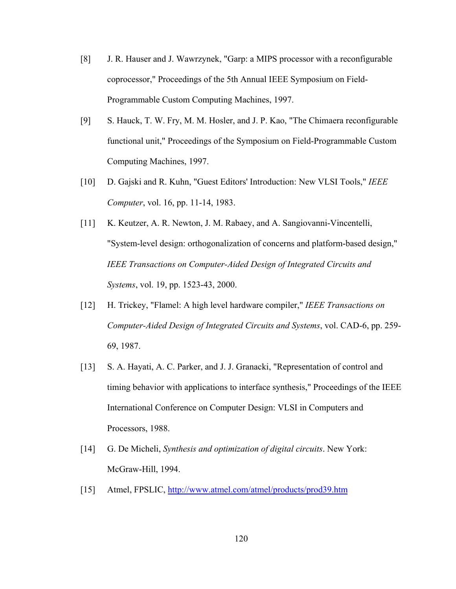- [8] J. R. Hauser and J. Wawrzynek, "Garp: a MIPS processor with a reconfigurable coprocessor," Proceedings of the 5th Annual IEEE Symposium on Field-Programmable Custom Computing Machines, 1997.
- [9] S. Hauck, T. W. Fry, M. M. Hosler, and J. P. Kao, "The Chimaera reconfigurable functional unit," Proceedings of the Symposium on Field-Programmable Custom Computing Machines, 1997.
- [10] D. Gajski and R. Kuhn, "Guest Editors' Introduction: New VLSI Tools," *IEEE Computer*, vol. 16, pp. 11-14, 1983.
- [11] K. Keutzer, A. R. Newton, J. M. Rabaey, and A. Sangiovanni-Vincentelli, "System-level design: orthogonalization of concerns and platform-based design," *IEEE Transactions on Computer-Aided Design of Integrated Circuits and Systems*, vol. 19, pp. 1523-43, 2000.
- [12] H. Trickey, "Flamel: A high level hardware compiler," *IEEE Transactions on Computer-Aided Design of Integrated Circuits and Systems*, vol. CAD-6, pp. 259- 69, 1987.
- [13] S. A. Hayati, A. C. Parker, and J. J. Granacki, "Representation of control and timing behavior with applications to interface synthesis," Proceedings of the IEEE International Conference on Computer Design: VLSI in Computers and Processors, 1988.
- [14] G. De Micheli, *Synthesis and optimization of digital circuits*. New York: McGraw-Hill, 1994.
- [15] Atmel, FPSLIC, http://www.atmel.com/atmel/products/prod39.htm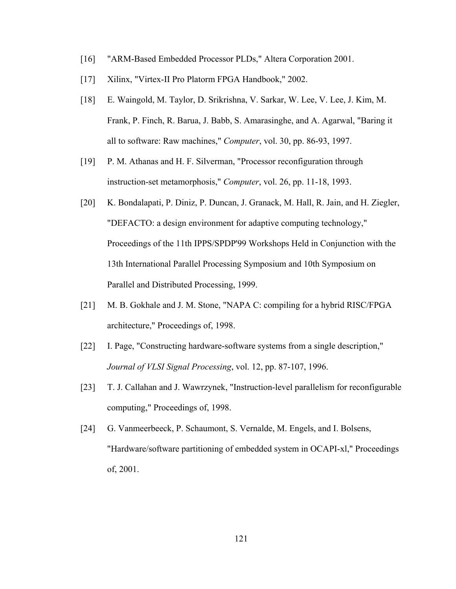- [16] "ARM-Based Embedded Processor PLDs," Altera Corporation 2001.
- [17] Xilinx, "Virtex-II Pro Platorm FPGA Handbook," 2002.
- [18] E. Waingold, M. Taylor, D. Srikrishna, V. Sarkar, W. Lee, V. Lee, J. Kim, M. Frank, P. Finch, R. Barua, J. Babb, S. Amarasinghe, and A. Agarwal, "Baring it all to software: Raw machines," *Computer*, vol. 30, pp. 86-93, 1997.
- [19] P. M. Athanas and H. F. Silverman, "Processor reconfiguration through instruction-set metamorphosis," *Computer*, vol. 26, pp. 11-18, 1993.
- [20] K. Bondalapati, P. Diniz, P. Duncan, J. Granack, M. Hall, R. Jain, and H. Ziegler, "DEFACTO: a design environment for adaptive computing technology," Proceedings of the 11th IPPS/SPDP'99 Workshops Held in Conjunction with the 13th International Parallel Processing Symposium and 10th Symposium on Parallel and Distributed Processing, 1999.
- [21] M. B. Gokhale and J. M. Stone, "NAPA C: compiling for a hybrid RISC/FPGA architecture," Proceedings of, 1998.
- [22] I. Page, "Constructing hardware-software systems from a single description," *Journal of VLSI Signal Processing*, vol. 12, pp. 87-107, 1996.
- [23] T. J. Callahan and J. Wawrzynek, "Instruction-level parallelism for reconfigurable computing," Proceedings of, 1998.
- [24] G. Vanmeerbeeck, P. Schaumont, S. Vernalde, M. Engels, and I. Bolsens, "Hardware/software partitioning of embedded system in OCAPI-xl," Proceedings of, 2001.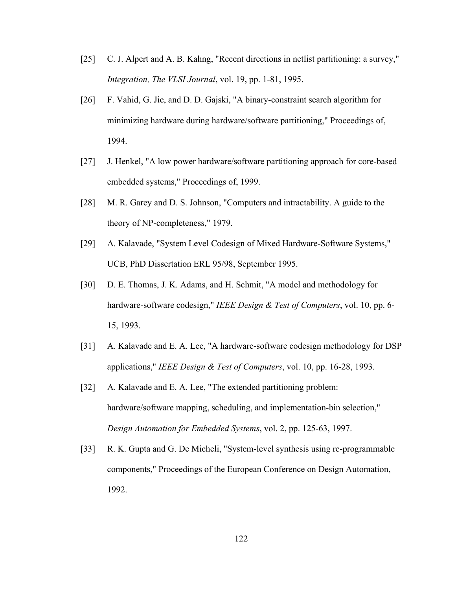- [25] C. J. Alpert and A. B. Kahng, "Recent directions in netlist partitioning: a survey," *Integration, The VLSI Journal*, vol. 19, pp. 1-81, 1995.
- [26] F. Vahid, G. Jie, and D. D. Gajski, "A binary-constraint search algorithm for minimizing hardware during hardware/software partitioning," Proceedings of, 1994.
- [27] J. Henkel, "A low power hardware/software partitioning approach for core-based embedded systems," Proceedings of, 1999.
- [28] M. R. Garey and D. S. Johnson, "Computers and intractability. A guide to the theory of NP-completeness," 1979.
- [29] A. Kalavade, "System Level Codesign of Mixed Hardware-Software Systems," UCB, PhD Dissertation ERL 95/98, September 1995.
- [30] D. E. Thomas, J. K. Adams, and H. Schmit, "A model and methodology for hardware-software codesign," *IEEE Design & Test of Computers*, vol. 10, pp. 6- 15, 1993.
- [31] A. Kalavade and E. A. Lee, "A hardware-software codesign methodology for DSP applications," *IEEE Design & Test of Computers*, vol. 10, pp. 16-28, 1993.
- [32] A. Kalavade and E. A. Lee, "The extended partitioning problem: hardware/software mapping, scheduling, and implementation-bin selection," *Design Automation for Embedded Systems*, vol. 2, pp. 125-63, 1997.
- [33] R. K. Gupta and G. De Micheli, "System-level synthesis using re-programmable components," Proceedings of the European Conference on Design Automation, 1992.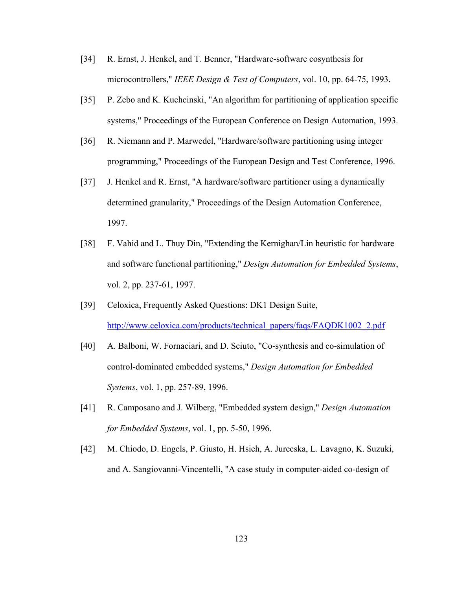- [34] R. Ernst, J. Henkel, and T. Benner, "Hardware-software cosynthesis for microcontrollers," *IEEE Design & Test of Computers*, vol. 10, pp. 64-75, 1993.
- [35] P. Zebo and K. Kuchcinski, "An algorithm for partitioning of application specific systems," Proceedings of the European Conference on Design Automation, 1993.
- [36] R. Niemann and P. Marwedel, "Hardware/software partitioning using integer programming," Proceedings of the European Design and Test Conference, 1996.
- [37] J. Henkel and R. Ernst, "A hardware/software partitioner using a dynamically determined granularity," Proceedings of the Design Automation Conference, 1997.
- [38] F. Vahid and L. Thuy Din, "Extending the Kernighan/Lin heuristic for hardware and software functional partitioning," *Design Automation for Embedded Systems*, vol. 2, pp. 237-61, 1997.
- [39] Celoxica, Frequently Asked Questions: DK1 Design Suite, http://www.celoxica.com/products/technical\_papers/faqs/FAQDK1002\_2.pdf
- [40] A. Balboni, W. Fornaciari, and D. Sciuto, "Co-synthesis and co-simulation of control-dominated embedded systems," *Design Automation for Embedded Systems*, vol. 1, pp. 257-89, 1996.
- [41] R. Camposano and J. Wilberg, "Embedded system design," *Design Automation for Embedded Systems*, vol. 1, pp. 5-50, 1996.
- [42] M. Chiodo, D. Engels, P. Giusto, H. Hsieh, A. Jurecska, L. Lavagno, K. Suzuki, and A. Sangiovanni-Vincentelli, "A case study in computer-aided co-design of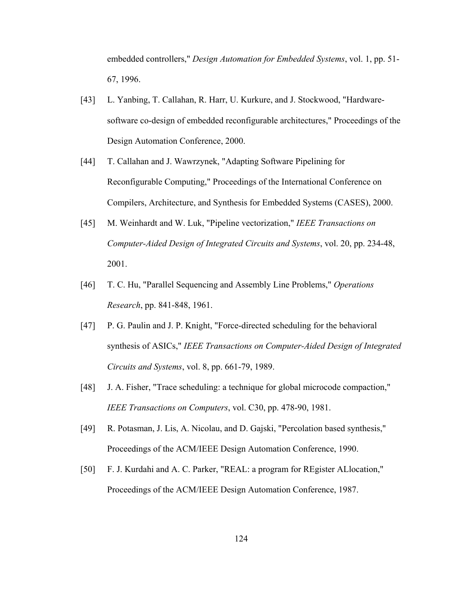embedded controllers," *Design Automation for Embedded Systems*, vol. 1, pp. 51- 67, 1996.

- [43] L. Yanbing, T. Callahan, R. Harr, U. Kurkure, and J. Stockwood, "Hardwaresoftware co-design of embedded reconfigurable architectures," Proceedings of the Design Automation Conference, 2000.
- [44] T. Callahan and J. Wawrzynek, "Adapting Software Pipelining for Reconfigurable Computing," Proceedings of the International Conference on Compilers, Architecture, and Synthesis for Embedded Systems (CASES), 2000.
- [45] M. Weinhardt and W. Luk, "Pipeline vectorization," *IEEE Transactions on Computer-Aided Design of Integrated Circuits and Systems*, vol. 20, pp. 234-48, 2001.
- [46] T. C. Hu, "Parallel Sequencing and Assembly Line Problems," *Operations Research*, pp. 841-848, 1961.
- [47] P. G. Paulin and J. P. Knight, "Force-directed scheduling for the behavioral synthesis of ASICs," *IEEE Transactions on Computer-Aided Design of Integrated Circuits and Systems*, vol. 8, pp. 661-79, 1989.
- [48] J. A. Fisher, "Trace scheduling: a technique for global microcode compaction," *IEEE Transactions on Computers*, vol. C30, pp. 478-90, 1981.
- [49] R. Potasman, J. Lis, A. Nicolau, and D. Gajski, "Percolation based synthesis," Proceedings of the ACM/IEEE Design Automation Conference, 1990.
- [50] F. J. Kurdahi and A. C. Parker, "REAL: a program for REgister ALlocation," Proceedings of the ACM/IEEE Design Automation Conference, 1987.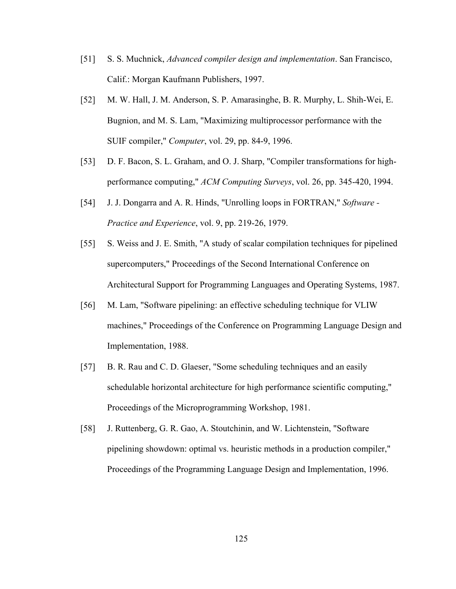- [51] S. S. Muchnick, *Advanced compiler design and implementation*. San Francisco, Calif.: Morgan Kaufmann Publishers, 1997.
- [52] M. W. Hall, J. M. Anderson, S. P. Amarasinghe, B. R. Murphy, L. Shih-Wei, E. Bugnion, and M. S. Lam, "Maximizing multiprocessor performance with the SUIF compiler," *Computer*, vol. 29, pp. 84-9, 1996.
- [53] D. F. Bacon, S. L. Graham, and O. J. Sharp, "Compiler transformations for highperformance computing," *ACM Computing Surveys*, vol. 26, pp. 345-420, 1994.
- [54] J. J. Dongarra and A. R. Hinds, "Unrolling loops in FORTRAN," *Software Practice and Experience*, vol. 9, pp. 219-26, 1979.
- [55] S. Weiss and J. E. Smith, "A study of scalar compilation techniques for pipelined supercomputers," Proceedings of the Second International Conference on Architectural Support for Programming Languages and Operating Systems, 1987.
- [56] M. Lam, "Software pipelining: an effective scheduling technique for VLIW machines," Proceedings of the Conference on Programming Language Design and Implementation, 1988.
- [57] B. R. Rau and C. D. Glaeser, "Some scheduling techniques and an easily schedulable horizontal architecture for high performance scientific computing," Proceedings of the Microprogramming Workshop, 1981.
- [58] J. Ruttenberg, G. R. Gao, A. Stoutchinin, and W. Lichtenstein, "Software pipelining showdown: optimal vs. heuristic methods in a production compiler," Proceedings of the Programming Language Design and Implementation, 1996.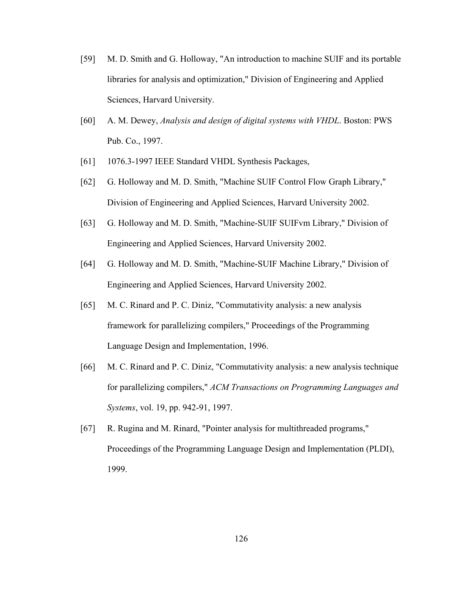- [59] M. D. Smith and G. Holloway, "An introduction to machine SUIF and its portable libraries for analysis and optimization," Division of Engineering and Applied Sciences, Harvard University.
- [60] A. M. Dewey, *Analysis and design of digital systems with VHDL*. Boston: PWS Pub. Co., 1997.
- [61] 1076.3-1997 IEEE Standard VHDL Synthesis Packages,
- [62] G. Holloway and M. D. Smith, "Machine SUIF Control Flow Graph Library," Division of Engineering and Applied Sciences, Harvard University 2002.
- [63] G. Holloway and M. D. Smith, "Machine-SUIF SUIFvm Library," Division of Engineering and Applied Sciences, Harvard University 2002.
- [64] G. Holloway and M. D. Smith, "Machine-SUIF Machine Library," Division of Engineering and Applied Sciences, Harvard University 2002.
- [65] M. C. Rinard and P. C. Diniz, "Commutativity analysis: a new analysis framework for parallelizing compilers," Proceedings of the Programming Language Design and Implementation, 1996.
- [66] M. C. Rinard and P. C. Diniz, "Commutativity analysis: a new analysis technique for parallelizing compilers," *ACM Transactions on Programming Languages and Systems*, vol. 19, pp. 942-91, 1997.
- [67] R. Rugina and M. Rinard, "Pointer analysis for multithreaded programs," Proceedings of the Programming Language Design and Implementation (PLDI), 1999.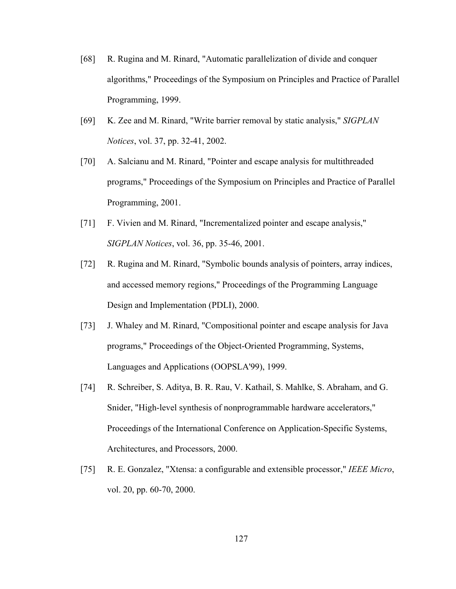- [68] R. Rugina and M. Rinard, "Automatic parallelization of divide and conquer algorithms," Proceedings of the Symposium on Principles and Practice of Parallel Programming, 1999.
- [69] K. Zee and M. Rinard, "Write barrier removal by static analysis," *SIGPLAN Notices*, vol. 37, pp. 32-41, 2002.
- [70] A. Salcianu and M. Rinard, "Pointer and escape analysis for multithreaded programs," Proceedings of the Symposium on Principles and Practice of Parallel Programming, 2001.
- [71] F. Vivien and M. Rinard, "Incrementalized pointer and escape analysis," *SIGPLAN Notices*, vol. 36, pp. 35-46, 2001.
- [72] R. Rugina and M. Rinard, "Symbolic bounds analysis of pointers, array indices, and accessed memory regions," Proceedings of the Programming Language Design and Implementation (PDLI), 2000.
- [73] J. Whaley and M. Rinard, "Compositional pointer and escape analysis for Java programs," Proceedings of the Object-Oriented Programming, Systems, Languages and Applications (OOPSLA'99), 1999.
- [74] R. Schreiber, S. Aditya, B. R. Rau, V. Kathail, S. Mahlke, S. Abraham, and G. Snider, "High-level synthesis of nonprogrammable hardware accelerators," Proceedings of the International Conference on Application-Specific Systems, Architectures, and Processors, 2000.
- [75] R. E. Gonzalez, "Xtensa: a configurable and extensible processor," *IEEE Micro*, vol. 20, pp. 60-70, 2000.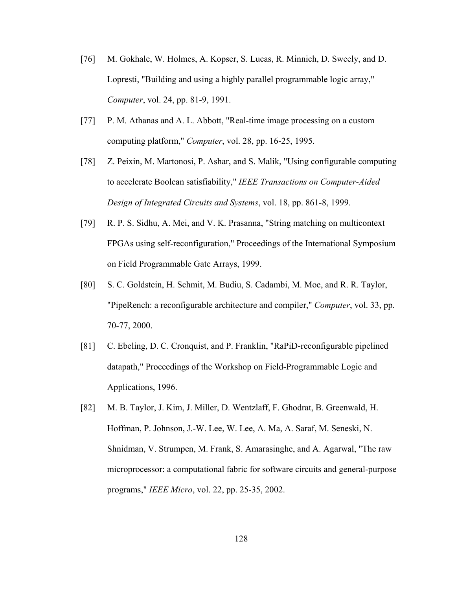- [76] M. Gokhale, W. Holmes, A. Kopser, S. Lucas, R. Minnich, D. Sweely, and D. Lopresti, "Building and using a highly parallel programmable logic array," *Computer*, vol. 24, pp. 81-9, 1991.
- [77] P. M. Athanas and A. L. Abbott, "Real-time image processing on a custom computing platform," *Computer*, vol. 28, pp. 16-25, 1995.
- [78] Z. Peixin, M. Martonosi, P. Ashar, and S. Malik, "Using configurable computing to accelerate Boolean satisfiability," *IEEE Transactions on Computer-Aided Design of Integrated Circuits and Systems*, vol. 18, pp. 861-8, 1999.
- [79] R. P. S. Sidhu, A. Mei, and V. K. Prasanna, "String matching on multicontext FPGAs using self-reconfiguration," Proceedings of the International Symposium on Field Programmable Gate Arrays, 1999.
- [80] S. C. Goldstein, H. Schmit, M. Budiu, S. Cadambi, M. Moe, and R. R. Taylor, "PipeRench: a reconfigurable architecture and compiler," *Computer*, vol. 33, pp. 70-77, 2000.
- [81] C. Ebeling, D. C. Cronquist, and P. Franklin, "RaPiD-reconfigurable pipelined datapath," Proceedings of the Workshop on Field-Programmable Logic and Applications, 1996.
- [82] M. B. Taylor, J. Kim, J. Miller, D. Wentzlaff, F. Ghodrat, B. Greenwald, H. Hoffman, P. Johnson, J.-W. Lee, W. Lee, A. Ma, A. Saraf, M. Seneski, N. Shnidman, V. Strumpen, M. Frank, S. Amarasinghe, and A. Agarwal, "The raw microprocessor: a computational fabric for software circuits and general-purpose programs," *IEEE Micro*, vol. 22, pp. 25-35, 2002.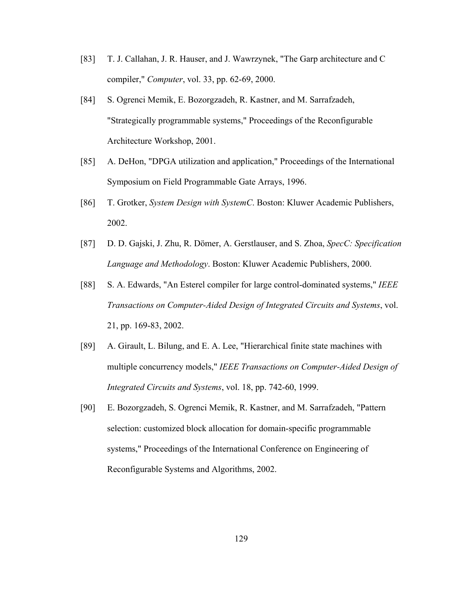- [83] T. J. Callahan, J. R. Hauser, and J. Wawrzynek, "The Garp architecture and C compiler," *Computer*, vol. 33, pp. 62-69, 2000.
- [84] S. Ogrenci Memik, E. Bozorgzadeh, R. Kastner, and M. Sarrafzadeh, "Strategically programmable systems," Proceedings of the Reconfigurable Architecture Workshop, 2001.
- [85] A. DeHon, "DPGA utilization and application," Proceedings of the International Symposium on Field Programmable Gate Arrays, 1996.
- [86] T. Grotker, *System Design with SystemC*. Boston: Kluwer Academic Publishers, 2002.
- [87] D. D. Gajski, J. Zhu, R. Dömer, A. Gerstlauser, and S. Zhoa, *SpecC: Specification Language and Methodology*. Boston: Kluwer Academic Publishers, 2000.
- [88] S. A. Edwards, "An Esterel compiler for large control-dominated systems," *IEEE Transactions on Computer-Aided Design of Integrated Circuits and Systems*, vol. 21, pp. 169-83, 2002.
- [89] A. Girault, L. Bilung, and E. A. Lee, "Hierarchical finite state machines with multiple concurrency models," *IEEE Transactions on Computer-Aided Design of Integrated Circuits and Systems*, vol. 18, pp. 742-60, 1999.
- [90] E. Bozorgzadeh, S. Ogrenci Memik, R. Kastner, and M. Sarrafzadeh, "Pattern selection: customized block allocation for domain-specific programmable systems," Proceedings of the International Conference on Engineering of Reconfigurable Systems and Algorithms, 2002.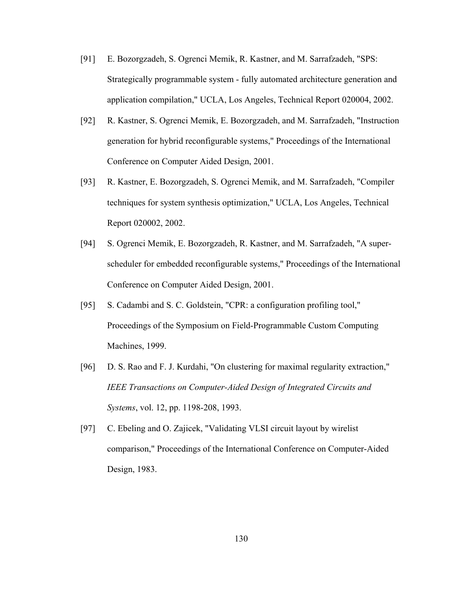- [91] E. Bozorgzadeh, S. Ogrenci Memik, R. Kastner, and M. Sarrafzadeh, "SPS: Strategically programmable system - fully automated architecture generation and application compilation," UCLA, Los Angeles, Technical Report 020004, 2002.
- [92] R. Kastner, S. Ogrenci Memik, E. Bozorgzadeh, and M. Sarrafzadeh, "Instruction generation for hybrid reconfigurable systems," Proceedings of the International Conference on Computer Aided Design, 2001.
- [93] R. Kastner, E. Bozorgzadeh, S. Ogrenci Memik, and M. Sarrafzadeh, "Compiler techniques for system synthesis optimization," UCLA, Los Angeles, Technical Report 020002, 2002.
- [94] S. Ogrenci Memik, E. Bozorgzadeh, R. Kastner, and M. Sarrafzadeh, "A superscheduler for embedded reconfigurable systems," Proceedings of the International Conference on Computer Aided Design, 2001.
- [95] S. Cadambi and S. C. Goldstein, "CPR: a configuration profiling tool," Proceedings of the Symposium on Field-Programmable Custom Computing Machines, 1999.
- [96] D. S. Rao and F. J. Kurdahi, "On clustering for maximal regularity extraction," *IEEE Transactions on Computer-Aided Design of Integrated Circuits and Systems*, vol. 12, pp. 1198-208, 1993.
- [97] C. Ebeling and O. Zajicek, "Validating VLSI circuit layout by wirelist comparison," Proceedings of the International Conference on Computer-Aided Design, 1983.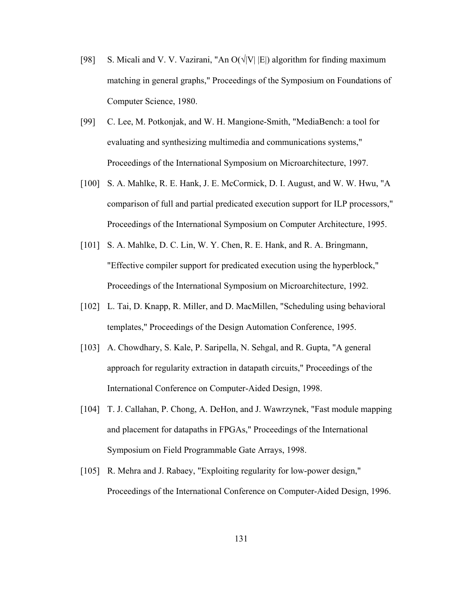- [98] S. Micali and V. V. Vazirani, "An  $O(\sqrt{|V|} |E|)$  algorithm for finding maximum matching in general graphs," Proceedings of the Symposium on Foundations of Computer Science, 1980.
- [99] C. Lee, M. Potkonjak, and W. H. Mangione-Smith, "MediaBench: a tool for evaluating and synthesizing multimedia and communications systems," Proceedings of the International Symposium on Microarchitecture, 1997.
- [100] S. A. Mahlke, R. E. Hank, J. E. McCormick, D. I. August, and W. W. Hwu, "A comparison of full and partial predicated execution support for ILP processors," Proceedings of the International Symposium on Computer Architecture, 1995.
- [101] S. A. Mahlke, D. C. Lin, W. Y. Chen, R. E. Hank, and R. A. Bringmann, "Effective compiler support for predicated execution using the hyperblock," Proceedings of the International Symposium on Microarchitecture, 1992.
- [102] L. Tai, D. Knapp, R. Miller, and D. MacMillen, "Scheduling using behavioral templates," Proceedings of the Design Automation Conference, 1995.
- [103] A. Chowdhary, S. Kale, P. Saripella, N. Sehgal, and R. Gupta, "A general approach for regularity extraction in datapath circuits," Proceedings of the International Conference on Computer-Aided Design, 1998.
- [104] T. J. Callahan, P. Chong, A. DeHon, and J. Wawrzynek, "Fast module mapping and placement for datapaths in FPGAs," Proceedings of the International Symposium on Field Programmable Gate Arrays, 1998.
- [105] R. Mehra and J. Rabaey, "Exploiting regularity for low-power design," Proceedings of the International Conference on Computer-Aided Design, 1996.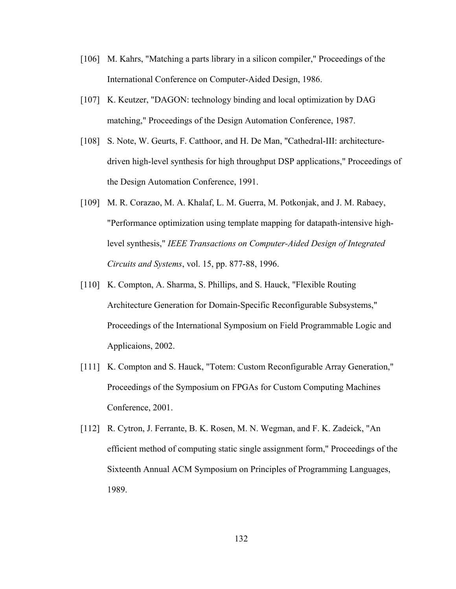- [106] M. Kahrs, "Matching a parts library in a silicon compiler," Proceedings of the International Conference on Computer-Aided Design, 1986.
- [107] K. Keutzer, "DAGON: technology binding and local optimization by DAG matching," Proceedings of the Design Automation Conference, 1987.
- [108] S. Note, W. Geurts, F. Catthoor, and H. De Man, "Cathedral-III: architecturedriven high-level synthesis for high throughput DSP applications," Proceedings of the Design Automation Conference, 1991.
- [109] M. R. Corazao, M. A. Khalaf, L. M. Guerra, M. Potkonjak, and J. M. Rabaey, "Performance optimization using template mapping for datapath-intensive highlevel synthesis," *IEEE Transactions on Computer-Aided Design of Integrated Circuits and Systems*, vol. 15, pp. 877-88, 1996.
- [110] K. Compton, A. Sharma, S. Phillips, and S. Hauck, "Flexible Routing" Architecture Generation for Domain-Specific Reconfigurable Subsystems," Proceedings of the International Symposium on Field Programmable Logic and Applicaions, 2002.
- [111] K. Compton and S. Hauck, "Totem: Custom Reconfigurable Array Generation," Proceedings of the Symposium on FPGAs for Custom Computing Machines Conference, 2001.
- [112] R. Cytron, J. Ferrante, B. K. Rosen, M. N. Wegman, and F. K. Zadeick, "An efficient method of computing static single assignment form," Proceedings of the Sixteenth Annual ACM Symposium on Principles of Programming Languages, 1989.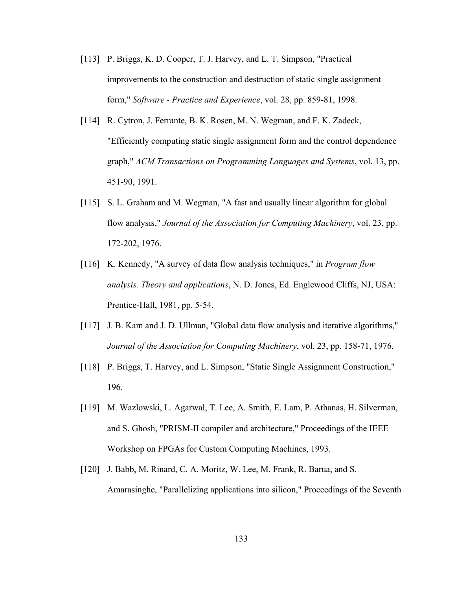- [113] P. Briggs, K. D. Cooper, T. J. Harvey, and L. T. Simpson, "Practical improvements to the construction and destruction of static single assignment form," *Software - Practice and Experience*, vol. 28, pp. 859-81, 1998.
- [114] R. Cytron, J. Ferrante, B. K. Rosen, M. N. Wegman, and F. K. Zadeck, "Efficiently computing static single assignment form and the control dependence graph," *ACM Transactions on Programming Languages and Systems*, vol. 13, pp. 451-90, 1991.
- [115] S. L. Graham and M. Wegman, "A fast and usually linear algorithm for global flow analysis," *Journal of the Association for Computing Machinery*, vol. 23, pp. 172-202, 1976.
- [116] K. Kennedy, "A survey of data flow analysis techniques," in *Program flow analysis. Theory and applications*, N. D. Jones, Ed. Englewood Cliffs, NJ, USA: Prentice-Hall, 1981, pp. 5-54.
- [117] J. B. Kam and J. D. Ullman, "Global data flow analysis and iterative algorithms," *Journal of the Association for Computing Machinery*, vol. 23, pp. 158-71, 1976.
- [118] P. Briggs, T. Harvey, and L. Simpson, "Static Single Assignment Construction," 196.
- [119] M. Wazlowski, L. Agarwal, T. Lee, A. Smith, E. Lam, P. Athanas, H. Silverman, and S. Ghosh, "PRISM-II compiler and architecture," Proceedings of the IEEE Workshop on FPGAs for Custom Computing Machines, 1993.
- [120] J. Babb, M. Rinard, C. A. Moritz, W. Lee, M. Frank, R. Barua, and S. Amarasinghe, "Parallelizing applications into silicon," Proceedings of the Seventh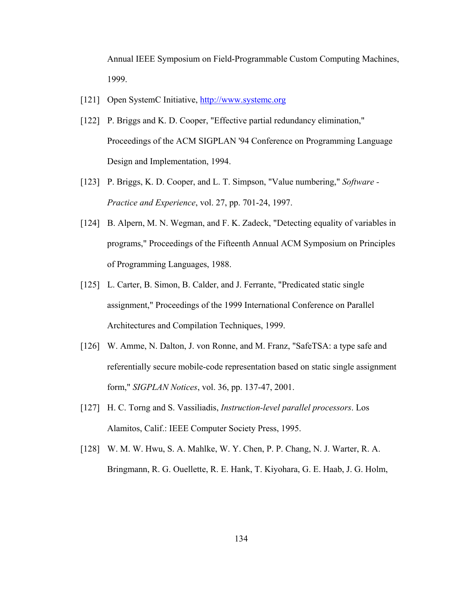Annual IEEE Symposium on Field-Programmable Custom Computing Machines, 1999.

- [121] Open SystemC Initiative, http://www.systemc.org
- [122] P. Briggs and K. D. Cooper, "Effective partial redundancy elimination," Proceedings of the ACM SIGPLAN '94 Conference on Programming Language Design and Implementation, 1994.
- [123] P. Briggs, K. D. Cooper, and L. T. Simpson, "Value numbering," *Software Practice and Experience*, vol. 27, pp. 701-24, 1997.
- [124] B. Alpern, M. N. Wegman, and F. K. Zadeck, "Detecting equality of variables in programs," Proceedings of the Fifteenth Annual ACM Symposium on Principles of Programming Languages, 1988.
- [125] L. Carter, B. Simon, B. Calder, and J. Ferrante, "Predicated static single assignment," Proceedings of the 1999 International Conference on Parallel Architectures and Compilation Techniques, 1999.
- [126] W. Amme, N. Dalton, J. von Ronne, and M. Franz, "SafeTSA: a type safe and referentially secure mobile-code representation based on static single assignment form," *SIGPLAN Notices*, vol. 36, pp. 137-47, 2001.
- [127] H. C. Torng and S. Vassiliadis, *Instruction-level parallel processors*. Los Alamitos, Calif.: IEEE Computer Society Press, 1995.
- [128] W. M. W. Hwu, S. A. Mahlke, W. Y. Chen, P. P. Chang, N. J. Warter, R. A. Bringmann, R. G. Ouellette, R. E. Hank, T. Kiyohara, G. E. Haab, J. G. Holm,